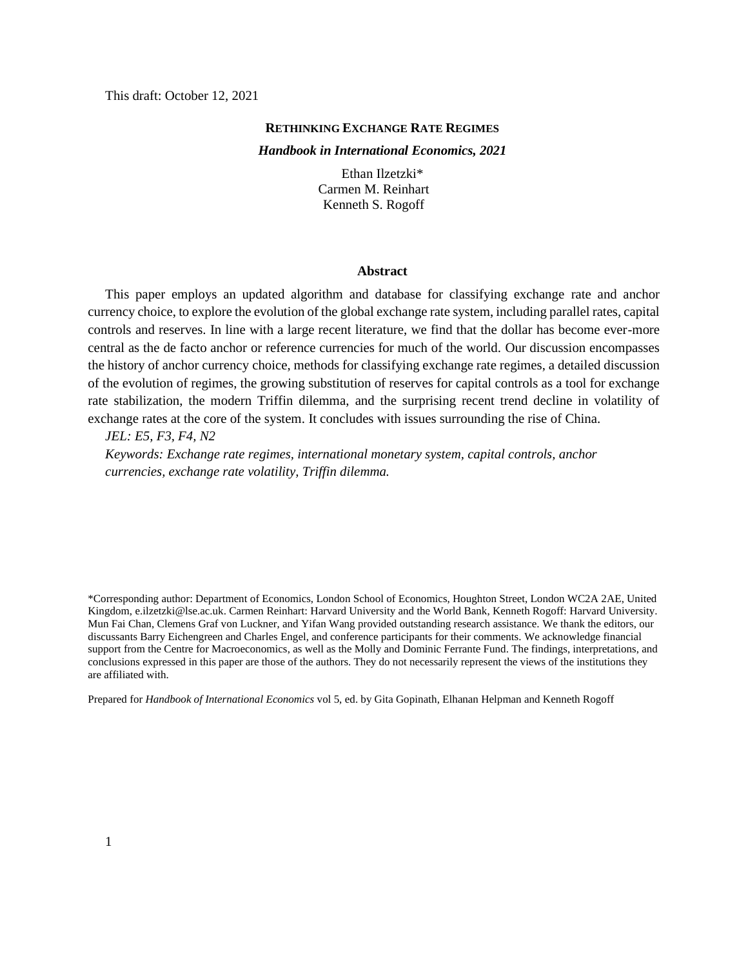This draft: October 12, 2021

### **RETHINKING EXCHANGE RATE REGIMES**

#### *Handbook in International Economics, 2021*

Ethan Ilzetzki\* Carmen M. Reinhart Kenneth S. Rogoff

#### **Abstract**

This paper employs an updated algorithm and database for classifying exchange rate and anchor currency choice, to explore the evolution of the global exchange rate system, including parallel rates, capital controls and reserves. In line with a large recent literature, we find that the dollar has become ever-more central as the de facto anchor or reference currencies for much of the world. Our discussion encompasses the history of anchor currency choice, methods for classifying exchange rate regimes, a detailed discussion of the evolution of regimes, the growing substitution of reserves for capital controls as a tool for exchange rate stabilization, the modern Triffin dilemma, and the surprising recent trend decline in volatility of exchange rates at the core of the system. It concludes with issues surrounding the rise of China.

*JEL: E5, F3, F4, N2*

*Keywords: Exchange rate regimes, international monetary system, capital controls, anchor currencies, exchange rate volatility, Triffin dilemma.*

\*Corresponding author: Department of Economics, London School of Economics, Houghton Street, London WC2A 2AE, United Kingdom[, e.ilzetzki@lse.ac.uk.](mailto:e.ilzetzki@lse.ac.uk) Carmen Reinhart: Harvard University and the World Bank, Kenneth Rogoff: Harvard University. Mun Fai Chan, Clemens Graf von Luckner, and Yifan Wang provided outstanding research assistance. We thank the editors, our discussants Barry Eichengreen and Charles Engel, and conference participants for their comments. We acknowledge financial support from the Centre for Macroeconomics, as well as the Molly and Dominic Ferrante Fund. The findings, interpretations, and conclusions expressed in this paper are those of the authors. They do not necessarily represent the views of the institutions they are affiliated with.

Prepared for *Handbook of International Economics* vol 5, ed. by Gita Gopinath, Elhanan Helpman and Kenneth Rogoff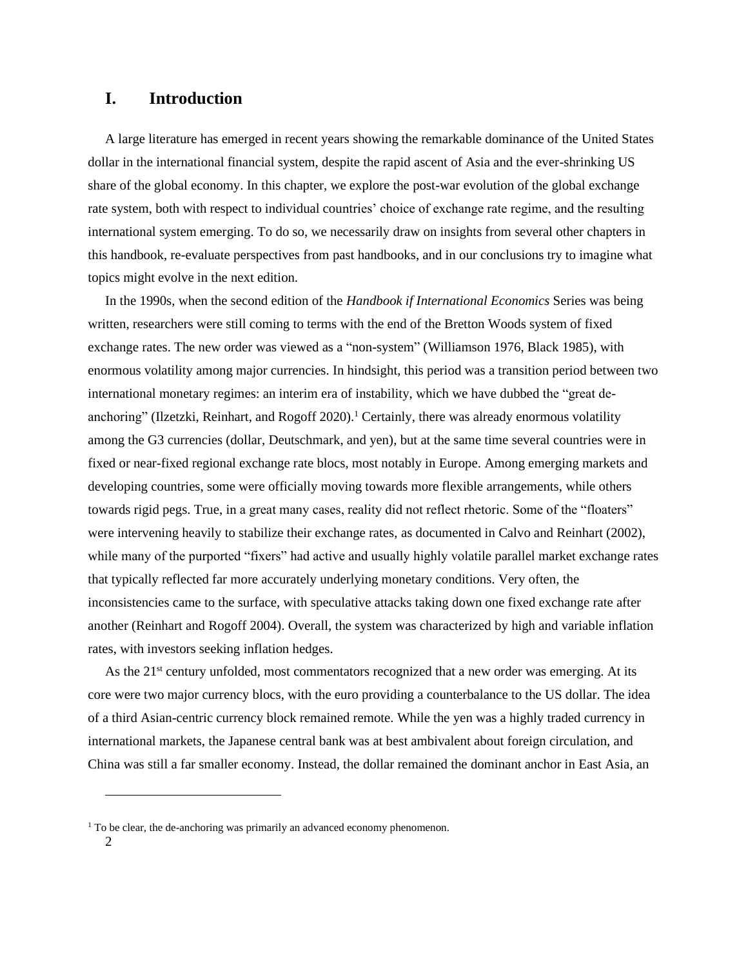# **I. Introduction**

A large literature has emerged in recent years showing the remarkable dominance of the United States dollar in the international financial system, despite the rapid ascent of Asia and the ever-shrinking US share of the global economy. In this chapter, we explore the post-war evolution of the global exchange rate system, both with respect to individual countries' choice of exchange rate regime, and the resulting international system emerging. To do so, we necessarily draw on insights from several other chapters in this handbook, re-evaluate perspectives from past handbooks, and in our conclusions try to imagine what topics might evolve in the next edition.

In the 1990s, when the second edition of the *Handbook if International Economics* Series was being written, researchers were still coming to terms with the end of the Bretton Woods system of fixed exchange rates. The new order was viewed as a "non-system" (Williamson 1976, Black 1985), with enormous volatility among major currencies. In hindsight, this period was a transition period between two international monetary regimes: an interim era of instability, which we have dubbed the "great deanchoring" (Ilzetzki, Reinhart, and Rogoff 2020).<sup>1</sup> Certainly, there was already enormous volatility among the G3 currencies (dollar, Deutschmark, and yen), but at the same time several countries were in fixed or near-fixed regional exchange rate blocs, most notably in Europe. Among emerging markets and developing countries, some were officially moving towards more flexible arrangements, while others towards rigid pegs. True, in a great many cases, reality did not reflect rhetoric. Some of the "floaters" were intervening heavily to stabilize their exchange rates, as documented in Calvo and Reinhart (2002), while many of the purported "fixers" had active and usually highly volatile parallel market exchange rates that typically reflected far more accurately underlying monetary conditions. Very often, the inconsistencies came to the surface, with speculative attacks taking down one fixed exchange rate after another (Reinhart and Rogoff 2004). Overall, the system was characterized by high and variable inflation rates, with investors seeking inflation hedges.

As the 21<sup>st</sup> century unfolded, most commentators recognized that a new order was emerging. At its core were two major currency blocs, with the euro providing a counterbalance to the US dollar. The idea of a third Asian-centric currency block remained remote. While the yen was a highly traded currency in international markets, the Japanese central bank was at best ambivalent about foreign circulation, and China was still a far smaller economy. Instead, the dollar remained the dominant anchor in East Asia, an

 $1$  To be clear, the de-anchoring was primarily an advanced economy phenomenon.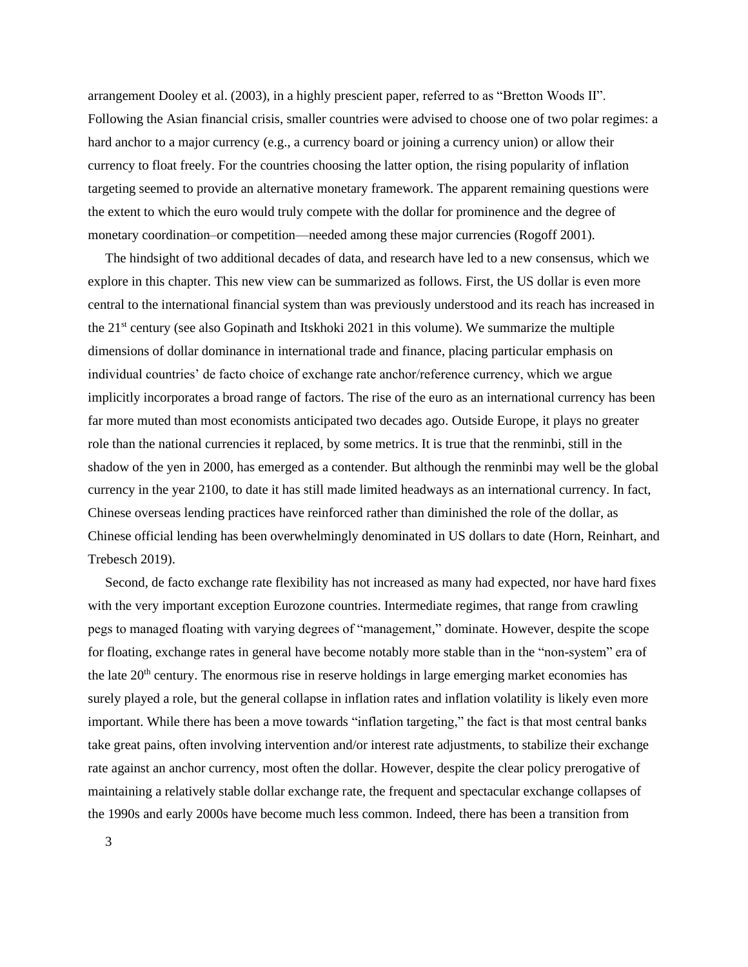arrangement Dooley et al. (2003), in a highly prescient paper, referred to as "Bretton Woods II". Following the Asian financial crisis, smaller countries were advised to choose one of two polar regimes: a hard anchor to a major currency (e.g., a currency board or joining a currency union) or allow their currency to float freely. For the countries choosing the latter option, the rising popularity of inflation targeting seemed to provide an alternative monetary framework. The apparent remaining questions were the extent to which the euro would truly compete with the dollar for prominence and the degree of monetary coordination–or competition—needed among these major currencies (Rogoff 2001).

The hindsight of two additional decades of data, and research have led to a new consensus, which we explore in this chapter. This new view can be summarized as follows. First, the US dollar is even more central to the international financial system than was previously understood and its reach has increased in the 21st century (see also Gopinath and Itskhoki 2021 in this volume). We summarize the multiple dimensions of dollar dominance in international trade and finance, placing particular emphasis on individual countries' de facto choice of exchange rate anchor/reference currency, which we argue implicitly incorporates a broad range of factors. The rise of the euro as an international currency has been far more muted than most economists anticipated two decades ago. Outside Europe, it plays no greater role than the national currencies it replaced, by some metrics. It is true that the renminbi, still in the shadow of the yen in 2000, has emerged as a contender. But although the renminbi may well be the global currency in the year 2100, to date it has still made limited headways as an international currency. In fact, Chinese overseas lending practices have reinforced rather than diminished the role of the dollar, as Chinese official lending has been overwhelmingly denominated in US dollars to date (Horn, Reinhart, and Trebesch 2019).

Second, de facto exchange rate flexibility has not increased as many had expected, nor have hard fixes with the very important exception Eurozone countries. Intermediate regimes, that range from crawling pegs to managed floating with varying degrees of "management," dominate. However, despite the scope for floating, exchange rates in general have become notably more stable than in the "non-system" era of the late  $20<sup>th</sup>$  century. The enormous rise in reserve holdings in large emerging market economies has surely played a role, but the general collapse in inflation rates and inflation volatility is likely even more important. While there has been a move towards "inflation targeting," the fact is that most central banks take great pains, often involving intervention and/or interest rate adjustments, to stabilize their exchange rate against an anchor currency, most often the dollar. However, despite the clear policy prerogative of maintaining a relatively stable dollar exchange rate, the frequent and spectacular exchange collapses of the 1990s and early 2000s have become much less common. Indeed, there has been a transition from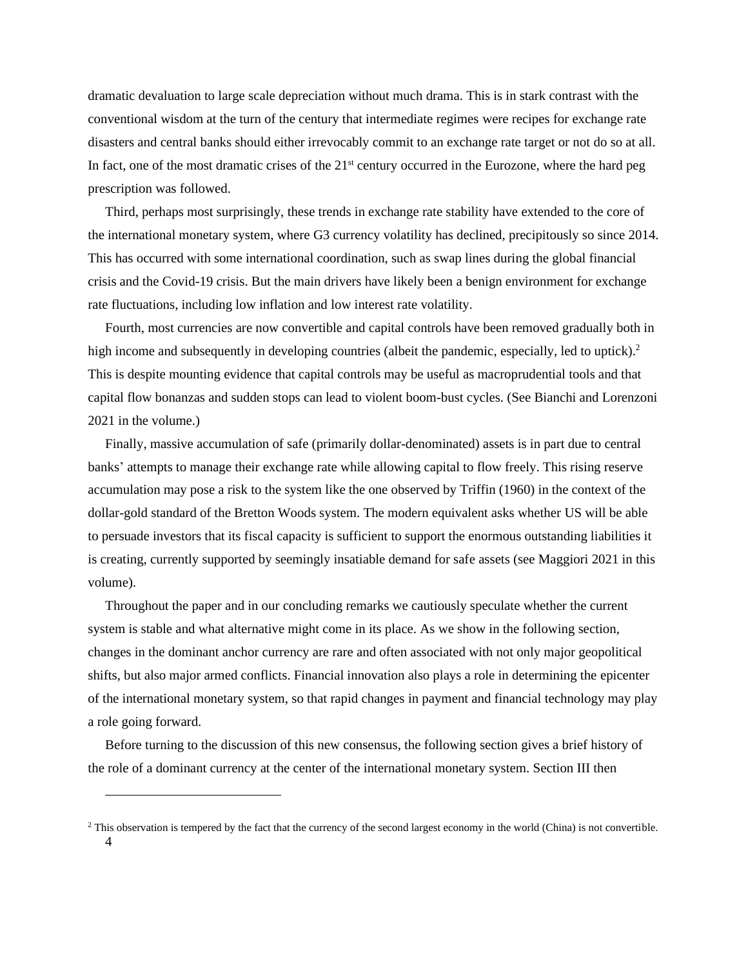dramatic devaluation to large scale depreciation without much drama. This is in stark contrast with the conventional wisdom at the turn of the century that intermediate regimes were recipes for exchange rate disasters and central banks should either irrevocably commit to an exchange rate target or not do so at all. In fact, one of the most dramatic crises of the  $21<sup>st</sup>$  century occurred in the Eurozone, where the hard peg prescription was followed.

Third, perhaps most surprisingly, these trends in exchange rate stability have extended to the core of the international monetary system, where G3 currency volatility has declined, precipitously so since 2014. This has occurred with some international coordination, such as swap lines during the global financial crisis and the Covid-19 crisis. But the main drivers have likely been a benign environment for exchange rate fluctuations, including low inflation and low interest rate volatility.

Fourth, most currencies are now convertible and capital controls have been removed gradually both in high income and subsequently in developing countries (albeit the pandemic, especially, led to uptick).<sup>2</sup> This is despite mounting evidence that capital controls may be useful as macroprudential tools and that capital flow bonanzas and sudden stops can lead to violent boom-bust cycles. (See Bianchi and Lorenzoni 2021 in the volume.)

Finally, massive accumulation of safe (primarily dollar-denominated) assets is in part due to central banks' attempts to manage their exchange rate while allowing capital to flow freely. This rising reserve accumulation may pose a risk to the system like the one observed by Triffin (1960) in the context of the dollar-gold standard of the Bretton Woods system. The modern equivalent asks whether US will be able to persuade investors that its fiscal capacity is sufficient to support the enormous outstanding liabilities it is creating, currently supported by seemingly insatiable demand for safe assets (see Maggiori 2021 in this volume).

Throughout the paper and in our concluding remarks we cautiously speculate whether the current system is stable and what alternative might come in its place. As we show in the following section, changes in the dominant anchor currency are rare and often associated with not only major geopolitical shifts, but also major armed conflicts. Financial innovation also plays a role in determining the epicenter of the international monetary system, so that rapid changes in payment and financial technology may play a role going forward.

Before turning to the discussion of this new consensus, the following section gives a brief history of the role of a dominant currency at the center of the international monetary system. Section III then

<sup>4</sup> <sup>2</sup> This observation is tempered by the fact that the currency of the second largest economy in the world (China) is not convertible.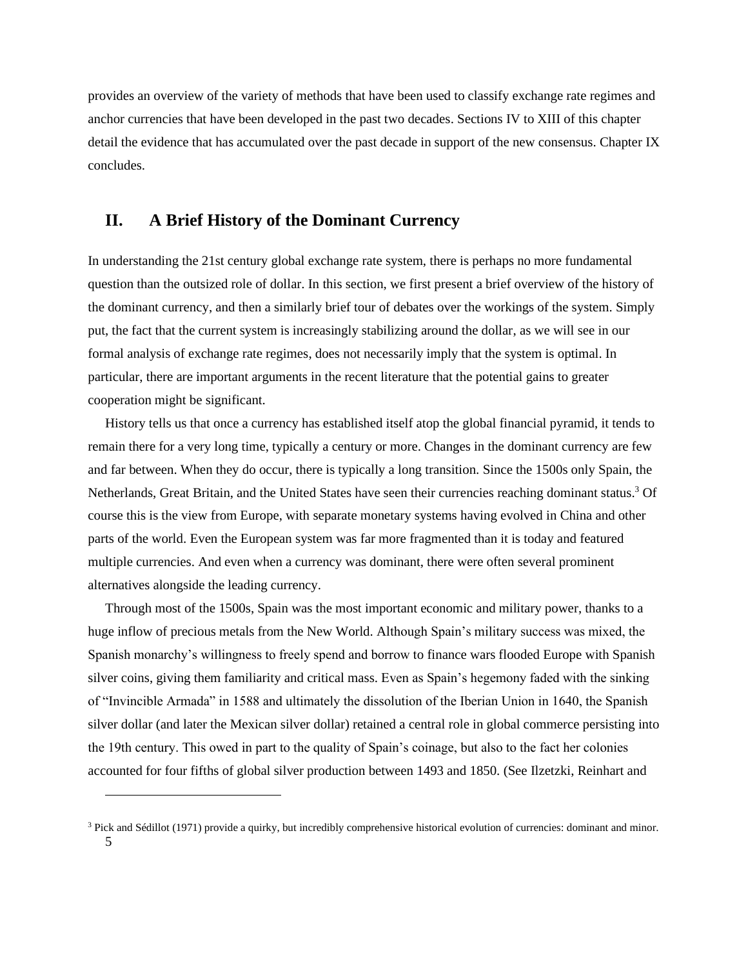provides an overview of the variety of methods that have been used to classify exchange rate regimes and anchor currencies that have been developed in the past two decades. Sections IV to XIII of this chapter detail the evidence that has accumulated over the past decade in support of the new consensus. Chapter IX concludes.

### **II. A Brief History of the Dominant Currency**

In understanding the 21st century global exchange rate system, there is perhaps no more fundamental question than the outsized role of dollar. In this section, we first present a brief overview of the history of the dominant currency, and then a similarly brief tour of debates over the workings of the system. Simply put, the fact that the current system is increasingly stabilizing around the dollar, as we will see in our formal analysis of exchange rate regimes, does not necessarily imply that the system is optimal. In particular, there are important arguments in the recent literature that the potential gains to greater cooperation might be significant.

History tells us that once a currency has established itself atop the global financial pyramid, it tends to remain there for a very long time, typically a century or more. Changes in the dominant currency are few and far between. When they do occur, there is typically a long transition. Since the 1500s only Spain, the Netherlands, Great Britain, and the United States have seen their currencies reaching dominant status.<sup>3</sup> Of course this is the view from Europe, with separate monetary systems having evolved in China and other parts of the world. Even the European system was far more fragmented than it is today and featured multiple currencies. And even when a currency was dominant, there were often several prominent alternatives alongside the leading currency.

Through most of the 1500s, Spain was the most important economic and military power, thanks to a huge inflow of precious metals from the New World. Although Spain's military success was mixed, the Spanish monarchy's willingness to freely spend and borrow to finance wars flooded Europe with Spanish silver coins, giving them familiarity and critical mass. Even as Spain's hegemony faded with the sinking of "Invincible Armada" in 1588 and ultimately the dissolution of the Iberian Union in 1640, the Spanish silver dollar (and later the Mexican silver dollar) retained a central role in global commerce persisting into the 19th century. This owed in part to the quality of Spain's coinage, but also to the fact her colonies accounted for four fifths of global silver production between 1493 and 1850. (See Ilzetzki, Reinhart and

<sup>5</sup> <sup>3</sup> Pick and Sédillot (1971) provide a quirky, but incredibly comprehensive historical evolution of currencies: dominant and minor.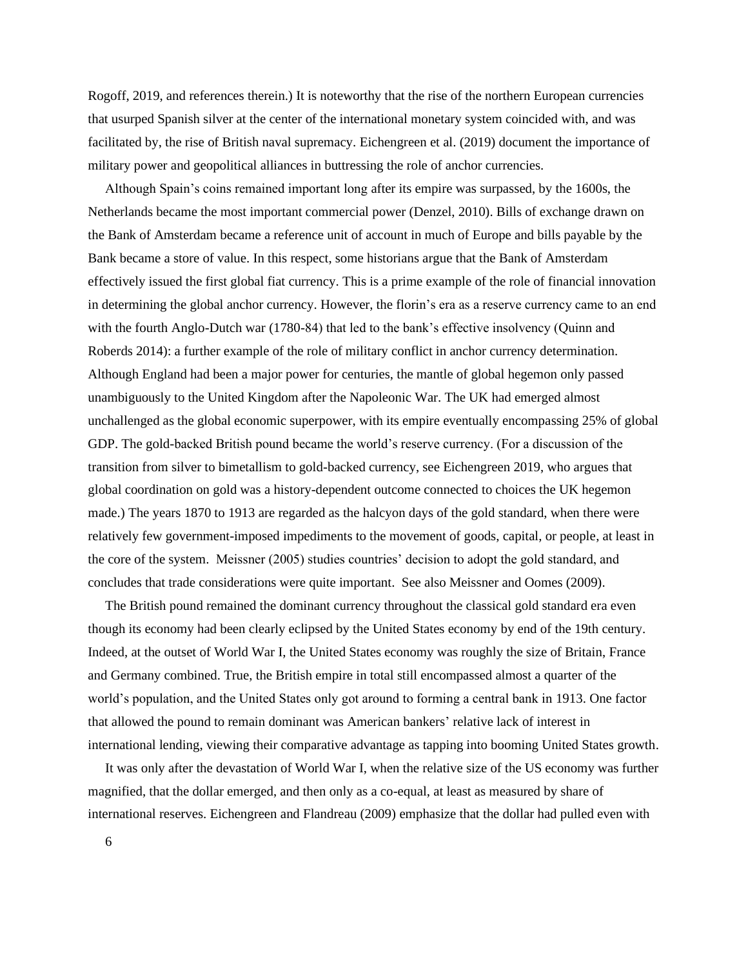Rogoff, 2019, and references therein.) It is noteworthy that the rise of the northern European currencies that usurped Spanish silver at the center of the international monetary system coincided with, and was facilitated by, the rise of British naval supremacy. Eichengreen et al. (2019) document the importance of military power and geopolitical alliances in buttressing the role of anchor currencies.

Although Spain's coins remained important long after its empire was surpassed, by the 1600s, the Netherlands became the most important commercial power (Denzel, 2010). Bills of exchange drawn on the Bank of Amsterdam became a reference unit of account in much of Europe and bills payable by the Bank became a store of value. In this respect, some historians argue that the Bank of Amsterdam effectively issued the first global fiat currency. This is a prime example of the role of financial innovation in determining the global anchor currency. However, the florin's era as a reserve currency came to an end with the fourth Anglo-Dutch war (1780-84) that led to the bank's effective insolvency (Quinn and Roberds 2014): a further example of the role of military conflict in anchor currency determination. Although England had been a major power for centuries, the mantle of global hegemon only passed unambiguously to the United Kingdom after the Napoleonic War. The UK had emerged almost unchallenged as the global economic superpower, with its empire eventually encompassing 25% of global GDP. The gold-backed British pound became the world's reserve currency. (For a discussion of the transition from silver to bimetallism to gold-backed currency, see Eichengreen 2019, who argues that global coordination on gold was a history-dependent outcome connected to choices the UK hegemon made.) The years 1870 to 1913 are regarded as the halcyon days of the gold standard, when there were relatively few government-imposed impediments to the movement of goods, capital, or people, at least in the core of the system. Meissner (2005) studies countries' decision to adopt the gold standard, and concludes that trade considerations were quite important. See also Meissner and Oomes (2009).

The British pound remained the dominant currency throughout the classical gold standard era even though its economy had been clearly eclipsed by the United States economy by end of the 19th century. Indeed, at the outset of World War I, the United States economy was roughly the size of Britain, France and Germany combined. True, the British empire in total still encompassed almost a quarter of the world's population, and the United States only got around to forming a central bank in 1913. One factor that allowed the pound to remain dominant was American bankers' relative lack of interest in international lending, viewing their comparative advantage as tapping into booming United States growth.

It was only after the devastation of World War I, when the relative size of the US economy was further magnified, that the dollar emerged, and then only as a co-equal, at least as measured by share of international reserves. Eichengreen and Flandreau (2009) emphasize that the dollar had pulled even with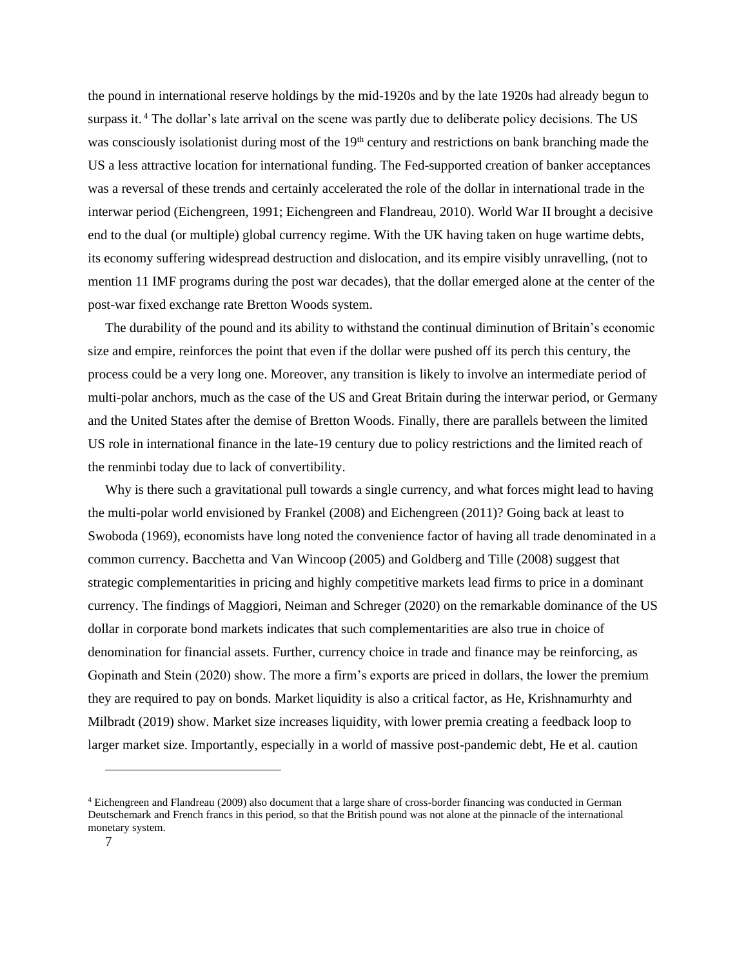the pound in international reserve holdings by the mid-1920s and by the late 1920s had already begun to surpass it.<sup>4</sup> The dollar's late arrival on the scene was partly due to deliberate policy decisions. The US was consciously isolationist during most of the 19<sup>th</sup> century and restrictions on bank branching made the US a less attractive location for international funding. The Fed-supported creation of banker acceptances was a reversal of these trends and certainly accelerated the role of the dollar in international trade in the interwar period (Eichengreen, 1991; Eichengreen and Flandreau, 2010). World War II brought a decisive end to the dual (or multiple) global currency regime. With the UK having taken on huge wartime debts, its economy suffering widespread destruction and dislocation, and its empire visibly unravelling, (not to mention 11 IMF programs during the post war decades), that the dollar emerged alone at the center of the post-war fixed exchange rate Bretton Woods system.

The durability of the pound and its ability to withstand the continual diminution of Britain's economic size and empire, reinforces the point that even if the dollar were pushed off its perch this century, the process could be a very long one. Moreover, any transition is likely to involve an intermediate period of multi-polar anchors, much as the case of the US and Great Britain during the interwar period, or Germany and the United States after the demise of Bretton Woods. Finally, there are parallels between the limited US role in international finance in the late-19 century due to policy restrictions and the limited reach of the renminbi today due to lack of convertibility.

Why is there such a gravitational pull towards a single currency, and what forces might lead to having the multi-polar world envisioned by Frankel (2008) and Eichengreen (2011)? Going back at least to Swoboda (1969), economists have long noted the convenience factor of having all trade denominated in a common currency. Bacchetta and Van Wincoop (2005) and Goldberg and Tille (2008) suggest that strategic complementarities in pricing and highly competitive markets lead firms to price in a dominant currency. The findings of Maggiori, Neiman and Schreger (2020) on the remarkable dominance of the US dollar in corporate bond markets indicates that such complementarities are also true in choice of denomination for financial assets. Further, currency choice in trade and finance may be reinforcing, as Gopinath and Stein (2020) show. The more a firm's exports are priced in dollars, the lower the premium they are required to pay on bonds. Market liquidity is also a critical factor, as He, Krishnamurhty and Milbradt (2019) show. Market size increases liquidity, with lower premia creating a feedback loop to larger market size. Importantly, especially in a world of massive post-pandemic debt, He et al. caution

<sup>4</sup> Eichengreen and Flandreau (2009) also document that a large share of cross-border financing was conducted in German Deutschemark and French francs in this period, so that the British pound was not alone at the pinnacle of the international monetary system.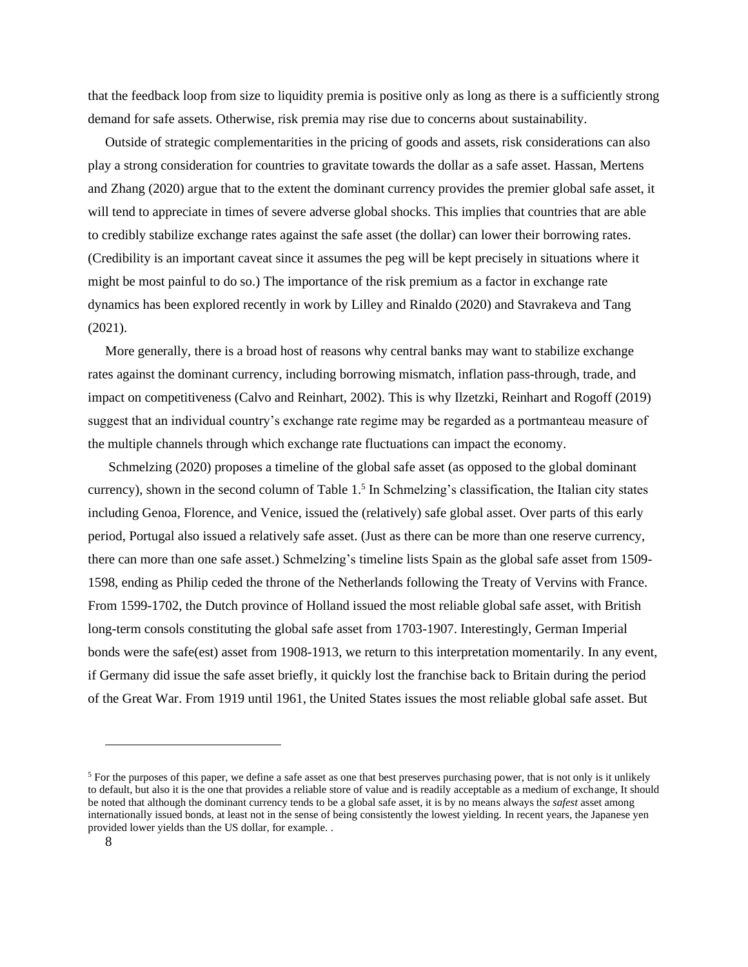that the feedback loop from size to liquidity premia is positive only as long as there is a sufficiently strong demand for safe assets. Otherwise, risk premia may rise due to concerns about sustainability.

Outside of strategic complementarities in the pricing of goods and assets, risk considerations can also play a strong consideration for countries to gravitate towards the dollar as a safe asset. Hassan, Mertens and Zhang (2020) argue that to the extent the dominant currency provides the premier global safe asset, it will tend to appreciate in times of severe adverse global shocks. This implies that countries that are able to credibly stabilize exchange rates against the safe asset (the dollar) can lower their borrowing rates. (Credibility is an important caveat since it assumes the peg will be kept precisely in situations where it might be most painful to do so.) The importance of the risk premium as a factor in exchange rate dynamics has been explored recently in work by Lilley and Rinaldo (2020) and Stavrakeva and Tang (2021).

More generally, there is a broad host of reasons why central banks may want to stabilize exchange rates against the dominant currency, including borrowing mismatch, inflation pass-through, trade, and impact on competitiveness (Calvo and Reinhart, 2002). This is why Ilzetzki, Reinhart and Rogoff (2019) suggest that an individual country's exchange rate regime may be regarded as a portmanteau measure of the multiple channels through which exchange rate fluctuations can impact the economy.

Schmelzing (2020) proposes a timeline of the global safe asset (as opposed to the global dominant currency), shown in the second column of Table  $1<sup>5</sup>$  In Schmelzing's classification, the Italian city states including Genoa, Florence, and Venice, issued the (relatively) safe global asset. Over parts of this early period, Portugal also issued a relatively safe asset. (Just as there can be more than one reserve currency, there can more than one safe asset.) Schmelzing's timeline lists Spain as the global safe asset from 1509- 1598, ending as Philip ceded the throne of the Netherlands following the Treaty of Vervins with France. From 1599-1702, the Dutch province of Holland issued the most reliable global safe asset, with British long-term consols constituting the global safe asset from 1703-1907. Interestingly, German Imperial bonds were the safe(est) asset from 1908-1913, we return to this interpretation momentarily. In any event, if Germany did issue the safe asset briefly, it quickly lost the franchise back to Britain during the period of the Great War. From 1919 until 1961, the United States issues the most reliable global safe asset. But

<sup>&</sup>lt;sup>5</sup> For the purposes of this paper, we define a safe asset as one that best preserves purchasing power, that is not only is it unlikely to default, but also it is the one that provides a reliable store of value and is readily acceptable as a medium of exchange, It should be noted that although the dominant currency tends to be a global safe asset, it is by no means always the *safest* asset among internationally issued bonds, at least not in the sense of being consistently the lowest yielding. In recent years, the Japanese yen provided lower yields than the US dollar, for example. .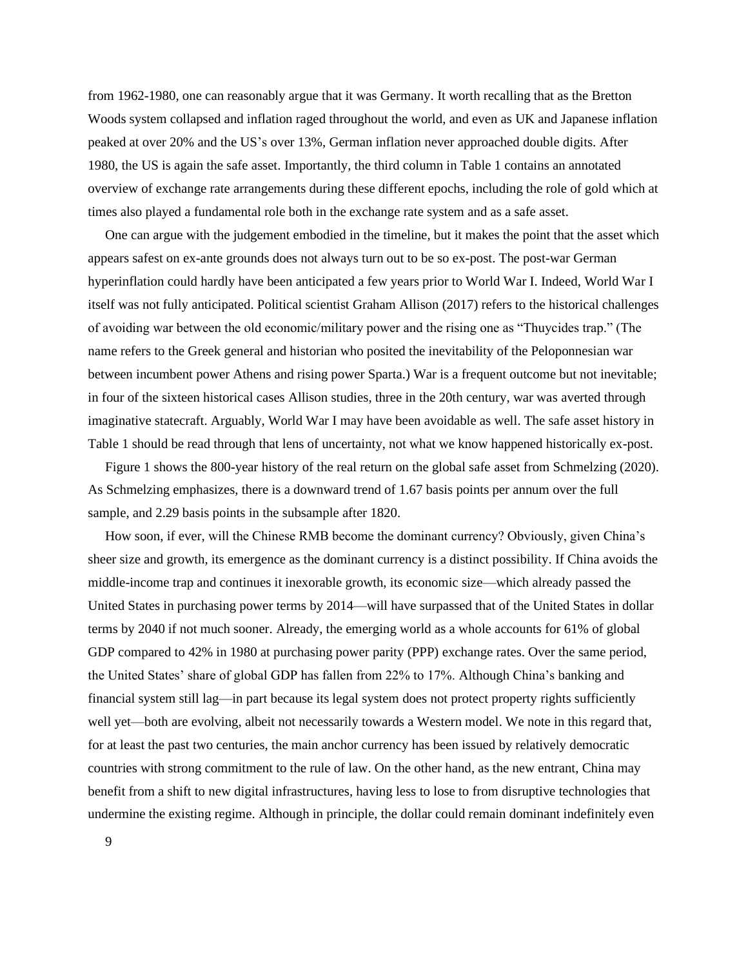from 1962-1980, one can reasonably argue that it was Germany. It worth recalling that as the Bretton Woods system collapsed and inflation raged throughout the world, and even as UK and Japanese inflation peaked at over 20% and the US's over 13%, German inflation never approached double digits. After 1980, the US is again the safe asset. Importantly, the third column in Table 1 contains an annotated overview of exchange rate arrangements during these different epochs, including the role of gold which at times also played a fundamental role both in the exchange rate system and as a safe asset.

One can argue with the judgement embodied in the timeline, but it makes the point that the asset which appears safest on ex-ante grounds does not always turn out to be so ex-post. The post-war German hyperinflation could hardly have been anticipated a few years prior to World War I. Indeed, World War I itself was not fully anticipated. Political scientist Graham Allison (2017) refers to the historical challenges of avoiding war between the old economic/military power and the rising one as "Thuycides trap." (The name refers to the Greek general and historian who posited the inevitability of the Peloponnesian war between incumbent power Athens and rising power Sparta.) War is a frequent outcome but not inevitable; in four of the sixteen historical cases Allison studies, three in the 20th century, war was averted through imaginative statecraft. Arguably, World War I may have been avoidable as well. The safe asset history in Table 1 should be read through that lens of uncertainty, not what we know happened historically ex-post.

Figure 1 shows the 800-year history of the real return on the global safe asset from Schmelzing (2020). As Schmelzing emphasizes, there is a downward trend of 1.67 basis points per annum over the full sample, and 2.29 basis points in the subsample after 1820.

How soon, if ever, will the Chinese RMB become the dominant currency? Obviously, given China's sheer size and growth, its emergence as the dominant currency is a distinct possibility. If China avoids the middle-income trap and continues it inexorable growth, its economic size—which already passed the United States in purchasing power terms by 2014—will have surpassed that of the United States in dollar terms by 2040 if not much sooner. Already, the emerging world as a whole accounts for 61% of global GDP compared to 42% in 1980 at purchasing power parity (PPP) exchange rates. Over the same period, the United States' share of global GDP has fallen from 22% to 17%. Although China's banking and financial system still lag—in part because its legal system does not protect property rights sufficiently well yet—both are evolving, albeit not necessarily towards a Western model. We note in this regard that, for at least the past two centuries, the main anchor currency has been issued by relatively democratic countries with strong commitment to the rule of law. On the other hand, as the new entrant, China may benefit from a shift to new digital infrastructures, having less to lose to from disruptive technologies that undermine the existing regime. Although in principle, the dollar could remain dominant indefinitely even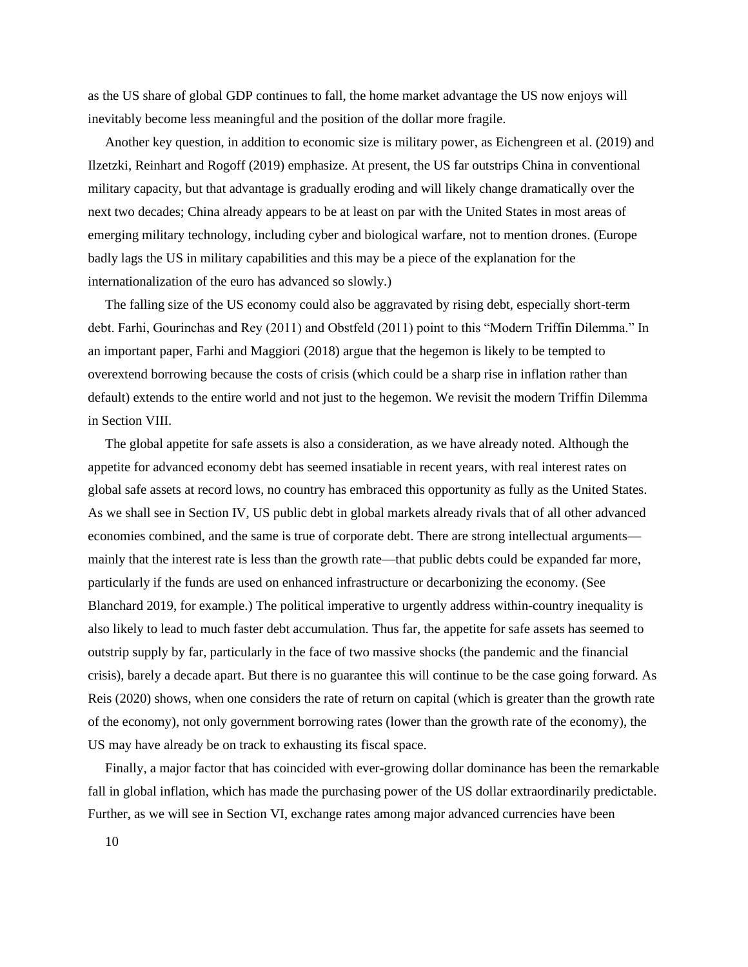as the US share of global GDP continues to fall, the home market advantage the US now enjoys will inevitably become less meaningful and the position of the dollar more fragile.

Another key question, in addition to economic size is military power, as Eichengreen et al. (2019) and Ilzetzki, Reinhart and Rogoff (2019) emphasize. At present, the US far outstrips China in conventional military capacity, but that advantage is gradually eroding and will likely change dramatically over the next two decades; China already appears to be at least on par with the United States in most areas of emerging military technology, including cyber and biological warfare, not to mention drones. (Europe badly lags the US in military capabilities and this may be a piece of the explanation for the internationalization of the euro has advanced so slowly.)

The falling size of the US economy could also be aggravated by rising debt, especially short-term debt. Farhi, Gourinchas and Rey (2011) and Obstfeld (2011) point to this "Modern Triffin Dilemma." In an important paper, Farhi and Maggiori (2018) argue that the hegemon is likely to be tempted to overextend borrowing because the costs of crisis (which could be a sharp rise in inflation rather than default) extends to the entire world and not just to the hegemon. We revisit the modern Triffin Dilemma in Section VIII.

The global appetite for safe assets is also a consideration, as we have already noted. Although the appetite for advanced economy debt has seemed insatiable in recent years, with real interest rates on global safe assets at record lows, no country has embraced this opportunity as fully as the United States. As we shall see in Section IV, US public debt in global markets already rivals that of all other advanced economies combined, and the same is true of corporate debt. There are strong intellectual arguments mainly that the interest rate is less than the growth rate—that public debts could be expanded far more, particularly if the funds are used on enhanced infrastructure or decarbonizing the economy. (See Blanchard 2019, for example.) The political imperative to urgently address within-country inequality is also likely to lead to much faster debt accumulation. Thus far, the appetite for safe assets has seemed to outstrip supply by far, particularly in the face of two massive shocks (the pandemic and the financial crisis), barely a decade apart. But there is no guarantee this will continue to be the case going forward. As Reis (2020) shows, when one considers the rate of return on capital (which is greater than the growth rate of the economy), not only government borrowing rates (lower than the growth rate of the economy), the US may have already be on track to exhausting its fiscal space.

Finally, a major factor that has coincided with ever-growing dollar dominance has been the remarkable fall in global inflation, which has made the purchasing power of the US dollar extraordinarily predictable. Further, as we will see in Section VI, exchange rates among major advanced currencies have been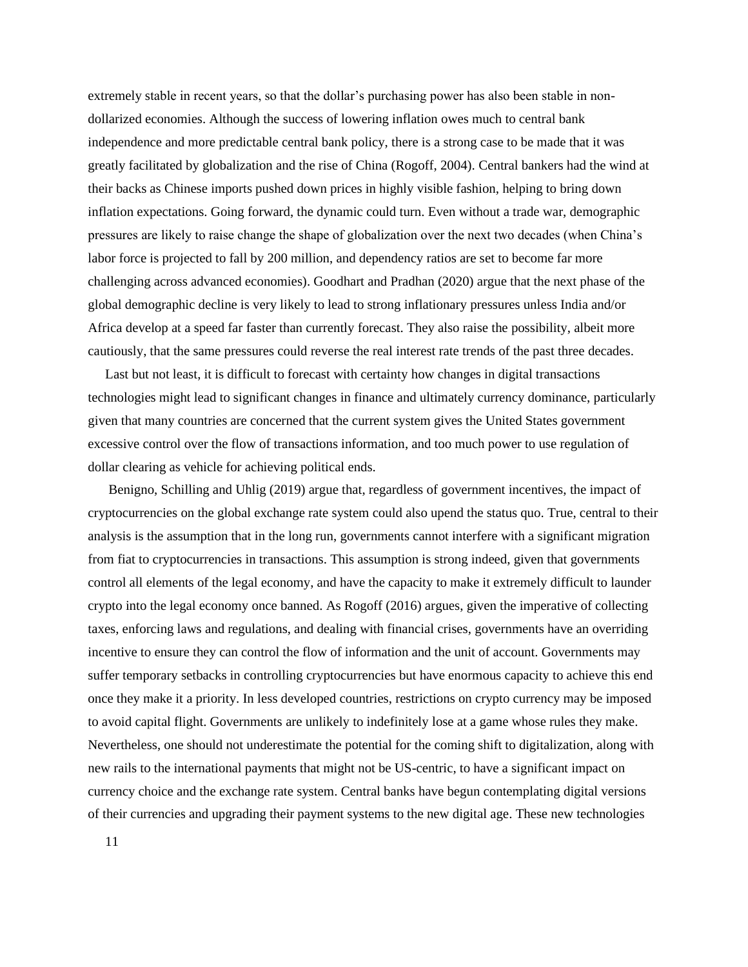extremely stable in recent years, so that the dollar's purchasing power has also been stable in nondollarized economies. Although the success of lowering inflation owes much to central bank independence and more predictable central bank policy, there is a strong case to be made that it was greatly facilitated by globalization and the rise of China (Rogoff, 2004). Central bankers had the wind at their backs as Chinese imports pushed down prices in highly visible fashion, helping to bring down inflation expectations. Going forward, the dynamic could turn. Even without a trade war, demographic pressures are likely to raise change the shape of globalization over the next two decades (when China's labor force is projected to fall by 200 million, and dependency ratios are set to become far more challenging across advanced economies). Goodhart and Pradhan (2020) argue that the next phase of the global demographic decline is very likely to lead to strong inflationary pressures unless India and/or Africa develop at a speed far faster than currently forecast. They also raise the possibility, albeit more cautiously, that the same pressures could reverse the real interest rate trends of the past three decades.

Last but not least, it is difficult to forecast with certainty how changes in digital transactions technologies might lead to significant changes in finance and ultimately currency dominance, particularly given that many countries are concerned that the current system gives the United States government excessive control over the flow of transactions information, and too much power to use regulation of dollar clearing as vehicle for achieving political ends.

Benigno, Schilling and Uhlig (2019) argue that, regardless of government incentives, the impact of cryptocurrencies on the global exchange rate system could also upend the status quo. True, central to their analysis is the assumption that in the long run, governments cannot interfere with a significant migration from fiat to cryptocurrencies in transactions. This assumption is strong indeed, given that governments control all elements of the legal economy, and have the capacity to make it extremely difficult to launder crypto into the legal economy once banned. As Rogoff (2016) argues, given the imperative of collecting taxes, enforcing laws and regulations, and dealing with financial crises, governments have an overriding incentive to ensure they can control the flow of information and the unit of account. Governments may suffer temporary setbacks in controlling cryptocurrencies but have enormous capacity to achieve this end once they make it a priority. In less developed countries, restrictions on crypto currency may be imposed to avoid capital flight. Governments are unlikely to indefinitely lose at a game whose rules they make. Nevertheless, one should not underestimate the potential for the coming shift to digitalization, along with new rails to the international payments that might not be US-centric, to have a significant impact on currency choice and the exchange rate system. Central banks have begun contemplating digital versions of their currencies and upgrading their payment systems to the new digital age. These new technologies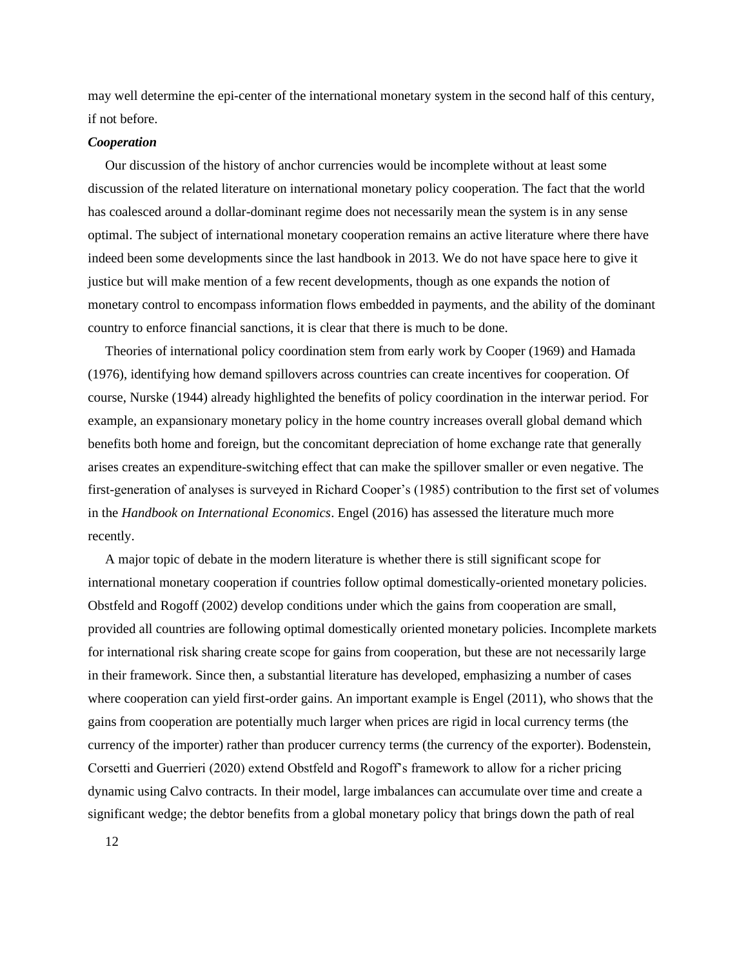may well determine the epi-center of the international monetary system in the second half of this century, if not before.

### *Cooperation*

Our discussion of the history of anchor currencies would be incomplete without at least some discussion of the related literature on international monetary policy cooperation. The fact that the world has coalesced around a dollar-dominant regime does not necessarily mean the system is in any sense optimal. The subject of international monetary cooperation remains an active literature where there have indeed been some developments since the last handbook in 2013. We do not have space here to give it justice but will make mention of a few recent developments, though as one expands the notion of monetary control to encompass information flows embedded in payments, and the ability of the dominant country to enforce financial sanctions, it is clear that there is much to be done.

Theories of international policy coordination stem from early work by Cooper (1969) and Hamada (1976), identifying how demand spillovers across countries can create incentives for cooperation. Of course, Nurske (1944) already highlighted the benefits of policy coordination in the interwar period. For example, an expansionary monetary policy in the home country increases overall global demand which benefits both home and foreign, but the concomitant depreciation of home exchange rate that generally arises creates an expenditure-switching effect that can make the spillover smaller or even negative. The first-generation of analyses is surveyed in Richard Cooper's (1985) contribution to the first set of volumes in the *Handbook on International Economics*. Engel (2016) has assessed the literature much more recently.

A major topic of debate in the modern literature is whether there is still significant scope for international monetary cooperation if countries follow optimal domestically-oriented monetary policies. Obstfeld and Rogoff (2002) develop conditions under which the gains from cooperation are small, provided all countries are following optimal domestically oriented monetary policies. Incomplete markets for international risk sharing create scope for gains from cooperation, but these are not necessarily large in their framework. Since then, a substantial literature has developed, emphasizing a number of cases where cooperation can yield first-order gains. An important example is Engel (2011), who shows that the gains from cooperation are potentially much larger when prices are rigid in local currency terms (the currency of the importer) rather than producer currency terms (the currency of the exporter). Bodenstein, Corsetti and Guerrieri (2020) extend Obstfeld and Rogoff's framework to allow for a richer pricing dynamic using Calvo contracts. In their model, large imbalances can accumulate over time and create a significant wedge; the debtor benefits from a global monetary policy that brings down the path of real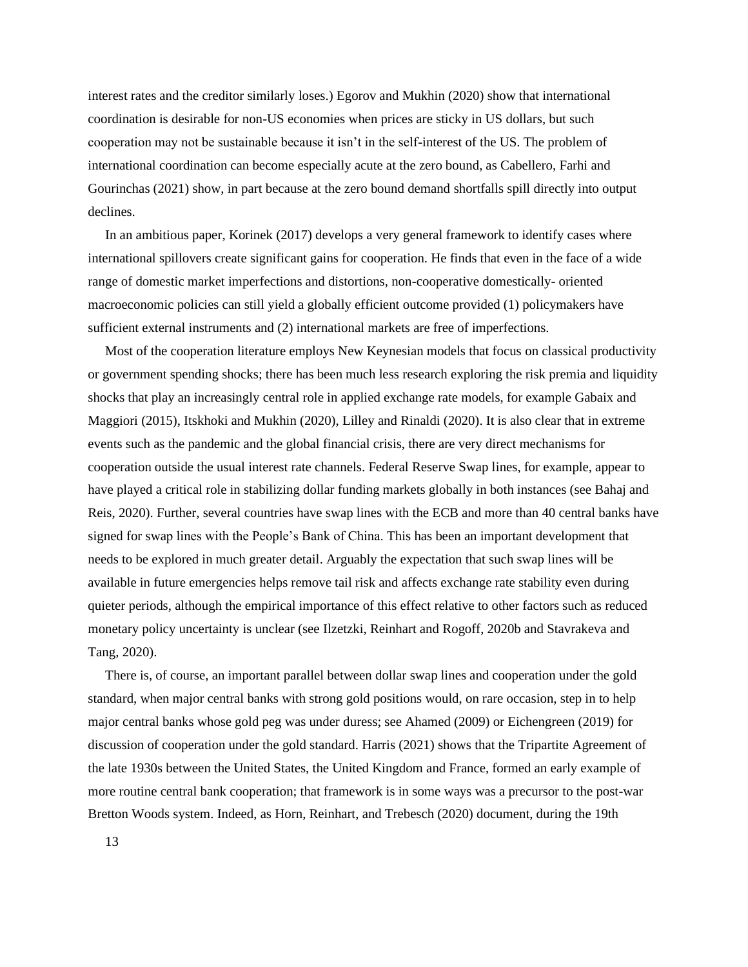interest rates and the creditor similarly loses.) Egorov and Mukhin (2020) show that international coordination is desirable for non-US economies when prices are sticky in US dollars, but such cooperation may not be sustainable because it isn't in the self-interest of the US. The problem of international coordination can become especially acute at the zero bound, as Cabellero, Farhi and Gourinchas (2021) show, in part because at the zero bound demand shortfalls spill directly into output declines.

In an ambitious paper, Korinek (2017) develops a very general framework to identify cases where international spillovers create significant gains for cooperation. He finds that even in the face of a wide range of domestic market imperfections and distortions, non-cooperative domestically- oriented macroeconomic policies can still yield a globally efficient outcome provided (1) policymakers have sufficient external instruments and (2) international markets are free of imperfections.

Most of the cooperation literature employs New Keynesian models that focus on classical productivity or government spending shocks; there has been much less research exploring the risk premia and liquidity shocks that play an increasingly central role in applied exchange rate models, for example Gabaix and Maggiori (2015), Itskhoki and Mukhin (2020), Lilley and Rinaldi (2020). It is also clear that in extreme events such as the pandemic and the global financial crisis, there are very direct mechanisms for cooperation outside the usual interest rate channels. Federal Reserve Swap lines, for example, appear to have played a critical role in stabilizing dollar funding markets globally in both instances (see Bahaj and Reis, 2020). Further, several countries have swap lines with the ECB and more than 40 central banks have signed for swap lines with the People's Bank of China. This has been an important development that needs to be explored in much greater detail. Arguably the expectation that such swap lines will be available in future emergencies helps remove tail risk and affects exchange rate stability even during quieter periods, although the empirical importance of this effect relative to other factors such as reduced monetary policy uncertainty is unclear (see Ilzetzki, Reinhart and Rogoff, 2020b and Stavrakeva and Tang, 2020).

There is, of course, an important parallel between dollar swap lines and cooperation under the gold standard, when major central banks with strong gold positions would, on rare occasion, step in to help major central banks whose gold peg was under duress; see Ahamed (2009) or Eichengreen (2019) for discussion of cooperation under the gold standard. Harris (2021) shows that the Tripartite Agreement of the late 1930s between the United States, the United Kingdom and France, formed an early example of more routine central bank cooperation; that framework is in some ways was a precursor to the post-war Bretton Woods system. Indeed, as Horn, Reinhart, and Trebesch (2020) document, during the 19th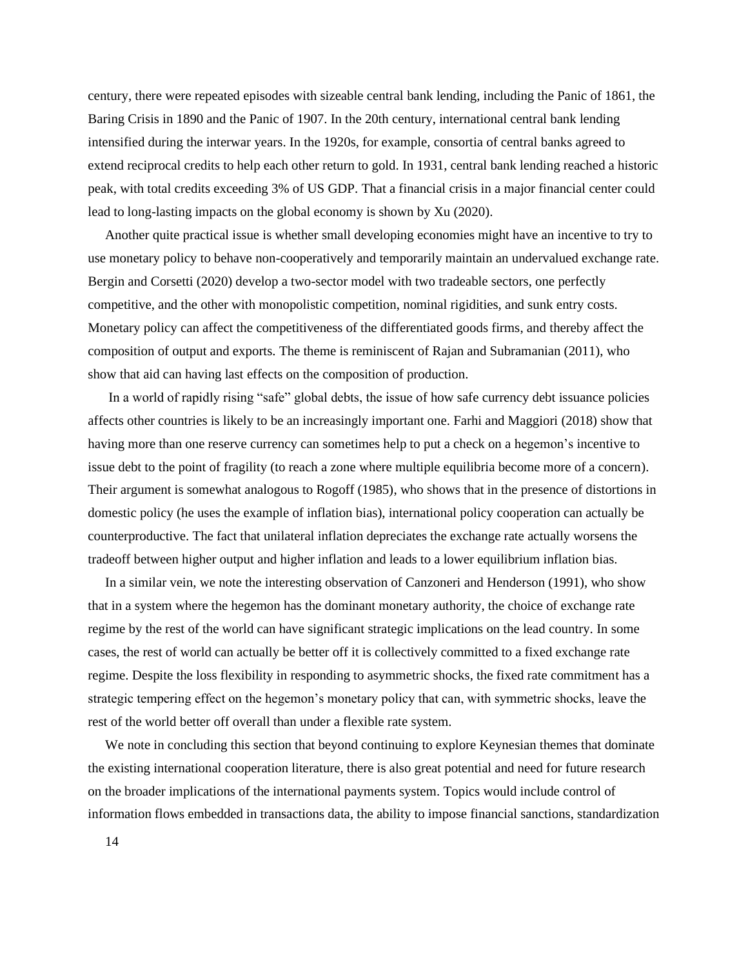century, there were repeated episodes with sizeable central bank lending, including the Panic of 1861, the Baring Crisis in 1890 and the Panic of 1907. In the 20th century, international central bank lending intensified during the interwar years. In the 1920s, for example, consortia of central banks agreed to extend reciprocal credits to help each other return to gold. In 1931, central bank lending reached a historic peak, with total credits exceeding 3% of US GDP. That a financial crisis in a major financial center could lead to long-lasting impacts on the global economy is shown by Xu (2020).

Another quite practical issue is whether small developing economies might have an incentive to try to use monetary policy to behave non-cooperatively and temporarily maintain an undervalued exchange rate. Bergin and Corsetti (2020) develop a two-sector model with two tradeable sectors, one perfectly competitive, and the other with monopolistic competition, nominal rigidities, and sunk entry costs. Monetary policy can affect the competitiveness of the differentiated goods firms, and thereby affect the composition of output and exports. The theme is reminiscent of Rajan and Subramanian (2011), who show that aid can having last effects on the composition of production.

In a world of rapidly rising "safe" global debts, the issue of how safe currency debt issuance policies affects other countries is likely to be an increasingly important one. Farhi and Maggiori (2018) show that having more than one reserve currency can sometimes help to put a check on a hegemon's incentive to issue debt to the point of fragility (to reach a zone where multiple equilibria become more of a concern). Their argument is somewhat analogous to Rogoff (1985), who shows that in the presence of distortions in domestic policy (he uses the example of inflation bias), international policy cooperation can actually be counterproductive. The fact that unilateral inflation depreciates the exchange rate actually worsens the tradeoff between higher output and higher inflation and leads to a lower equilibrium inflation bias.

In a similar vein, we note the interesting observation of Canzoneri and Henderson (1991), who show that in a system where the hegemon has the dominant monetary authority, the choice of exchange rate regime by the rest of the world can have significant strategic implications on the lead country. In some cases, the rest of world can actually be better off it is collectively committed to a fixed exchange rate regime. Despite the loss flexibility in responding to asymmetric shocks, the fixed rate commitment has a strategic tempering effect on the hegemon's monetary policy that can, with symmetric shocks, leave the rest of the world better off overall than under a flexible rate system.

We note in concluding this section that beyond continuing to explore Keynesian themes that dominate the existing international cooperation literature, there is also great potential and need for future research on the broader implications of the international payments system. Topics would include control of information flows embedded in transactions data, the ability to impose financial sanctions, standardization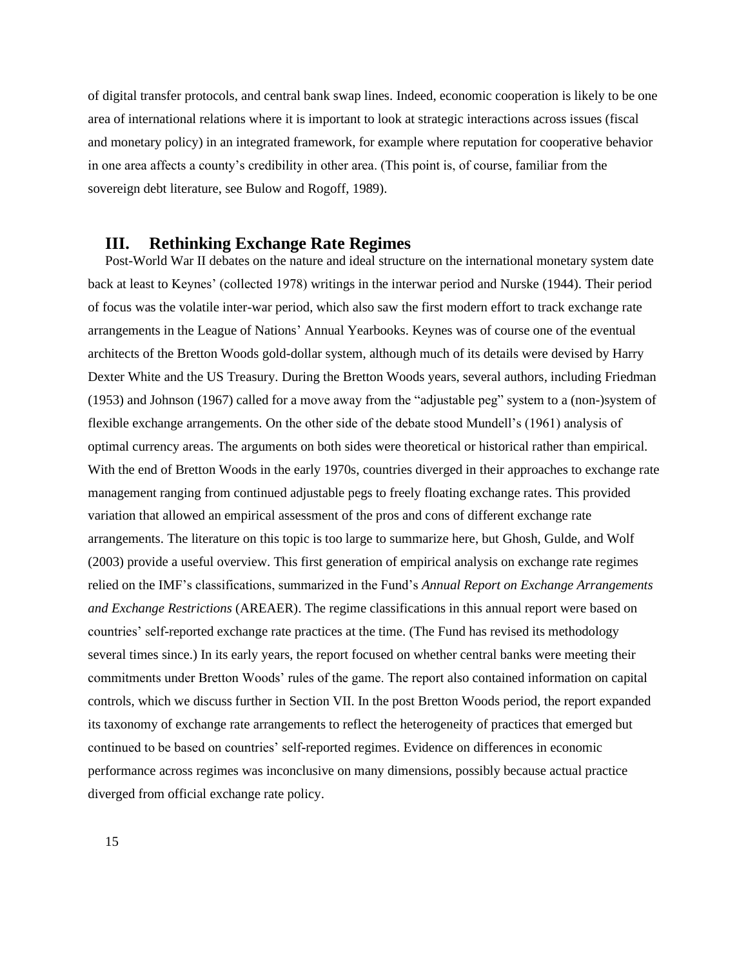of digital transfer protocols, and central bank swap lines. Indeed, economic cooperation is likely to be one area of international relations where it is important to look at strategic interactions across issues (fiscal and monetary policy) in an integrated framework, for example where reputation for cooperative behavior in one area affects a county's credibility in other area. (This point is, of course, familiar from the sovereign debt literature, see Bulow and Rogoff, 1989).

### **III. Rethinking Exchange Rate Regimes**

Post-World War II debates on the nature and ideal structure on the international monetary system date back at least to Keynes' (collected 1978) writings in the interwar period and Nurske (1944). Their period of focus was the volatile inter-war period, which also saw the first modern effort to track exchange rate arrangements in the League of Nations' Annual Yearbooks. Keynes was of course one of the eventual architects of the Bretton Woods gold-dollar system, although much of its details were devised by Harry Dexter White and the US Treasury. During the Bretton Woods years, several authors, including Friedman (1953) and Johnson (1967) called for a move away from the "adjustable peg" system to a (non-)system of flexible exchange arrangements. On the other side of the debate stood Mundell's (1961) analysis of optimal currency areas. The arguments on both sides were theoretical or historical rather than empirical. With the end of Bretton Woods in the early 1970s, countries diverged in their approaches to exchange rate management ranging from continued adjustable pegs to freely floating exchange rates. This provided variation that allowed an empirical assessment of the pros and cons of different exchange rate arrangements. The literature on this topic is too large to summarize here, but Ghosh, Gulde, and Wolf (2003) provide a useful overview. This first generation of empirical analysis on exchange rate regimes relied on the IMF's classifications, summarized in the Fund's *Annual Report on Exchange Arrangements and Exchange Restrictions* (AREAER). The regime classifications in this annual report were based on countries' self-reported exchange rate practices at the time. (The Fund has revised its methodology several times since.) In its early years, the report focused on whether central banks were meeting their commitments under Bretton Woods' rules of the game. The report also contained information on capital controls, which we discuss further in Section VII. In the post Bretton Woods period, the report expanded its taxonomy of exchange rate arrangements to reflect the heterogeneity of practices that emerged but continued to be based on countries' self-reported regimes. Evidence on differences in economic performance across regimes was inconclusive on many dimensions, possibly because actual practice diverged from official exchange rate policy.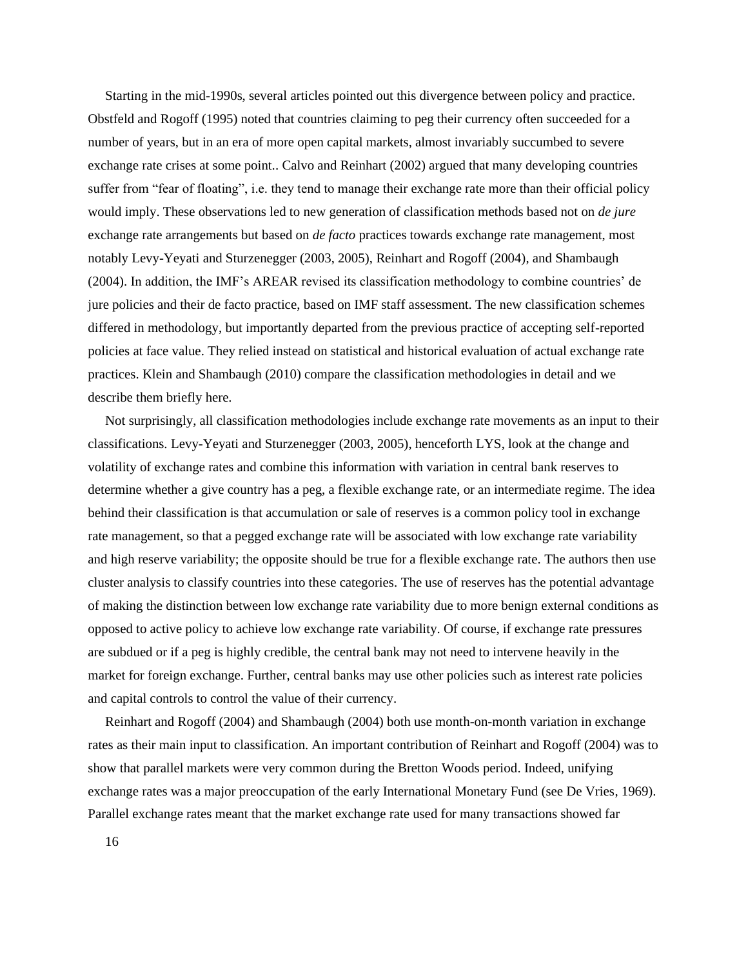Starting in the mid-1990s, several articles pointed out this divergence between policy and practice. Obstfeld and Rogoff (1995) noted that countries claiming to peg their currency often succeeded for a number of years, but in an era of more open capital markets, almost invariably succumbed to severe exchange rate crises at some point.. Calvo and Reinhart (2002) argued that many developing countries suffer from "fear of floating", i.e. they tend to manage their exchange rate more than their official policy would imply. These observations led to new generation of classification methods based not on *de jure* exchange rate arrangements but based on *de facto* practices towards exchange rate management, most notably Levy-Yeyati and Sturzenegger (2003, 2005), Reinhart and Rogoff (2004), and Shambaugh (2004). In addition, the IMF's AREAR revised its classification methodology to combine countries' de jure policies and their de facto practice, based on IMF staff assessment. The new classification schemes differed in methodology, but importantly departed from the previous practice of accepting self-reported policies at face value. They relied instead on statistical and historical evaluation of actual exchange rate practices. Klein and Shambaugh (2010) compare the classification methodologies in detail and we describe them briefly here.

Not surprisingly, all classification methodologies include exchange rate movements as an input to their classifications. Levy-Yeyati and Sturzenegger (2003, 2005), henceforth LYS, look at the change and volatility of exchange rates and combine this information with variation in central bank reserves to determine whether a give country has a peg, a flexible exchange rate, or an intermediate regime. The idea behind their classification is that accumulation or sale of reserves is a common policy tool in exchange rate management, so that a pegged exchange rate will be associated with low exchange rate variability and high reserve variability; the opposite should be true for a flexible exchange rate. The authors then use cluster analysis to classify countries into these categories. The use of reserves has the potential advantage of making the distinction between low exchange rate variability due to more benign external conditions as opposed to active policy to achieve low exchange rate variability. Of course, if exchange rate pressures are subdued or if a peg is highly credible, the central bank may not need to intervene heavily in the market for foreign exchange. Further, central banks may use other policies such as interest rate policies and capital controls to control the value of their currency.

Reinhart and Rogoff (2004) and Shambaugh (2004) both use month-on-month variation in exchange rates as their main input to classification. An important contribution of Reinhart and Rogoff (2004) was to show that parallel markets were very common during the Bretton Woods period. Indeed, unifying exchange rates was a major preoccupation of the early International Monetary Fund (see De Vries, 1969). Parallel exchange rates meant that the market exchange rate used for many transactions showed far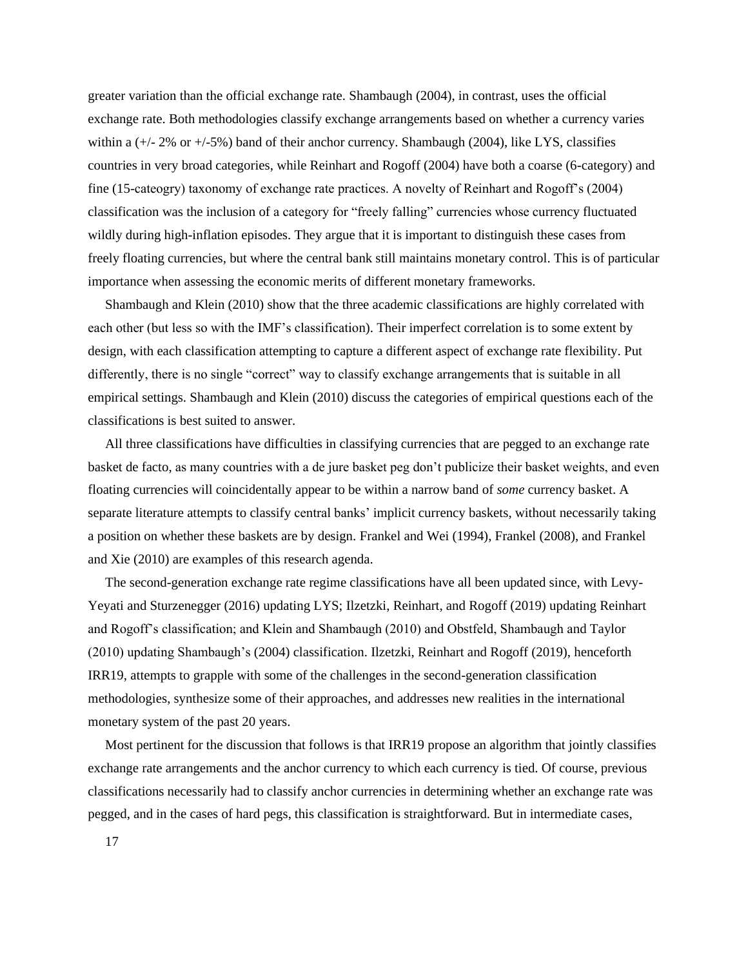greater variation than the official exchange rate. Shambaugh (2004), in contrast, uses the official exchange rate. Both methodologies classify exchange arrangements based on whether a currency varies within a  $(+/- 2\%$  or  $+/-5\%)$  band of their anchor currency. Shambaugh (2004), like LYS, classifies countries in very broad categories, while Reinhart and Rogoff (2004) have both a coarse (6-category) and fine (15-cateogry) taxonomy of exchange rate practices. A novelty of Reinhart and Rogoff's (2004) classification was the inclusion of a category for "freely falling" currencies whose currency fluctuated wildly during high-inflation episodes. They argue that it is important to distinguish these cases from freely floating currencies, but where the central bank still maintains monetary control. This is of particular importance when assessing the economic merits of different monetary frameworks.

Shambaugh and Klein (2010) show that the three academic classifications are highly correlated with each other (but less so with the IMF's classification). Their imperfect correlation is to some extent by design, with each classification attempting to capture a different aspect of exchange rate flexibility. Put differently, there is no single "correct" way to classify exchange arrangements that is suitable in all empirical settings. Shambaugh and Klein (2010) discuss the categories of empirical questions each of the classifications is best suited to answer.

All three classifications have difficulties in classifying currencies that are pegged to an exchange rate basket de facto, as many countries with a de jure basket peg don't publicize their basket weights, and even floating currencies will coincidentally appear to be within a narrow band of *some* currency basket. A separate literature attempts to classify central banks' implicit currency baskets, without necessarily taking a position on whether these baskets are by design. Frankel and Wei (1994), Frankel (2008), and Frankel and Xie (2010) are examples of this research agenda.

The second-generation exchange rate regime classifications have all been updated since, with Levy-Yeyati and Sturzenegger (2016) updating LYS; Ilzetzki, Reinhart, and Rogoff (2019) updating Reinhart and Rogoff's classification; and Klein and Shambaugh (2010) and Obstfeld, Shambaugh and Taylor (2010) updating Shambaugh's (2004) classification. Ilzetzki, Reinhart and Rogoff (2019), henceforth IRR19, attempts to grapple with some of the challenges in the second-generation classification methodologies, synthesize some of their approaches, and addresses new realities in the international monetary system of the past 20 years.

Most pertinent for the discussion that follows is that IRR19 propose an algorithm that jointly classifies exchange rate arrangements and the anchor currency to which each currency is tied. Of course, previous classifications necessarily had to classify anchor currencies in determining whether an exchange rate was pegged, and in the cases of hard pegs, this classification is straightforward. But in intermediate cases,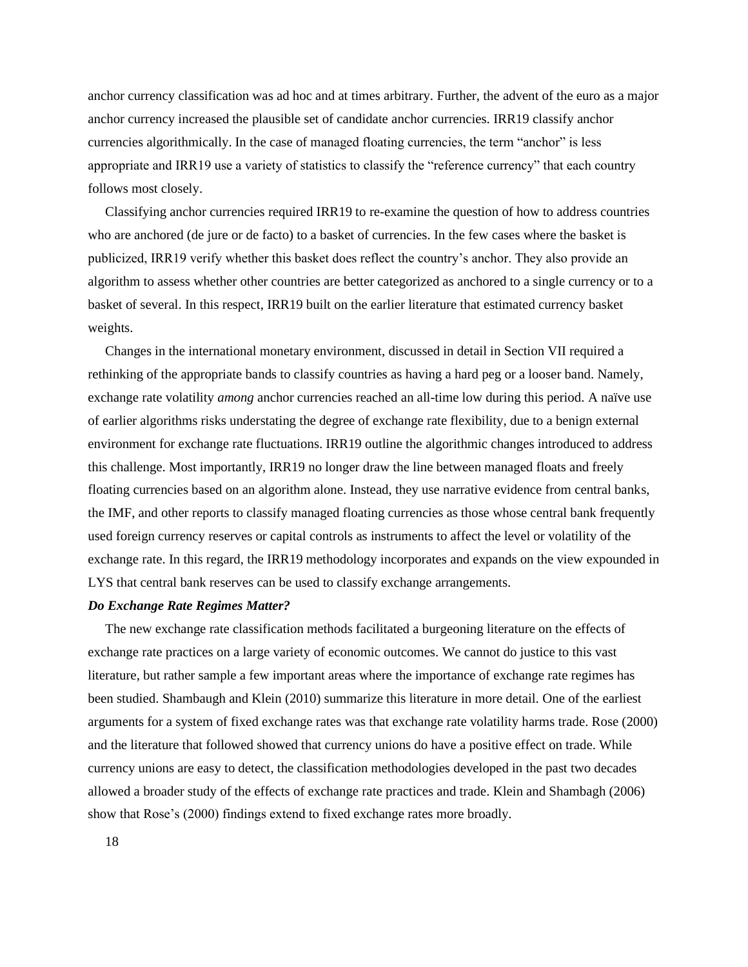anchor currency classification was ad hoc and at times arbitrary. Further, the advent of the euro as a major anchor currency increased the plausible set of candidate anchor currencies. IRR19 classify anchor currencies algorithmically. In the case of managed floating currencies, the term "anchor" is less appropriate and IRR19 use a variety of statistics to classify the "reference currency" that each country follows most closely.

Classifying anchor currencies required IRR19 to re-examine the question of how to address countries who are anchored (de jure or de facto) to a basket of currencies. In the few cases where the basket is publicized, IRR19 verify whether this basket does reflect the country's anchor. They also provide an algorithm to assess whether other countries are better categorized as anchored to a single currency or to a basket of several. In this respect, IRR19 built on the earlier literature that estimated currency basket weights.

Changes in the international monetary environment, discussed in detail in Section VII required a rethinking of the appropriate bands to classify countries as having a hard peg or a looser band. Namely, exchange rate volatility *among* anchor currencies reached an all-time low during this period. A naïve use of earlier algorithms risks understating the degree of exchange rate flexibility, due to a benign external environment for exchange rate fluctuations. IRR19 outline the algorithmic changes introduced to address this challenge. Most importantly, IRR19 no longer draw the line between managed floats and freely floating currencies based on an algorithm alone. Instead, they use narrative evidence from central banks, the IMF, and other reports to classify managed floating currencies as those whose central bank frequently used foreign currency reserves or capital controls as instruments to affect the level or volatility of the exchange rate. In this regard, the IRR19 methodology incorporates and expands on the view expounded in LYS that central bank reserves can be used to classify exchange arrangements.

#### *Do Exchange Rate Regimes Matter?*

The new exchange rate classification methods facilitated a burgeoning literature on the effects of exchange rate practices on a large variety of economic outcomes. We cannot do justice to this vast literature, but rather sample a few important areas where the importance of exchange rate regimes has been studied. Shambaugh and Klein (2010) summarize this literature in more detail. One of the earliest arguments for a system of fixed exchange rates was that exchange rate volatility harms trade. Rose (2000) and the literature that followed showed that currency unions do have a positive effect on trade. While currency unions are easy to detect, the classification methodologies developed in the past two decades allowed a broader study of the effects of exchange rate practices and trade. Klein and Shambagh (2006) show that Rose's (2000) findings extend to fixed exchange rates more broadly.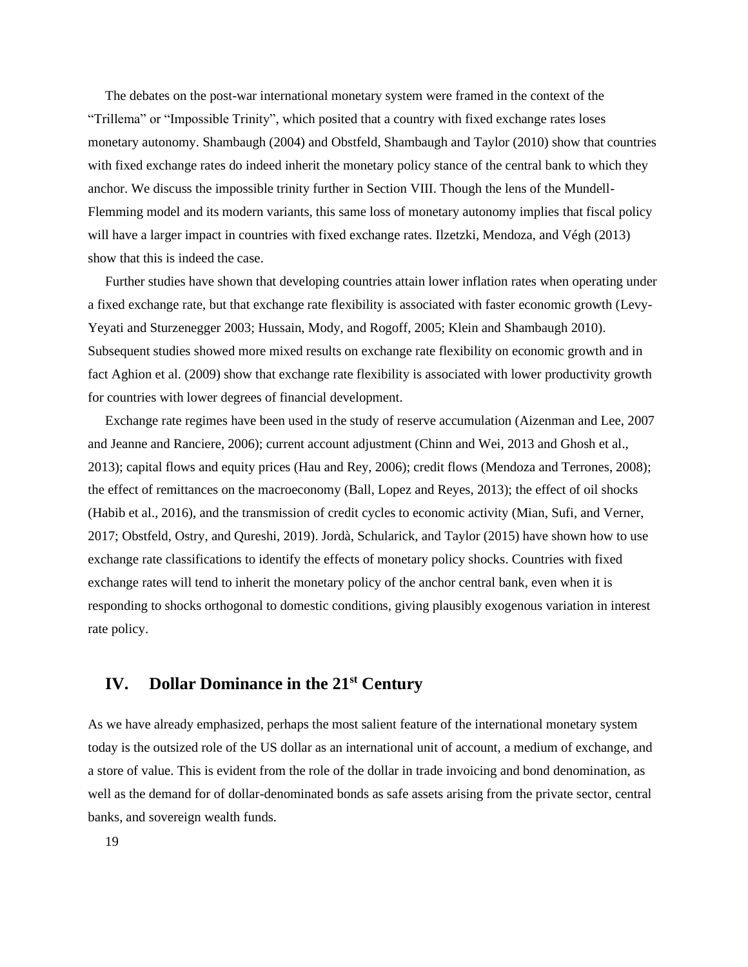The debates on the post-war international monetary system were framed in the context of the "Trillema" or "Impossible Trinity", which posited that a country with fixed exchange rates loses monetary autonomy. Shambaugh (2004) and Obstfeld, Shambaugh and Taylor (2010) show that countries with fixed exchange rates do indeed inherit the monetary policy stance of the central bank to which they anchor. We discuss the impossible trinity further in Section VIII. Though the lens of the Mundell-Flemming model and its modern variants, this same loss of monetary autonomy implies that fiscal policy will have a larger impact in countries with fixed exchange rates. Ilzetzki, Mendoza, and Végh (2013) show that this is indeed the case.

Further studies have shown that developing countries attain lower inflation rates when operating under a fixed exchange rate, but that exchange rate flexibility is associated with faster economic growth (Levy-Yeyati and Sturzenegger 2003; Hussain, Mody, and Rogoff, 2005; Klein and Shambaugh 2010). Subsequent studies showed more mixed results on exchange rate flexibility on economic growth and in fact Aghion et al. (2009) show that exchange rate flexibility is associated with lower productivity growth for countries with lower degrees of financial development.

Exchange rate regimes have been used in the study of reserve accumulation (Aizenman and Lee, 2007 and Jeanne and Ranciere, 2006); current account adjustment (Chinn and Wei, 2013 and Ghosh et al., 2013); capital flows and equity prices (Hau and Rey, 2006); credit flows (Mendoza and Terrones, 2008); the effect of remittances on the macroeconomy (Ball, Lopez and Reyes, 2013); the effect of oil shocks (Habib et al., 2016), and the transmission of credit cycles to economic activity (Mian, Sufi, and Verner, 2017; Obstfeld, Ostry, and Qureshi, 2019). Jordà, Schularick, and Taylor (2015) have shown how to use exchange rate classifications to identify the effects of monetary policy shocks. Countries with fixed exchange rates will tend to inherit the monetary policy of the anchor central bank, even when it is responding to shocks orthogonal to domestic conditions, giving plausibly exogenous variation in interest rate policy.

# **IV. Dollar Dominance in the 21st Century**

As we have already emphasized, perhaps the most salient feature of the international monetary system today is the outsized role of the US dollar as an international unit of account, a medium of exchange, and a store of value. This is evident from the role of the dollar in trade invoicing and bond denomination, as well as the demand for of dollar-denominated bonds as safe assets arising from the private sector, central banks, and sovereign wealth funds.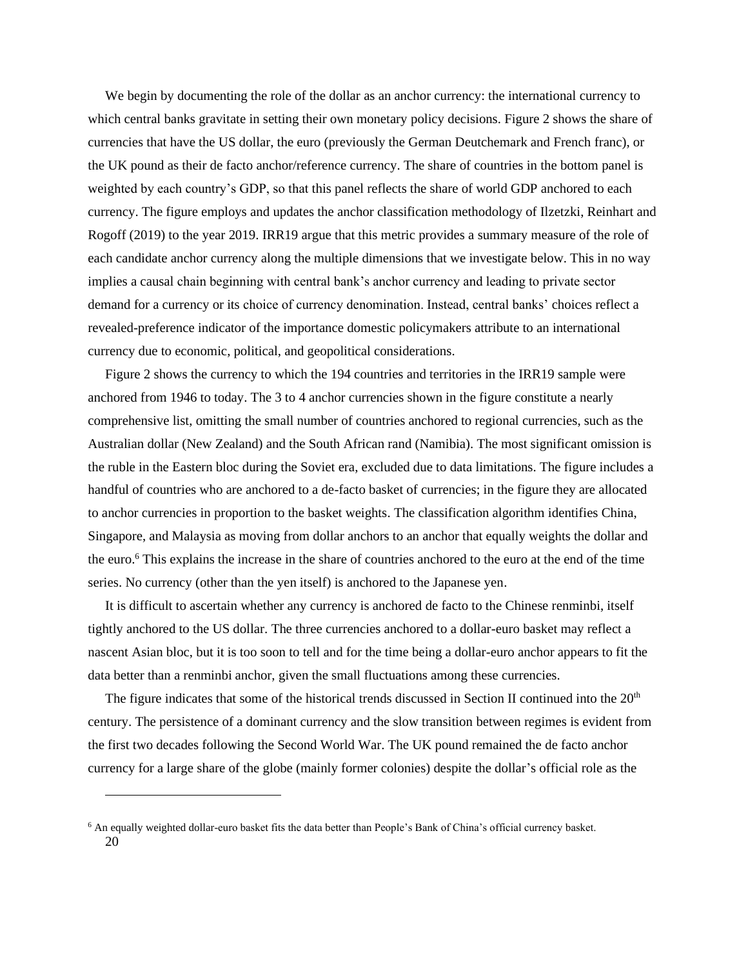We begin by documenting the role of the dollar as an anchor currency: the international currency to which central banks gravitate in setting their own monetary policy decisions. Figure 2 shows the share of currencies that have the US dollar, the euro (previously the German Deutchemark and French franc), or the UK pound as their de facto anchor/reference currency. The share of countries in the bottom panel is weighted by each country's GDP, so that this panel reflects the share of world GDP anchored to each currency. The figure employs and updates the anchor classification methodology of Ilzetzki, Reinhart and Rogoff (2019) to the year 2019. IRR19 argue that this metric provides a summary measure of the role of each candidate anchor currency along the multiple dimensions that we investigate below. This in no way implies a causal chain beginning with central bank's anchor currency and leading to private sector demand for a currency or its choice of currency denomination. Instead, central banks' choices reflect a revealed-preference indicator of the importance domestic policymakers attribute to an international currency due to economic, political, and geopolitical considerations.

Figure 2 shows the currency to which the 194 countries and territories in the IRR19 sample were anchored from 1946 to today. The 3 to 4 anchor currencies shown in the figure constitute a nearly comprehensive list, omitting the small number of countries anchored to regional currencies, such as the Australian dollar (New Zealand) and the South African rand (Namibia). The most significant omission is the ruble in the Eastern bloc during the Soviet era, excluded due to data limitations. The figure includes a handful of countries who are anchored to a de-facto basket of currencies; in the figure they are allocated to anchor currencies in proportion to the basket weights. The classification algorithm identifies China, Singapore, and Malaysia as moving from dollar anchors to an anchor that equally weights the dollar and the euro.<sup>6</sup> This explains the increase in the share of countries anchored to the euro at the end of the time series. No currency (other than the yen itself) is anchored to the Japanese yen.

It is difficult to ascertain whether any currency is anchored de facto to the Chinese renminbi, itself tightly anchored to the US dollar. The three currencies anchored to a dollar-euro basket may reflect a nascent Asian bloc, but it is too soon to tell and for the time being a dollar-euro anchor appears to fit the data better than a renminbi anchor, given the small fluctuations among these currencies.

The figure indicates that some of the historical trends discussed in Section II continued into the 20<sup>th</sup> century. The persistence of a dominant currency and the slow transition between regimes is evident from the first two decades following the Second World War. The UK pound remained the de facto anchor currency for a large share of the globe (mainly former colonies) despite the dollar's official role as the

<sup>20</sup> <sup>6</sup> An equally weighted dollar-euro basket fits the data better than People's Bank of China's official currency basket.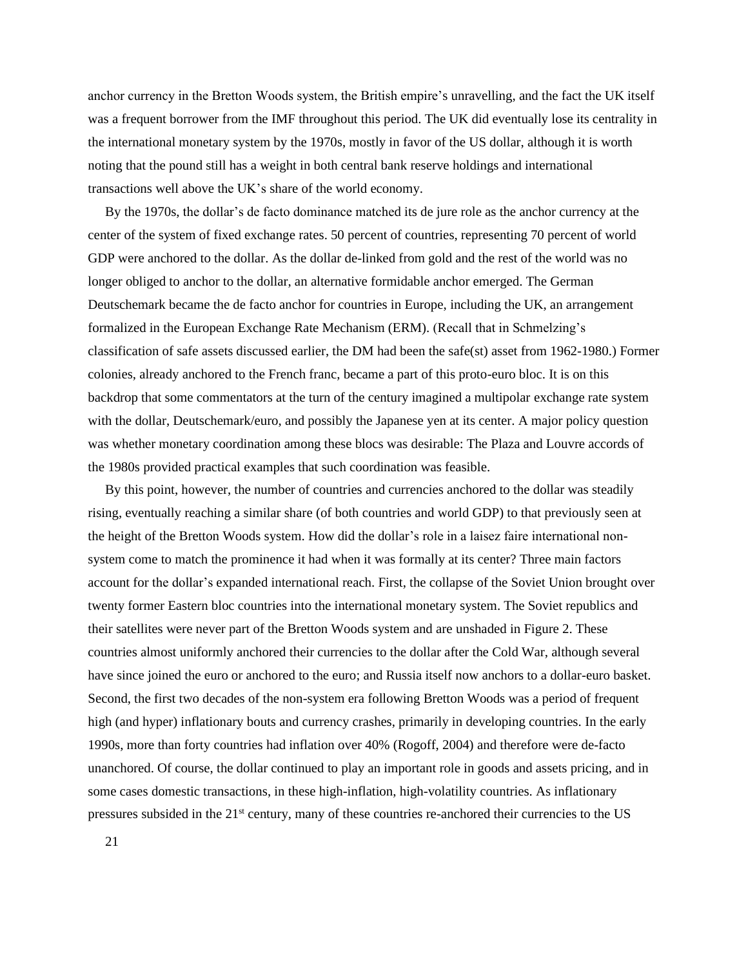anchor currency in the Bretton Woods system, the British empire's unravelling, and the fact the UK itself was a frequent borrower from the IMF throughout this period. The UK did eventually lose its centrality in the international monetary system by the 1970s, mostly in favor of the US dollar, although it is worth noting that the pound still has a weight in both central bank reserve holdings and international transactions well above the UK's share of the world economy.

By the 1970s, the dollar's de facto dominance matched its de jure role as the anchor currency at the center of the system of fixed exchange rates. 50 percent of countries, representing 70 percent of world GDP were anchored to the dollar. As the dollar de-linked from gold and the rest of the world was no longer obliged to anchor to the dollar, an alternative formidable anchor emerged. The German Deutschemark became the de facto anchor for countries in Europe, including the UK, an arrangement formalized in the European Exchange Rate Mechanism (ERM). (Recall that in Schmelzing's classification of safe assets discussed earlier, the DM had been the safe(st) asset from 1962-1980.) Former colonies, already anchored to the French franc, became a part of this proto-euro bloc. It is on this backdrop that some commentators at the turn of the century imagined a multipolar exchange rate system with the dollar, Deutschemark/euro, and possibly the Japanese yen at its center. A major policy question was whether monetary coordination among these blocs was desirable: The Plaza and Louvre accords of the 1980s provided practical examples that such coordination was feasible.

By this point, however, the number of countries and currencies anchored to the dollar was steadily rising, eventually reaching a similar share (of both countries and world GDP) to that previously seen at the height of the Bretton Woods system. How did the dollar's role in a laisez faire international nonsystem come to match the prominence it had when it was formally at its center? Three main factors account for the dollar's expanded international reach. First, the collapse of the Soviet Union brought over twenty former Eastern bloc countries into the international monetary system. The Soviet republics and their satellites were never part of the Bretton Woods system and are unshaded in Figure 2. These countries almost uniformly anchored their currencies to the dollar after the Cold War, although several have since joined the euro or anchored to the euro; and Russia itself now anchors to a dollar-euro basket. Second, the first two decades of the non-system era following Bretton Woods was a period of frequent high (and hyper) inflationary bouts and currency crashes, primarily in developing countries. In the early 1990s, more than forty countries had inflation over 40% (Rogoff, 2004) and therefore were de-facto unanchored. Of course, the dollar continued to play an important role in goods and assets pricing, and in some cases domestic transactions, in these high-inflation, high-volatility countries. As inflationary pressures subsided in the 21st century, many of these countries re-anchored their currencies to the US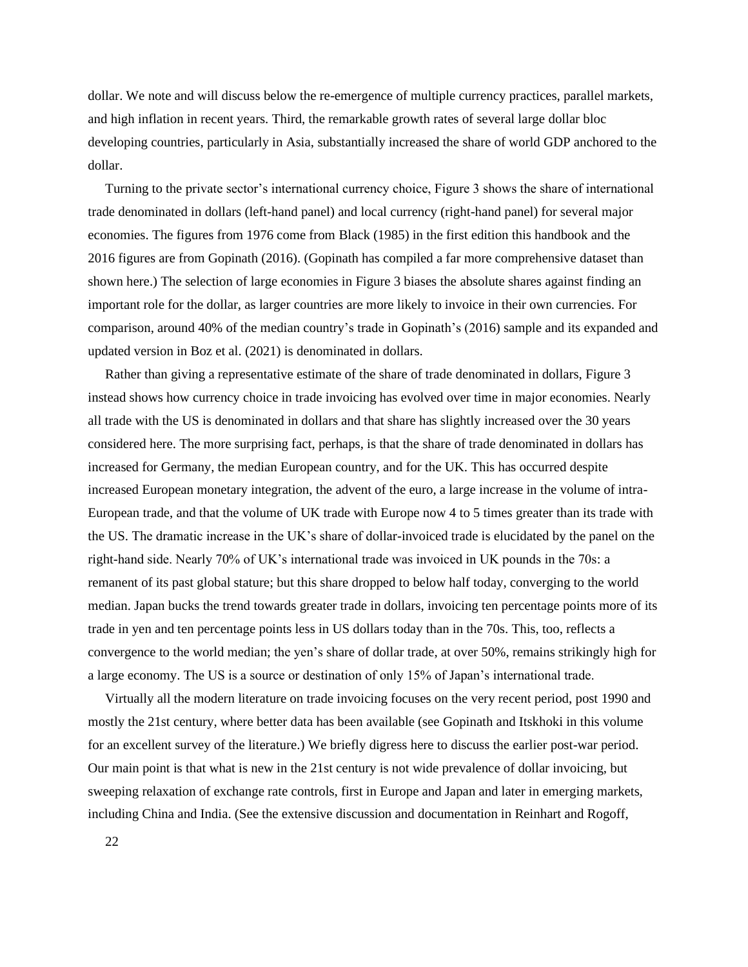dollar. We note and will discuss below the re-emergence of multiple currency practices, parallel markets, and high inflation in recent years. Third, the remarkable growth rates of several large dollar bloc developing countries, particularly in Asia, substantially increased the share of world GDP anchored to the dollar.

Turning to the private sector's international currency choice, Figure 3 shows the share of international trade denominated in dollars (left-hand panel) and local currency (right-hand panel) for several major economies. The figures from 1976 come from Black (1985) in the first edition this handbook and the 2016 figures are from Gopinath (2016). (Gopinath has compiled a far more comprehensive dataset than shown here.) The selection of large economies in Figure 3 biases the absolute shares against finding an important role for the dollar, as larger countries are more likely to invoice in their own currencies. For comparison, around 40% of the median country's trade in Gopinath's (2016) sample and its expanded and updated version in Boz et al. (2021) is denominated in dollars.

Rather than giving a representative estimate of the share of trade denominated in dollars, Figure 3 instead shows how currency choice in trade invoicing has evolved over time in major economies. Nearly all trade with the US is denominated in dollars and that share has slightly increased over the 30 years considered here. The more surprising fact, perhaps, is that the share of trade denominated in dollars has increased for Germany, the median European country, and for the UK. This has occurred despite increased European monetary integration, the advent of the euro, a large increase in the volume of intra-European trade, and that the volume of UK trade with Europe now 4 to 5 times greater than its trade with the US. The dramatic increase in the UK's share of dollar-invoiced trade is elucidated by the panel on the right-hand side. Nearly 70% of UK's international trade was invoiced in UK pounds in the 70s: a remanent of its past global stature; but this share dropped to below half today, converging to the world median. Japan bucks the trend towards greater trade in dollars, invoicing ten percentage points more of its trade in yen and ten percentage points less in US dollars today than in the 70s. This, too, reflects a convergence to the world median; the yen's share of dollar trade, at over 50%, remains strikingly high for a large economy. The US is a source or destination of only 15% of Japan's international trade.

Virtually all the modern literature on trade invoicing focuses on the very recent period, post 1990 and mostly the 21st century, where better data has been available (see Gopinath and Itskhoki in this volume for an excellent survey of the literature.) We briefly digress here to discuss the earlier post-war period. Our main point is that what is new in the 21st century is not wide prevalence of dollar invoicing, but sweeping relaxation of exchange rate controls, first in Europe and Japan and later in emerging markets, including China and India. (See the extensive discussion and documentation in Reinhart and Rogoff,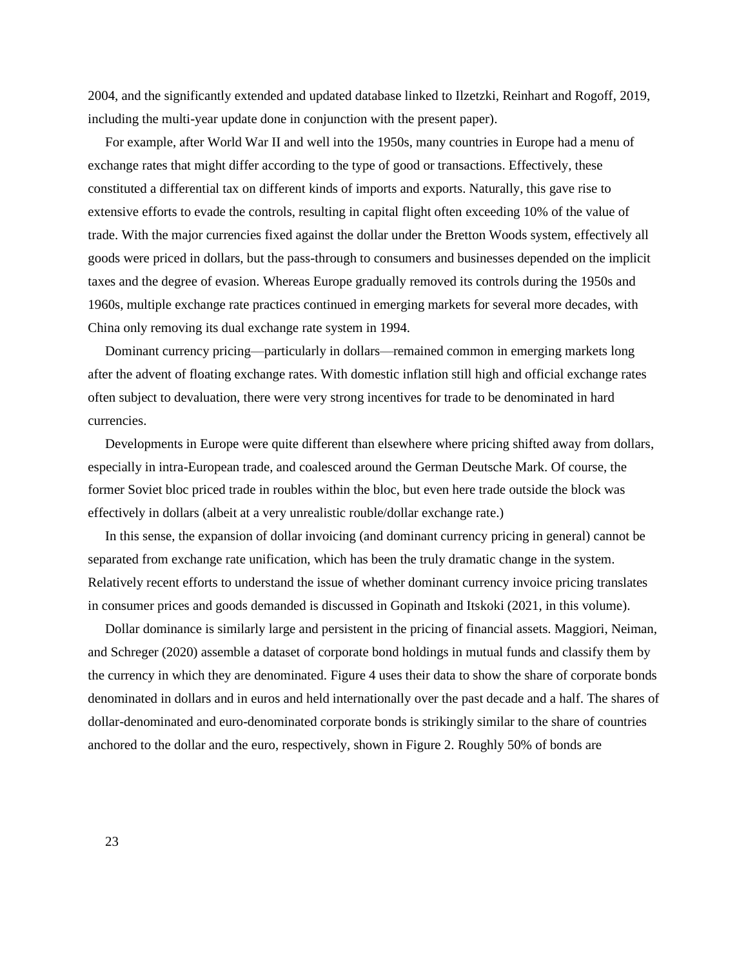2004, and the significantly extended and updated database linked to Ilzetzki, Reinhart and Rogoff, 2019, including the multi-year update done in conjunction with the present paper).

For example, after World War II and well into the 1950s, many countries in Europe had a menu of exchange rates that might differ according to the type of good or transactions. Effectively, these constituted a differential tax on different kinds of imports and exports. Naturally, this gave rise to extensive efforts to evade the controls, resulting in capital flight often exceeding 10% of the value of trade. With the major currencies fixed against the dollar under the Bretton Woods system, effectively all goods were priced in dollars, but the pass-through to consumers and businesses depended on the implicit taxes and the degree of evasion. Whereas Europe gradually removed its controls during the 1950s and 1960s, multiple exchange rate practices continued in emerging markets for several more decades, with China only removing its dual exchange rate system in 1994.

Dominant currency pricing—particularly in dollars—remained common in emerging markets long after the advent of floating exchange rates. With domestic inflation still high and official exchange rates often subject to devaluation, there were very strong incentives for trade to be denominated in hard currencies.

Developments in Europe were quite different than elsewhere where pricing shifted away from dollars, especially in intra-European trade, and coalesced around the German Deutsche Mark. Of course, the former Soviet bloc priced trade in roubles within the bloc, but even here trade outside the block was effectively in dollars (albeit at a very unrealistic rouble/dollar exchange rate.)

In this sense, the expansion of dollar invoicing (and dominant currency pricing in general) cannot be separated from exchange rate unification, which has been the truly dramatic change in the system. Relatively recent efforts to understand the issue of whether dominant currency invoice pricing translates in consumer prices and goods demanded is discussed in Gopinath and Itskoki (2021, in this volume).

Dollar dominance is similarly large and persistent in the pricing of financial assets. Maggiori, Neiman, and Schreger (2020) assemble a dataset of corporate bond holdings in mutual funds and classify them by the currency in which they are denominated. Figure 4 uses their data to show the share of corporate bonds denominated in dollars and in euros and held internationally over the past decade and a half. The shares of dollar-denominated and euro-denominated corporate bonds is strikingly similar to the share of countries anchored to the dollar and the euro, respectively, shown in Figure 2. Roughly 50% of bonds are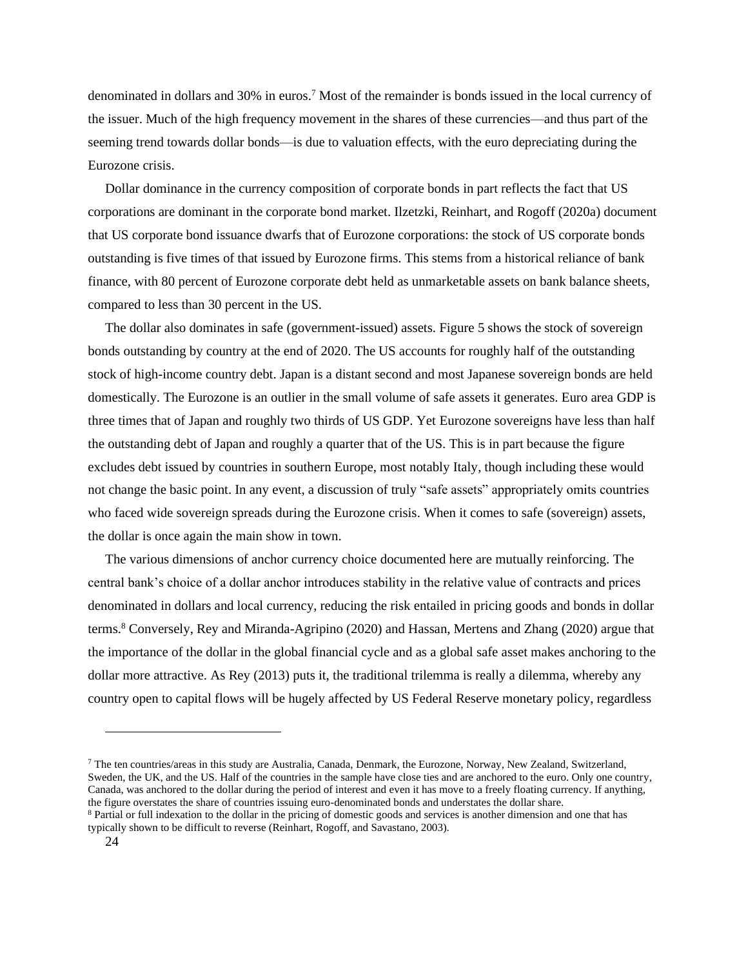denominated in dollars and 30% in euros.<sup>7</sup> Most of the remainder is bonds issued in the local currency of the issuer. Much of the high frequency movement in the shares of these currencies—and thus part of the seeming trend towards dollar bonds—is due to valuation effects, with the euro depreciating during the Eurozone crisis.

Dollar dominance in the currency composition of corporate bonds in part reflects the fact that US corporations are dominant in the corporate bond market. Ilzetzki, Reinhart, and Rogoff (2020a) document that US corporate bond issuance dwarfs that of Eurozone corporations: the stock of US corporate bonds outstanding is five times of that issued by Eurozone firms. This stems from a historical reliance of bank finance, with 80 percent of Eurozone corporate debt held as unmarketable assets on bank balance sheets, compared to less than 30 percent in the US.

The dollar also dominates in safe (government-issued) assets. Figure 5 shows the stock of sovereign bonds outstanding by country at the end of 2020. The US accounts for roughly half of the outstanding stock of high-income country debt. Japan is a distant second and most Japanese sovereign bonds are held domestically. The Eurozone is an outlier in the small volume of safe assets it generates. Euro area GDP is three times that of Japan and roughly two thirds of US GDP. Yet Eurozone sovereigns have less than half the outstanding debt of Japan and roughly a quarter that of the US. This is in part because the figure excludes debt issued by countries in southern Europe, most notably Italy, though including these would not change the basic point. In any event, a discussion of truly "safe assets" appropriately omits countries who faced wide sovereign spreads during the Eurozone crisis. When it comes to safe (sovereign) assets, the dollar is once again the main show in town.

The various dimensions of anchor currency choice documented here are mutually reinforcing. The central bank's choice of a dollar anchor introduces stability in the relative value of contracts and prices denominated in dollars and local currency, reducing the risk entailed in pricing goods and bonds in dollar terms.<sup>8</sup> Conversely, Rey and Miranda-Agripino (2020) and Hassan, Mertens and Zhang (2020) argue that the importance of the dollar in the global financial cycle and as a global safe asset makes anchoring to the dollar more attractive. As Rey (2013) puts it, the traditional trilemma is really a dilemma, whereby any country open to capital flows will be hugely affected by US Federal Reserve monetary policy, regardless

<sup>7</sup> The ten countries/areas in this study are Australia, Canada, Denmark, the Eurozone, Norway, New Zealand, Switzerland, Sweden, the UK, and the US. Half of the countries in the sample have close ties and are anchored to the euro. Only one country, Canada, was anchored to the dollar during the period of interest and even it has move to a freely floating currency. If anything, the figure overstates the share of countries issuing euro-denominated bonds and understates the dollar share.

<sup>8</sup> Partial or full indexation to the dollar in the pricing of domestic goods and services is another dimension and one that has typically shown to be difficult to reverse (Reinhart, Rogoff, and Savastano, 2003).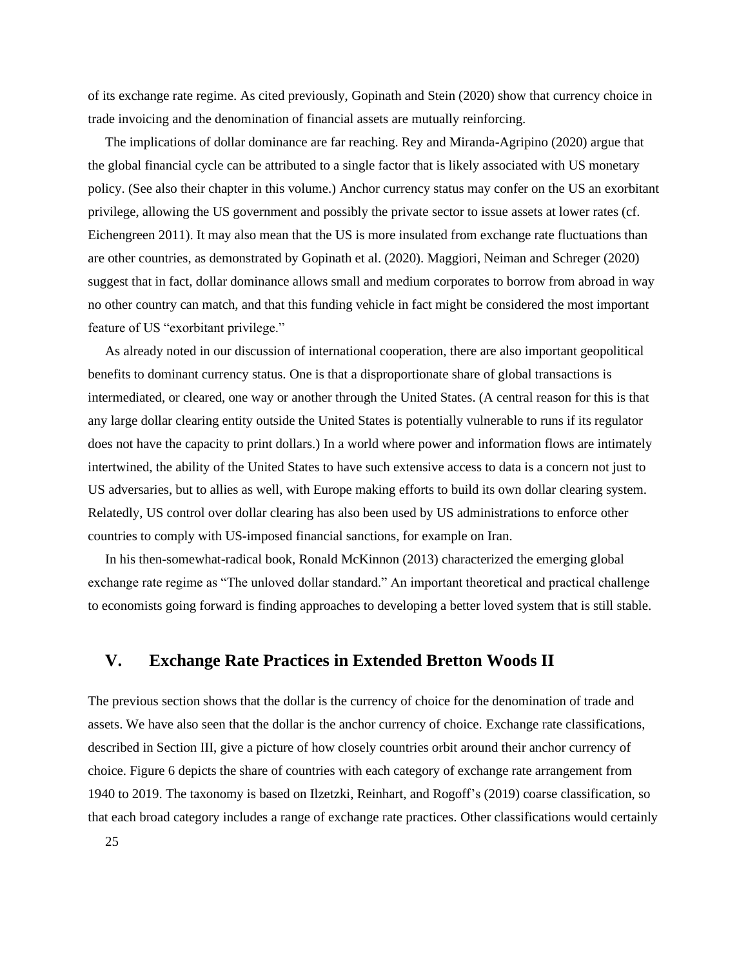of its exchange rate regime. As cited previously, Gopinath and Stein (2020) show that currency choice in trade invoicing and the denomination of financial assets are mutually reinforcing.

The implications of dollar dominance are far reaching. Rey and Miranda-Agripino (2020) argue that the global financial cycle can be attributed to a single factor that is likely associated with US monetary policy. (See also their chapter in this volume.) Anchor currency status may confer on the US an exorbitant privilege, allowing the US government and possibly the private sector to issue assets at lower rates (cf. Eichengreen 2011). It may also mean that the US is more insulated from exchange rate fluctuations than are other countries, as demonstrated by Gopinath et al. (2020). Maggiori, Neiman and Schreger (2020) suggest that in fact, dollar dominance allows small and medium corporates to borrow from abroad in way no other country can match, and that this funding vehicle in fact might be considered the most important feature of US "exorbitant privilege."

As already noted in our discussion of international cooperation, there are also important geopolitical benefits to dominant currency status. One is that a disproportionate share of global transactions is intermediated, or cleared, one way or another through the United States. (A central reason for this is that any large dollar clearing entity outside the United States is potentially vulnerable to runs if its regulator does not have the capacity to print dollars.) In a world where power and information flows are intimately intertwined, the ability of the United States to have such extensive access to data is a concern not just to US adversaries, but to allies as well, with Europe making efforts to build its own dollar clearing system. Relatedly, US control over dollar clearing has also been used by US administrations to enforce other countries to comply with US-imposed financial sanctions, for example on Iran.

In his then-somewhat-radical book, Ronald McKinnon (2013) characterized the emerging global exchange rate regime as "The unloved dollar standard." An important theoretical and practical challenge to economists going forward is finding approaches to developing a better loved system that is still stable.

# **V. Exchange Rate Practices in Extended Bretton Woods II**

The previous section shows that the dollar is the currency of choice for the denomination of trade and assets. We have also seen that the dollar is the anchor currency of choice. Exchange rate classifications, described in Section III, give a picture of how closely countries orbit around their anchor currency of choice. Figure 6 depicts the share of countries with each category of exchange rate arrangement from 1940 to 2019. The taxonomy is based on Ilzetzki, Reinhart, and Rogoff's (2019) coarse classification, so that each broad category includes a range of exchange rate practices. Other classifications would certainly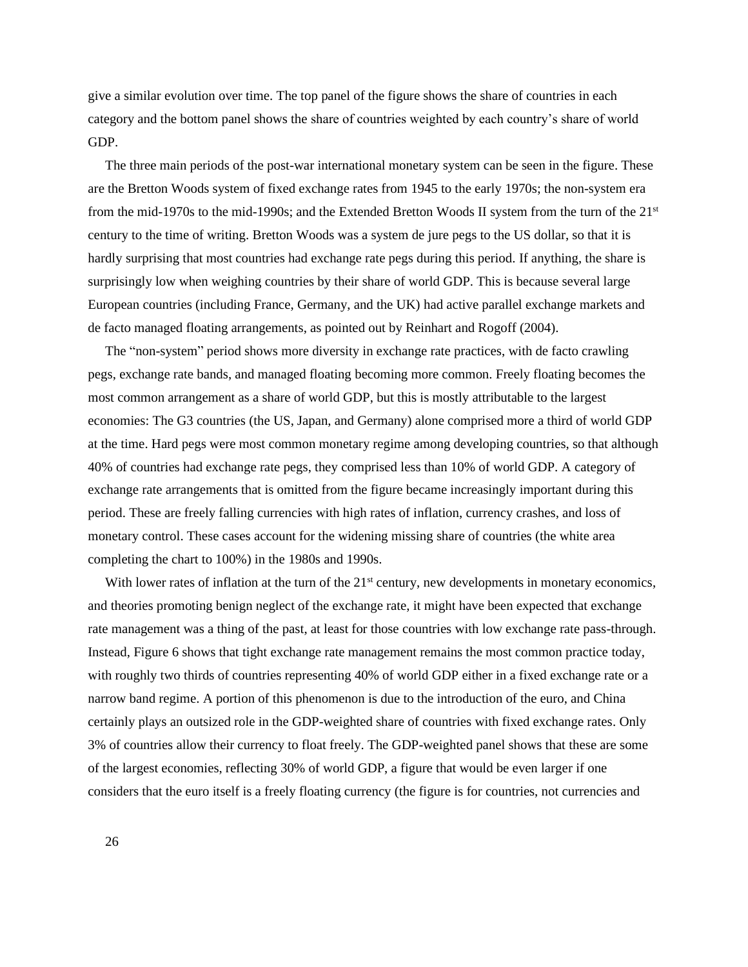give a similar evolution over time. The top panel of the figure shows the share of countries in each category and the bottom panel shows the share of countries weighted by each country's share of world GDP.

The three main periods of the post-war international monetary system can be seen in the figure. These are the Bretton Woods system of fixed exchange rates from 1945 to the early 1970s; the non-system era from the mid-1970s to the mid-1990s; and the Extended Bretton Woods II system from the turn of the 21st century to the time of writing. Bretton Woods was a system de jure pegs to the US dollar, so that it is hardly surprising that most countries had exchange rate pegs during this period. If anything, the share is surprisingly low when weighing countries by their share of world GDP. This is because several large European countries (including France, Germany, and the UK) had active parallel exchange markets and de facto managed floating arrangements, as pointed out by Reinhart and Rogoff (2004).

The "non-system" period shows more diversity in exchange rate practices, with de facto crawling pegs, exchange rate bands, and managed floating becoming more common. Freely floating becomes the most common arrangement as a share of world GDP, but this is mostly attributable to the largest economies: The G3 countries (the US, Japan, and Germany) alone comprised more a third of world GDP at the time. Hard pegs were most common monetary regime among developing countries, so that although 40% of countries had exchange rate pegs, they comprised less than 10% of world GDP. A category of exchange rate arrangements that is omitted from the figure became increasingly important during this period. These are freely falling currencies with high rates of inflation, currency crashes, and loss of monetary control. These cases account for the widening missing share of countries (the white area completing the chart to 100%) in the 1980s and 1990s.

With lower rates of inflation at the turn of the  $21<sup>st</sup>$  century, new developments in monetary economics, and theories promoting benign neglect of the exchange rate, it might have been expected that exchange rate management was a thing of the past, at least for those countries with low exchange rate pass-through. Instead, Figure 6 shows that tight exchange rate management remains the most common practice today, with roughly two thirds of countries representing 40% of world GDP either in a fixed exchange rate or a narrow band regime. A portion of this phenomenon is due to the introduction of the euro, and China certainly plays an outsized role in the GDP-weighted share of countries with fixed exchange rates. Only 3% of countries allow their currency to float freely. The GDP-weighted panel shows that these are some of the largest economies, reflecting 30% of world GDP, a figure that would be even larger if one considers that the euro itself is a freely floating currency (the figure is for countries, not currencies and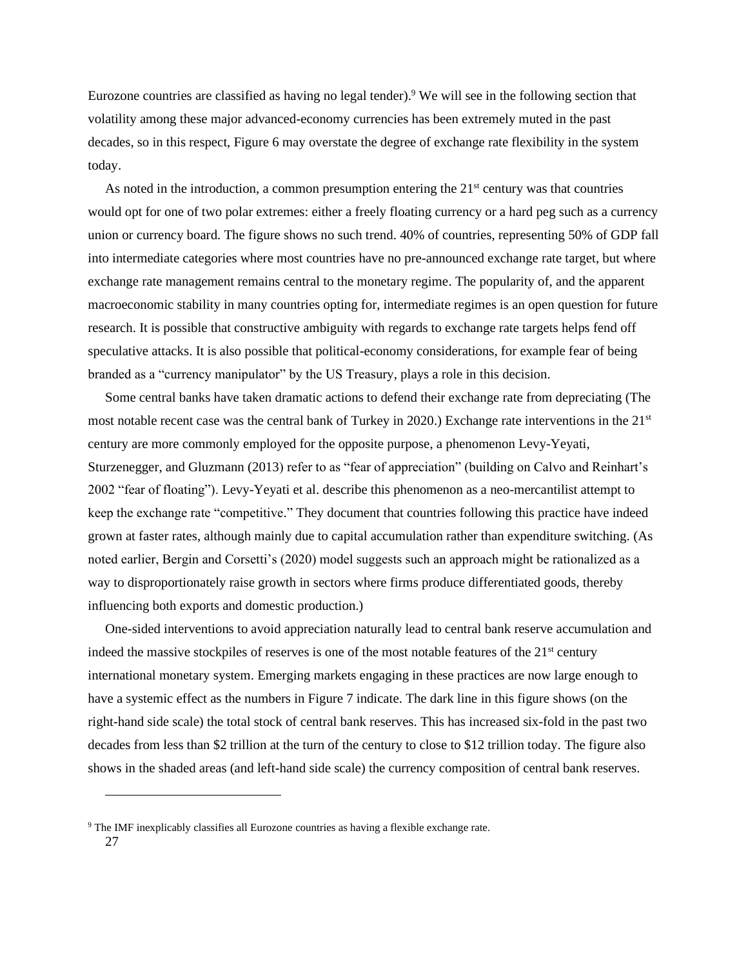Eurozone countries are classified as having no legal tender).<sup>9</sup> We will see in the following section that volatility among these major advanced-economy currencies has been extremely muted in the past decades, so in this respect, Figure 6 may overstate the degree of exchange rate flexibility in the system today.

As noted in the introduction, a common presumption entering the  $21<sup>st</sup>$  century was that countries would opt for one of two polar extremes: either a freely floating currency or a hard peg such as a currency union or currency board. The figure shows no such trend. 40% of countries, representing 50% of GDP fall into intermediate categories where most countries have no pre-announced exchange rate target, but where exchange rate management remains central to the monetary regime. The popularity of, and the apparent macroeconomic stability in many countries opting for, intermediate regimes is an open question for future research. It is possible that constructive ambiguity with regards to exchange rate targets helps fend off speculative attacks. It is also possible that political-economy considerations, for example fear of being branded as a "currency manipulator" by the US Treasury, plays a role in this decision.

Some central banks have taken dramatic actions to defend their exchange rate from depreciating (The most notable recent case was the central bank of Turkey in 2020.) Exchange rate interventions in the 21<sup>st</sup> century are more commonly employed for the opposite purpose, a phenomenon Levy-Yeyati, Sturzenegger, and Gluzmann (2013) refer to as "fear of appreciation" (building on Calvo and Reinhart's 2002 "fear of floating"). Levy-Yeyati et al. describe this phenomenon as a neo-mercantilist attempt to keep the exchange rate "competitive." They document that countries following this practice have indeed grown at faster rates, although mainly due to capital accumulation rather than expenditure switching. (As noted earlier, Bergin and Corsetti's (2020) model suggests such an approach might be rationalized as a way to disproportionately raise growth in sectors where firms produce differentiated goods, thereby influencing both exports and domestic production.)

One-sided interventions to avoid appreciation naturally lead to central bank reserve accumulation and indeed the massive stockpiles of reserves is one of the most notable features of the  $21<sup>st</sup>$  century international monetary system. Emerging markets engaging in these practices are now large enough to have a systemic effect as the numbers in Figure 7 indicate. The dark line in this figure shows (on the right-hand side scale) the total stock of central bank reserves. This has increased six-fold in the past two decades from less than \$2 trillion at the turn of the century to close to \$12 trillion today. The figure also shows in the shaded areas (and left-hand side scale) the currency composition of central bank reserves.

<sup>27</sup> <sup>9</sup> The IMF inexplicably classifies all Eurozone countries as having a flexible exchange rate.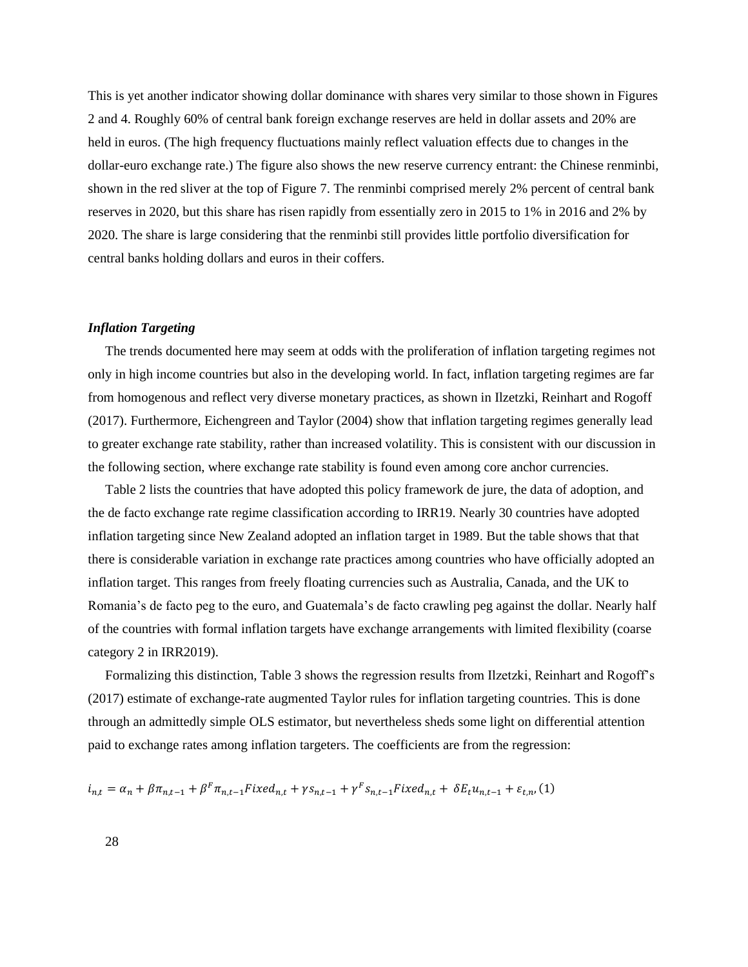This is yet another indicator showing dollar dominance with shares very similar to those shown in Figures 2 and 4. Roughly 60% of central bank foreign exchange reserves are held in dollar assets and 20% are held in euros. (The high frequency fluctuations mainly reflect valuation effects due to changes in the dollar-euro exchange rate.) The figure also shows the new reserve currency entrant: the Chinese renminbi, shown in the red sliver at the top of Figure 7. The renminbi comprised merely 2% percent of central bank reserves in 2020, but this share has risen rapidly from essentially zero in 2015 to 1% in 2016 and 2% by 2020. The share is large considering that the renminbi still provides little portfolio diversification for central banks holding dollars and euros in their coffers.

### *Inflation Targeting*

The trends documented here may seem at odds with the proliferation of inflation targeting regimes not only in high income countries but also in the developing world. In fact, inflation targeting regimes are far from homogenous and reflect very diverse monetary practices, as shown in Ilzetzki, Reinhart and Rogoff (2017). Furthermore, Eichengreen and Taylor (2004) show that inflation targeting regimes generally lead to greater exchange rate stability, rather than increased volatility. This is consistent with our discussion in the following section, where exchange rate stability is found even among core anchor currencies.

Table 2 lists the countries that have adopted this policy framework de jure, the data of adoption, and the de facto exchange rate regime classification according to IRR19. Nearly 30 countries have adopted inflation targeting since New Zealand adopted an inflation target in 1989. But the table shows that that there is considerable variation in exchange rate practices among countries who have officially adopted an inflation target. This ranges from freely floating currencies such as Australia, Canada, and the UK to Romania's de facto peg to the euro, and Guatemala's de facto crawling peg against the dollar. Nearly half of the countries with formal inflation targets have exchange arrangements with limited flexibility (coarse category 2 in IRR2019).

Formalizing this distinction, Table 3 shows the regression results from Ilzetzki, Reinhart and Rogoff's (2017) estimate of exchange-rate augmented Taylor rules for inflation targeting countries. This is done through an admittedly simple OLS estimator, but nevertheless sheds some light on differential attention paid to exchange rates among inflation targeters. The coefficients are from the regression:

$$
i_{n,t} = \alpha_n + \beta \pi_{n,t-1} + \beta^F \pi_{n,t-1} Fixed_{n,t} + \gamma s_{n,t-1} + \gamma^F s_{n,t-1} Fixed_{n,t} + \delta E_t u_{n,t-1} + \varepsilon_{t,n} (1)
$$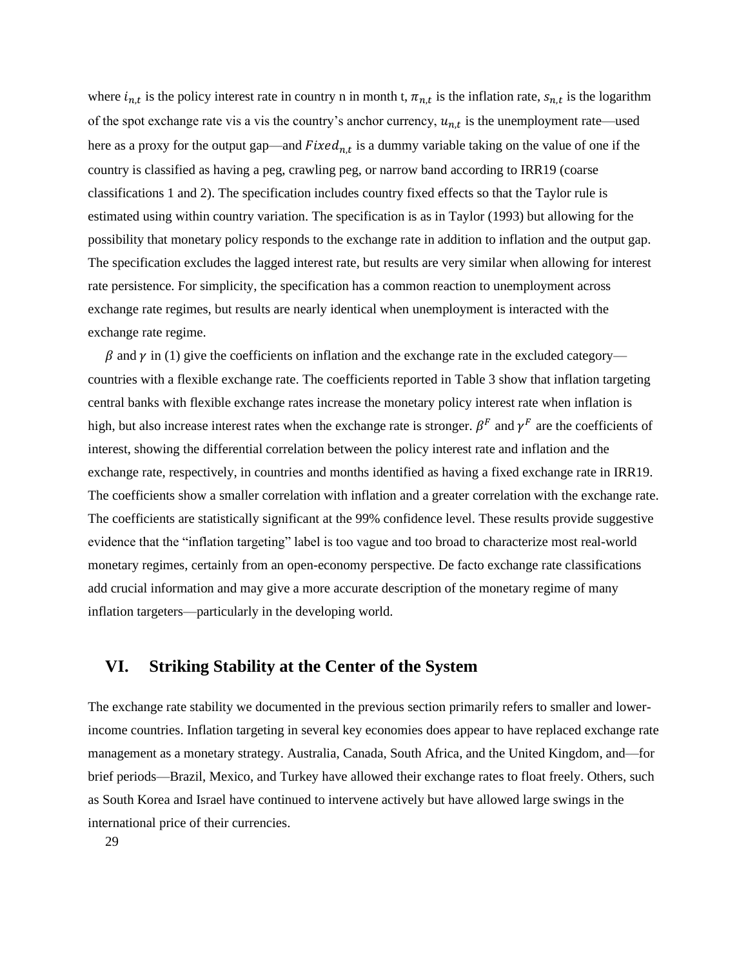where  $i_{n,t}$  is the policy interest rate in country n in month t,  $\pi_{n,t}$  is the inflation rate,  $s_{n,t}$  is the logarithm of the spot exchange rate vis a vis the country's anchor currency,  $u_{n,t}$  is the unemployment rate—used here as a proxy for the output gap—and  $Fixed_{n,t}$  is a dummy variable taking on the value of one if the country is classified as having a peg, crawling peg, or narrow band according to IRR19 (coarse classifications 1 and 2). The specification includes country fixed effects so that the Taylor rule is estimated using within country variation. The specification is as in Taylor (1993) but allowing for the possibility that monetary policy responds to the exchange rate in addition to inflation and the output gap. The specification excludes the lagged interest rate, but results are very similar when allowing for interest rate persistence. For simplicity, the specification has a common reaction to unemployment across exchange rate regimes, but results are nearly identical when unemployment is interacted with the exchange rate regime.

 $\beta$  and  $\gamma$  in (1) give the coefficients on inflation and the exchange rate in the excluded category countries with a flexible exchange rate. The coefficients reported in Table 3 show that inflation targeting central banks with flexible exchange rates increase the monetary policy interest rate when inflation is high, but also increase interest rates when the exchange rate is stronger.  $\beta^F$  and  $\gamma^F$  are the coefficients of interest, showing the differential correlation between the policy interest rate and inflation and the exchange rate, respectively, in countries and months identified as having a fixed exchange rate in IRR19. The coefficients show a smaller correlation with inflation and a greater correlation with the exchange rate. The coefficients are statistically significant at the 99% confidence level. These results provide suggestive evidence that the "inflation targeting" label is too vague and too broad to characterize most real-world monetary regimes, certainly from an open-economy perspective. De facto exchange rate classifications add crucial information and may give a more accurate description of the monetary regime of many inflation targeters—particularly in the developing world.

# **VI. Striking Stability at the Center of the System**

The exchange rate stability we documented in the previous section primarily refers to smaller and lowerincome countries. Inflation targeting in several key economies does appear to have replaced exchange rate management as a monetary strategy. Australia, Canada, South Africa, and the United Kingdom, and—for brief periods—Brazil, Mexico, and Turkey have allowed their exchange rates to float freely. Others, such as South Korea and Israel have continued to intervene actively but have allowed large swings in the international price of their currencies.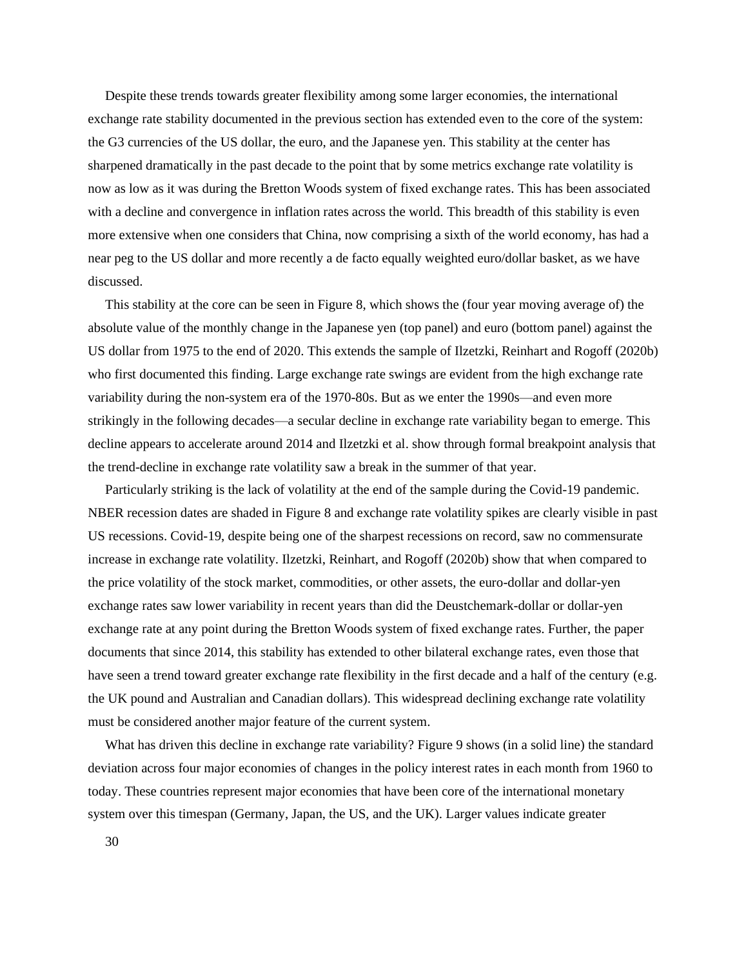Despite these trends towards greater flexibility among some larger economies, the international exchange rate stability documented in the previous section has extended even to the core of the system: the G3 currencies of the US dollar, the euro, and the Japanese yen. This stability at the center has sharpened dramatically in the past decade to the point that by some metrics exchange rate volatility is now as low as it was during the Bretton Woods system of fixed exchange rates. This has been associated with a decline and convergence in inflation rates across the world. This breadth of this stability is even more extensive when one considers that China, now comprising a sixth of the world economy, has had a near peg to the US dollar and more recently a de facto equally weighted euro/dollar basket, as we have discussed.

This stability at the core can be seen in Figure 8, which shows the (four year moving average of) the absolute value of the monthly change in the Japanese yen (top panel) and euro (bottom panel) against the US dollar from 1975 to the end of 2020. This extends the sample of Ilzetzki, Reinhart and Rogoff (2020b) who first documented this finding. Large exchange rate swings are evident from the high exchange rate variability during the non-system era of the 1970-80s. But as we enter the 1990s—and even more strikingly in the following decades—a secular decline in exchange rate variability began to emerge. This decline appears to accelerate around 2014 and Ilzetzki et al. show through formal breakpoint analysis that the trend-decline in exchange rate volatility saw a break in the summer of that year.

Particularly striking is the lack of volatility at the end of the sample during the Covid-19 pandemic. NBER recession dates are shaded in Figure 8 and exchange rate volatility spikes are clearly visible in past US recessions. Covid-19, despite being one of the sharpest recessions on record, saw no commensurate increase in exchange rate volatility. Ilzetzki, Reinhart, and Rogoff (2020b) show that when compared to the price volatility of the stock market, commodities, or other assets, the euro-dollar and dollar-yen exchange rates saw lower variability in recent years than did the Deustchemark-dollar or dollar-yen exchange rate at any point during the Bretton Woods system of fixed exchange rates. Further, the paper documents that since 2014, this stability has extended to other bilateral exchange rates, even those that have seen a trend toward greater exchange rate flexibility in the first decade and a half of the century (e.g. the UK pound and Australian and Canadian dollars). This widespread declining exchange rate volatility must be considered another major feature of the current system.

What has driven this decline in exchange rate variability? Figure 9 shows (in a solid line) the standard deviation across four major economies of changes in the policy interest rates in each month from 1960 to today. These countries represent major economies that have been core of the international monetary system over this timespan (Germany, Japan, the US, and the UK). Larger values indicate greater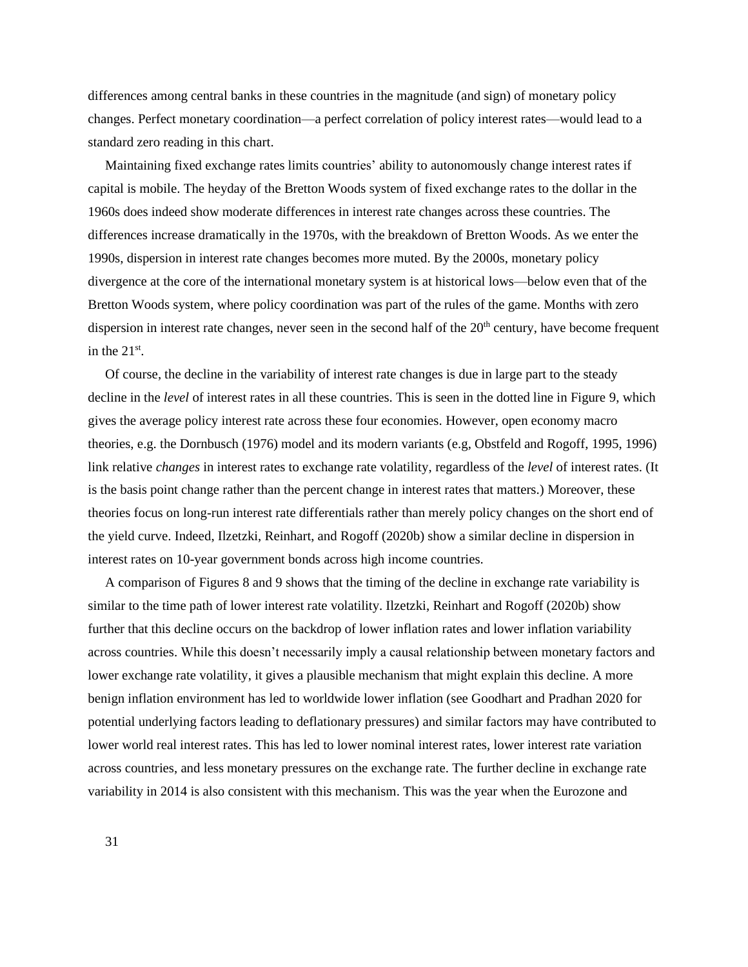differences among central banks in these countries in the magnitude (and sign) of monetary policy changes. Perfect monetary coordination—a perfect correlation of policy interest rates—would lead to a standard zero reading in this chart.

Maintaining fixed exchange rates limits countries' ability to autonomously change interest rates if capital is mobile. The heyday of the Bretton Woods system of fixed exchange rates to the dollar in the 1960s does indeed show moderate differences in interest rate changes across these countries. The differences increase dramatically in the 1970s, with the breakdown of Bretton Woods. As we enter the 1990s, dispersion in interest rate changes becomes more muted. By the 2000s, monetary policy divergence at the core of the international monetary system is at historical lows—below even that of the Bretton Woods system, where policy coordination was part of the rules of the game. Months with zero dispersion in interest rate changes, never seen in the second half of the  $20<sup>th</sup>$  century, have become frequent in the  $21<sup>st</sup>$ .

Of course, the decline in the variability of interest rate changes is due in large part to the steady decline in the *level* of interest rates in all these countries. This is seen in the dotted line in Figure 9, which gives the average policy interest rate across these four economies. However, open economy macro theories, e.g. the Dornbusch (1976) model and its modern variants (e.g, Obstfeld and Rogoff, 1995, 1996) link relative *changes* in interest rates to exchange rate volatility, regardless of the *level* of interest rates. (It is the basis point change rather than the percent change in interest rates that matters.) Moreover, these theories focus on long-run interest rate differentials rather than merely policy changes on the short end of the yield curve. Indeed, Ilzetzki, Reinhart, and Rogoff (2020b) show a similar decline in dispersion in interest rates on 10-year government bonds across high income countries.

A comparison of Figures 8 and 9 shows that the timing of the decline in exchange rate variability is similar to the time path of lower interest rate volatility. Ilzetzki, Reinhart and Rogoff (2020b) show further that this decline occurs on the backdrop of lower inflation rates and lower inflation variability across countries. While this doesn't necessarily imply a causal relationship between monetary factors and lower exchange rate volatility, it gives a plausible mechanism that might explain this decline. A more benign inflation environment has led to worldwide lower inflation (see Goodhart and Pradhan 2020 for potential underlying factors leading to deflationary pressures) and similar factors may have contributed to lower world real interest rates. This has led to lower nominal interest rates, lower interest rate variation across countries, and less monetary pressures on the exchange rate. The further decline in exchange rate variability in 2014 is also consistent with this mechanism. This was the year when the Eurozone and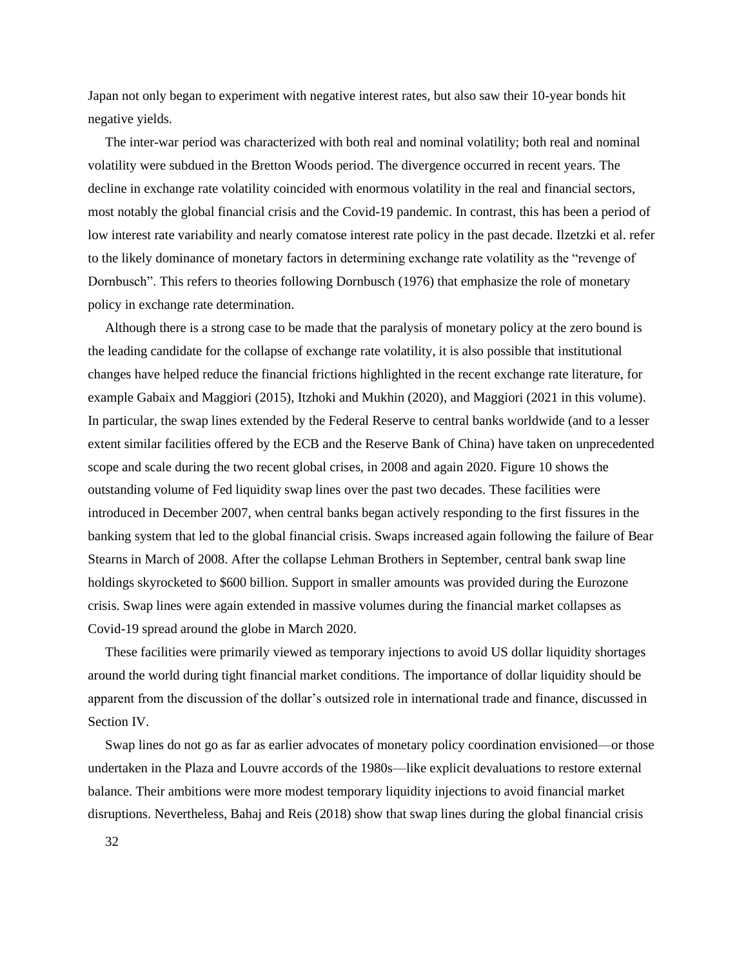Japan not only began to experiment with negative interest rates, but also saw their 10-year bonds hit negative yields.

The inter-war period was characterized with both real and nominal volatility; both real and nominal volatility were subdued in the Bretton Woods period. The divergence occurred in recent years. The decline in exchange rate volatility coincided with enormous volatility in the real and financial sectors, most notably the global financial crisis and the Covid-19 pandemic. In contrast, this has been a period of low interest rate variability and nearly comatose interest rate policy in the past decade. Ilzetzki et al. refer to the likely dominance of monetary factors in determining exchange rate volatility as the "revenge of Dornbusch". This refers to theories following Dornbusch (1976) that emphasize the role of monetary policy in exchange rate determination.

Although there is a strong case to be made that the paralysis of monetary policy at the zero bound is the leading candidate for the collapse of exchange rate volatility, it is also possible that institutional changes have helped reduce the financial frictions highlighted in the recent exchange rate literature, for example Gabaix and Maggiori (2015), Itzhoki and Mukhin (2020), and Maggiori (2021 in this volume). In particular, the swap lines extended by the Federal Reserve to central banks worldwide (and to a lesser extent similar facilities offered by the ECB and the Reserve Bank of China) have taken on unprecedented scope and scale during the two recent global crises, in 2008 and again 2020. Figure 10 shows the outstanding volume of Fed liquidity swap lines over the past two decades. These facilities were introduced in December 2007, when central banks began actively responding to the first fissures in the banking system that led to the global financial crisis. Swaps increased again following the failure of Bear Stearns in March of 2008. After the collapse Lehman Brothers in September, central bank swap line holdings skyrocketed to \$600 billion. Support in smaller amounts was provided during the Eurozone crisis. Swap lines were again extended in massive volumes during the financial market collapses as Covid-19 spread around the globe in March 2020.

These facilities were primarily viewed as temporary injections to avoid US dollar liquidity shortages around the world during tight financial market conditions. The importance of dollar liquidity should be apparent from the discussion of the dollar's outsized role in international trade and finance, discussed in Section IV.

Swap lines do not go as far as earlier advocates of monetary policy coordination envisioned—or those undertaken in the Plaza and Louvre accords of the 1980s—like explicit devaluations to restore external balance. Their ambitions were more modest temporary liquidity injections to avoid financial market disruptions. Nevertheless, Bahaj and Reis (2018) show that swap lines during the global financial crisis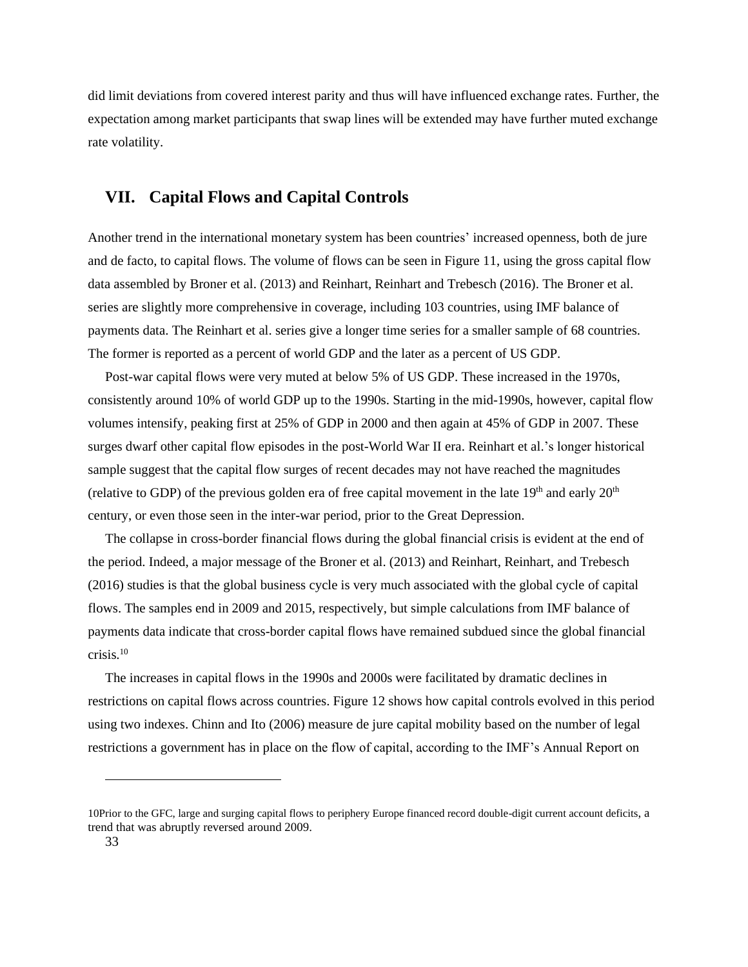did limit deviations from covered interest parity and thus will have influenced exchange rates. Further, the expectation among market participants that swap lines will be extended may have further muted exchange rate volatility.

# **VII. Capital Flows and Capital Controls**

Another trend in the international monetary system has been countries' increased openness, both de jure and de facto, to capital flows. The volume of flows can be seen in Figure 11, using the gross capital flow data assembled by Broner et al. (2013) and Reinhart, Reinhart and Trebesch (2016). The Broner et al. series are slightly more comprehensive in coverage, including 103 countries, using IMF balance of payments data. The Reinhart et al. series give a longer time series for a smaller sample of 68 countries. The former is reported as a percent of world GDP and the later as a percent of US GDP.

Post-war capital flows were very muted at below 5% of US GDP. These increased in the 1970s, consistently around 10% of world GDP up to the 1990s. Starting in the mid-1990s, however, capital flow volumes intensify, peaking first at 25% of GDP in 2000 and then again at 45% of GDP in 2007. These surges dwarf other capital flow episodes in the post-World War II era. Reinhart et al.'s longer historical sample suggest that the capital flow surges of recent decades may not have reached the magnitudes (relative to GDP) of the previous golden era of free capital movement in the late  $19<sup>th</sup>$  and early  $20<sup>th</sup>$ century, or even those seen in the inter-war period, prior to the Great Depression.

The collapse in cross-border financial flows during the global financial crisis is evident at the end of the period. Indeed, a major message of the Broner et al. (2013) and Reinhart, Reinhart, and Trebesch (2016) studies is that the global business cycle is very much associated with the global cycle of capital flows. The samples end in 2009 and 2015, respectively, but simple calculations from IMF balance of payments data indicate that cross-border capital flows have remained subdued since the global financial crisis.<sup>10</sup>

The increases in capital flows in the 1990s and 2000s were facilitated by dramatic declines in restrictions on capital flows across countries. Figure 12 shows how capital controls evolved in this period using two indexes. Chinn and Ito (2006) measure de jure capital mobility based on the number of legal restrictions a government has in place on the flow of capital, according to the IMF's Annual Report on

<sup>10</sup>Prior to the GFC, large and surging capital flows to periphery Europe financed record double-digit current account deficits, a trend that was abruptly reversed around 2009.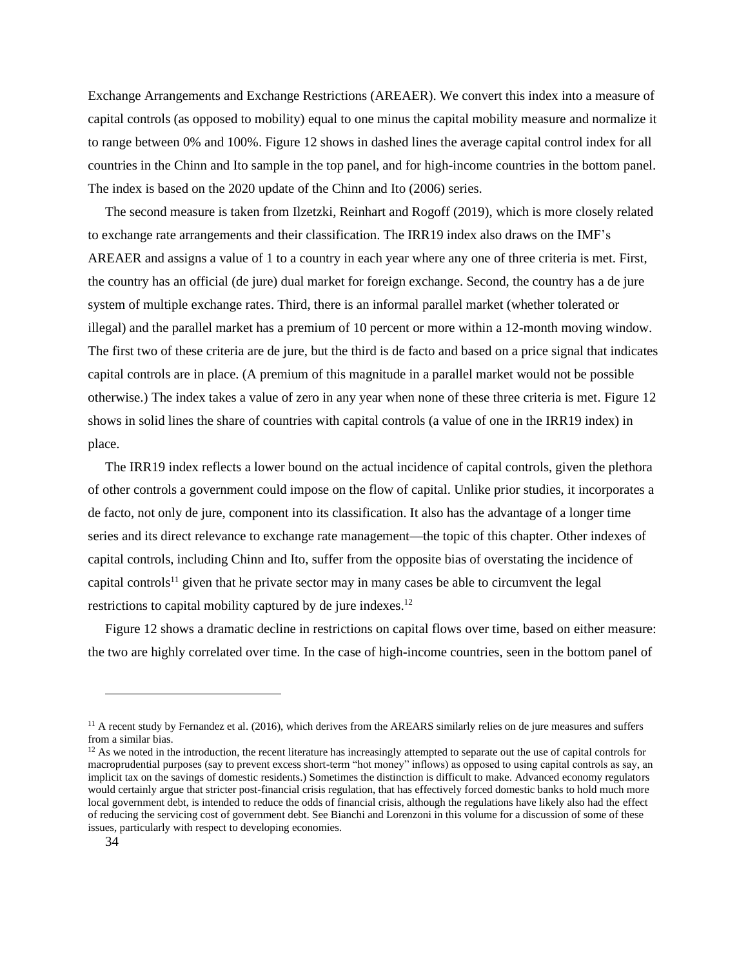Exchange Arrangements and Exchange Restrictions (AREAER). We convert this index into a measure of capital controls (as opposed to mobility) equal to one minus the capital mobility measure and normalize it to range between 0% and 100%. Figure 12 shows in dashed lines the average capital control index for all countries in the Chinn and Ito sample in the top panel, and for high-income countries in the bottom panel. The index is based on the 2020 update of the Chinn and Ito (2006) series.

The second measure is taken from Ilzetzki, Reinhart and Rogoff (2019), which is more closely related to exchange rate arrangements and their classification. The IRR19 index also draws on the IMF's AREAER and assigns a value of 1 to a country in each year where any one of three criteria is met. First, the country has an official (de jure) dual market for foreign exchange. Second, the country has a de jure system of multiple exchange rates. Third, there is an informal parallel market (whether tolerated or illegal) and the parallel market has a premium of 10 percent or more within a 12-month moving window. The first two of these criteria are de jure, but the third is de facto and based on a price signal that indicates capital controls are in place. (A premium of this magnitude in a parallel market would not be possible otherwise.) The index takes a value of zero in any year when none of these three criteria is met. Figure 12 shows in solid lines the share of countries with capital controls (a value of one in the IRR19 index) in place.

The IRR19 index reflects a lower bound on the actual incidence of capital controls, given the plethora of other controls a government could impose on the flow of capital. Unlike prior studies, it incorporates a de facto, not only de jure, component into its classification. It also has the advantage of a longer time series and its direct relevance to exchange rate management—the topic of this chapter. Other indexes of capital controls, including Chinn and Ito, suffer from the opposite bias of overstating the incidence of capital controls<sup>11</sup> given that he private sector may in many cases be able to circumvent the legal restrictions to capital mobility captured by de jure indexes.<sup>12</sup>

Figure 12 shows a dramatic decline in restrictions on capital flows over time, based on either measure: the two are highly correlated over time. In the case of high-income countries, seen in the bottom panel of

 $<sup>11</sup>$  A recent study by Fernandez et al. (2016), which derives from the AREARS similarly relies on de jure measures and suffers</sup> from a similar bias.

 $12$  As we noted in the introduction, the recent literature has increasingly attempted to separate out the use of capital controls for macroprudential purposes (say to prevent excess short-term "hot money" inflows) as opposed to using capital controls as say, an implicit tax on the savings of domestic residents.) Sometimes the distinction is difficult to make. Advanced economy regulators would certainly argue that stricter post-financial crisis regulation, that has effectively forced domestic banks to hold much more local government debt, is intended to reduce the odds of financial crisis, although the regulations have likely also had the effect of reducing the servicing cost of government debt. See Bianchi and Lorenzoni in this volume for a discussion of some of these issues, particularly with respect to developing economies.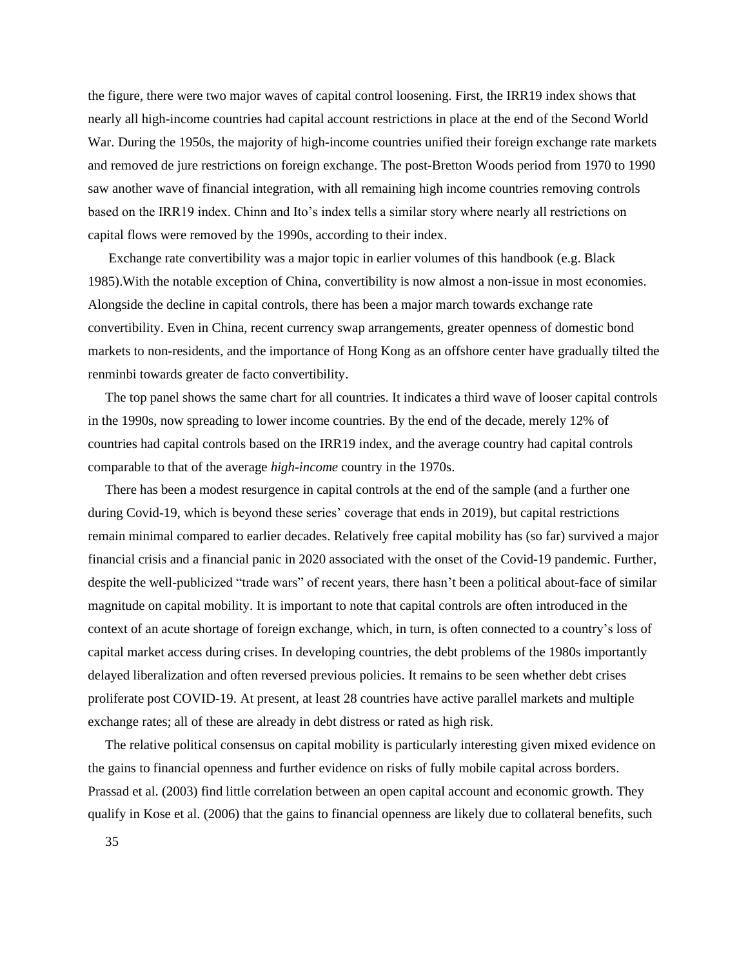the figure, there were two major waves of capital control loosening. First, the IRR19 index shows that nearly all high-income countries had capital account restrictions in place at the end of the Second World War. During the 1950s, the majority of high-income countries unified their foreign exchange rate markets and removed de jure restrictions on foreign exchange. The post-Bretton Woods period from 1970 to 1990 saw another wave of financial integration, with all remaining high income countries removing controls based on the IRR19 index. Chinn and Ito's index tells a similar story where nearly all restrictions on capital flows were removed by the 1990s, according to their index.

Exchange rate convertibility was a major topic in earlier volumes of this handbook (e.g. Black 1985).With the notable exception of China, convertibility is now almost a non-issue in most economies. Alongside the decline in capital controls, there has been a major march towards exchange rate convertibility. Even in China, recent currency swap arrangements, greater openness of domestic bond markets to non-residents, and the importance of Hong Kong as an offshore center have gradually tilted the renminbi towards greater de facto convertibility.

The top panel shows the same chart for all countries. It indicates a third wave of looser capital controls in the 1990s, now spreading to lower income countries. By the end of the decade, merely 12% of countries had capital controls based on the IRR19 index, and the average country had capital controls comparable to that of the average *high-income* country in the 1970s.

There has been a modest resurgence in capital controls at the end of the sample (and a further one during Covid-19, which is beyond these series' coverage that ends in 2019), but capital restrictions remain minimal compared to earlier decades. Relatively free capital mobility has (so far) survived a major financial crisis and a financial panic in 2020 associated with the onset of the Covid-19 pandemic. Further, despite the well-publicized "trade wars" of recent years, there hasn't been a political about-face of similar magnitude on capital mobility. It is important to note that capital controls are often introduced in the context of an acute shortage of foreign exchange, which, in turn, is often connected to a country's loss of capital market access during crises. In developing countries, the debt problems of the 1980s importantly delayed liberalization and often reversed previous policies. It remains to be seen whether debt crises proliferate post COVID-19. At present, at least 28 countries have active parallel markets and multiple exchange rates; all of these are already in debt distress or rated as high risk.

The relative political consensus on capital mobility is particularly interesting given mixed evidence on the gains to financial openness and further evidence on risks of fully mobile capital across borders. Prassad et al. (2003) find little correlation between an open capital account and economic growth. They qualify in Kose et al. (2006) that the gains to financial openness are likely due to collateral benefits, such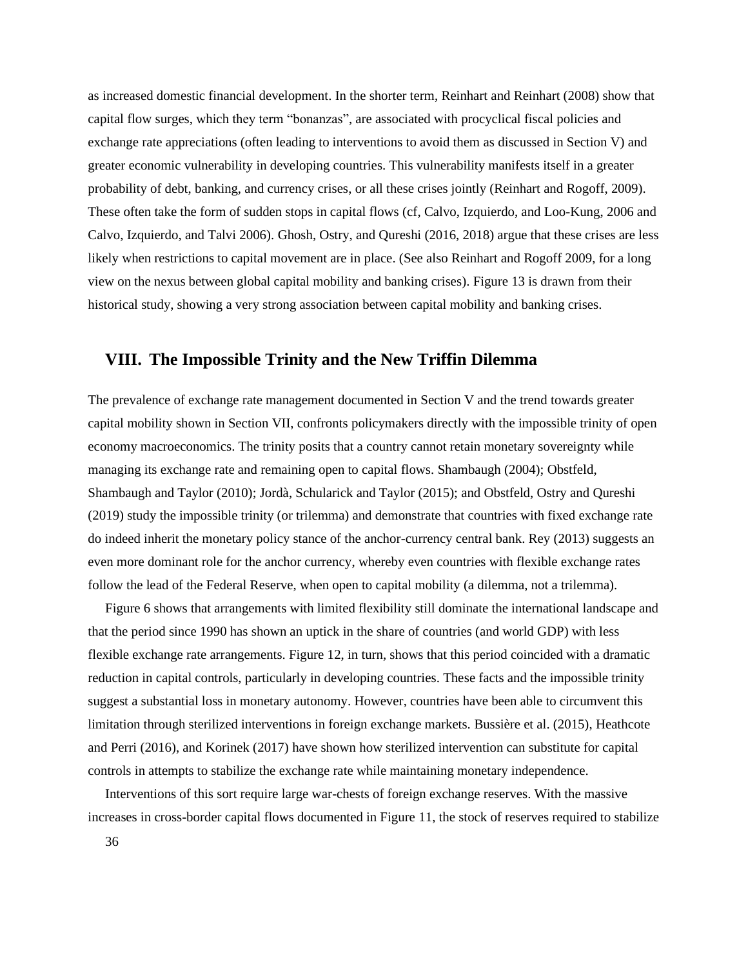as increased domestic financial development. In the shorter term, Reinhart and Reinhart (2008) show that capital flow surges, which they term "bonanzas", are associated with procyclical fiscal policies and exchange rate appreciations (often leading to interventions to avoid them as discussed in Section V) and greater economic vulnerability in developing countries. This vulnerability manifests itself in a greater probability of debt, banking, and currency crises, or all these crises jointly (Reinhart and Rogoff, 2009). These often take the form of sudden stops in capital flows (cf, Calvo, Izquierdo, and Loo-Kung, 2006 and Calvo, Izquierdo, and Talvi 2006). Ghosh, Ostry, and Qureshi (2016, 2018) argue that these crises are less likely when restrictions to capital movement are in place. (See also Reinhart and Rogoff 2009, for a long view on the nexus between global capital mobility and banking crises). Figure 13 is drawn from their historical study, showing a very strong association between capital mobility and banking crises.

### **VIII. The Impossible Trinity and the New Triffin Dilemma**

The prevalence of exchange rate management documented in Section V and the trend towards greater capital mobility shown in Section VII, confronts policymakers directly with the impossible trinity of open economy macroeconomics. The trinity posits that a country cannot retain monetary sovereignty while managing its exchange rate and remaining open to capital flows. Shambaugh (2004); Obstfeld, Shambaugh and Taylor (2010); Jordà, Schularick and Taylor (2015); and Obstfeld, Ostry and Qureshi (2019) study the impossible trinity (or trilemma) and demonstrate that countries with fixed exchange rate do indeed inherit the monetary policy stance of the anchor-currency central bank. Rey (2013) suggests an even more dominant role for the anchor currency, whereby even countries with flexible exchange rates follow the lead of the Federal Reserve, when open to capital mobility (a dilemma, not a trilemma).

Figure 6 shows that arrangements with limited flexibility still dominate the international landscape and that the period since 1990 has shown an uptick in the share of countries (and world GDP) with less flexible exchange rate arrangements. Figure 12, in turn, shows that this period coincided with a dramatic reduction in capital controls, particularly in developing countries. These facts and the impossible trinity suggest a substantial loss in monetary autonomy. However, countries have been able to circumvent this limitation through sterilized interventions in foreign exchange markets. Bussière et al. (2015), Heathcote and Perri (2016), and Korinek (2017) have shown how sterilized intervention can substitute for capital controls in attempts to stabilize the exchange rate while maintaining monetary independence.

Interventions of this sort require large war-chests of foreign exchange reserves. With the massive increases in cross-border capital flows documented in Figure 11, the stock of reserves required to stabilize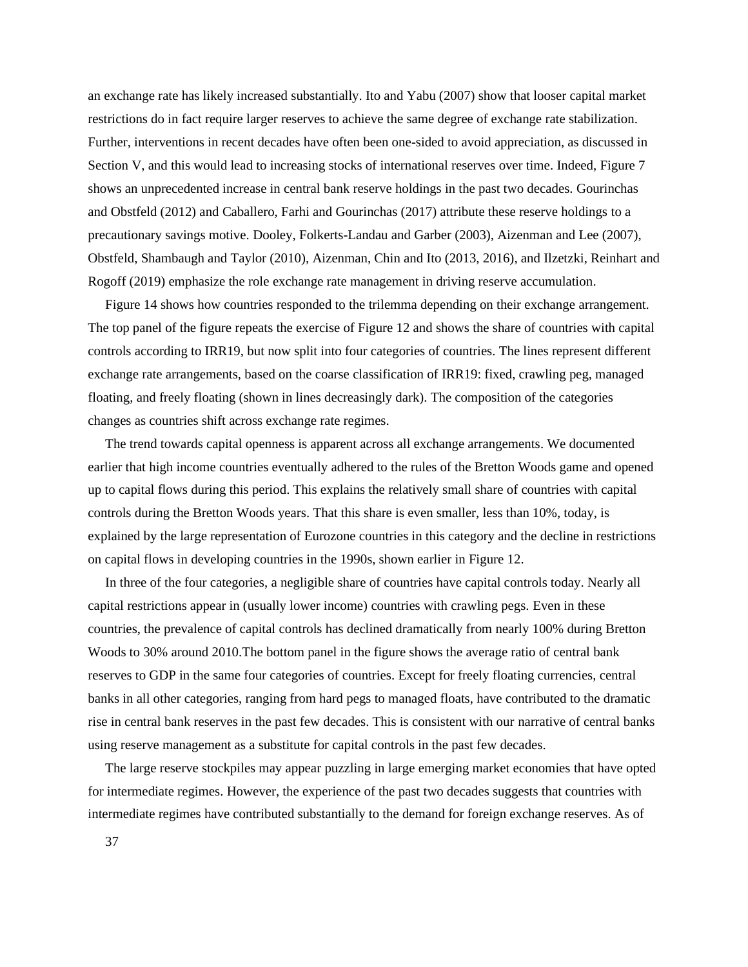an exchange rate has likely increased substantially. Ito and Yabu (2007) show that looser capital market restrictions do in fact require larger reserves to achieve the same degree of exchange rate stabilization. Further, interventions in recent decades have often been one-sided to avoid appreciation, as discussed in Section V, and this would lead to increasing stocks of international reserves over time. Indeed, Figure 7 shows an unprecedented increase in central bank reserve holdings in the past two decades. Gourinchas and Obstfeld (2012) and Caballero, Farhi and Gourinchas (2017) attribute these reserve holdings to a precautionary savings motive. Dooley, Folkerts-Landau and Garber (2003), Aizenman and Lee (2007), Obstfeld, Shambaugh and Taylor (2010), Aizenman, Chin and Ito (2013, 2016), and Ilzetzki, Reinhart and Rogoff (2019) emphasize the role exchange rate management in driving reserve accumulation.

Figure 14 shows how countries responded to the trilemma depending on their exchange arrangement. The top panel of the figure repeats the exercise of Figure 12 and shows the share of countries with capital controls according to IRR19, but now split into four categories of countries. The lines represent different exchange rate arrangements, based on the coarse classification of IRR19: fixed, crawling peg, managed floating, and freely floating (shown in lines decreasingly dark). The composition of the categories changes as countries shift across exchange rate regimes.

The trend towards capital openness is apparent across all exchange arrangements. We documented earlier that high income countries eventually adhered to the rules of the Bretton Woods game and opened up to capital flows during this period. This explains the relatively small share of countries with capital controls during the Bretton Woods years. That this share is even smaller, less than 10%, today, is explained by the large representation of Eurozone countries in this category and the decline in restrictions on capital flows in developing countries in the 1990s, shown earlier in Figure 12.

In three of the four categories, a negligible share of countries have capital controls today. Nearly all capital restrictions appear in (usually lower income) countries with crawling pegs. Even in these countries, the prevalence of capital controls has declined dramatically from nearly 100% during Bretton Woods to 30% around 2010.The bottom panel in the figure shows the average ratio of central bank reserves to GDP in the same four categories of countries. Except for freely floating currencies, central banks in all other categories, ranging from hard pegs to managed floats, have contributed to the dramatic rise in central bank reserves in the past few decades. This is consistent with our narrative of central banks using reserve management as a substitute for capital controls in the past few decades.

The large reserve stockpiles may appear puzzling in large emerging market economies that have opted for intermediate regimes. However, the experience of the past two decades suggests that countries with intermediate regimes have contributed substantially to the demand for foreign exchange reserves. As of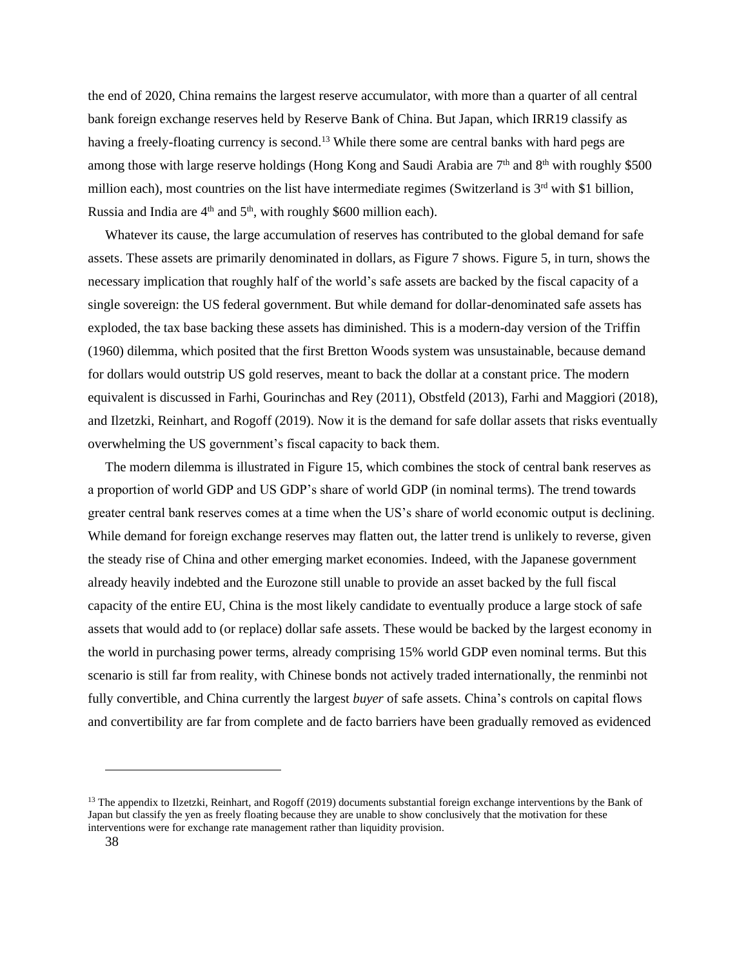the end of 2020, China remains the largest reserve accumulator, with more than a quarter of all central bank foreign exchange reserves held by Reserve Bank of China. But Japan, which IRR19 classify as having a freely-floating currency is second.<sup>13</sup> While there some are central banks with hard pegs are among those with large reserve holdings (Hong Kong and Saudi Arabia are 7<sup>th</sup> and 8<sup>th</sup> with roughly \$500 million each), most countries on the list have intermediate regimes (Switzerland is  $3<sup>rd</sup>$  with \$1 billion, Russia and India are  $4<sup>th</sup>$  and  $5<sup>th</sup>$ , with roughly \$600 million each).

Whatever its cause, the large accumulation of reserves has contributed to the global demand for safe assets. These assets are primarily denominated in dollars, as Figure 7 shows. Figure 5, in turn, shows the necessary implication that roughly half of the world's safe assets are backed by the fiscal capacity of a single sovereign: the US federal government. But while demand for dollar-denominated safe assets has exploded, the tax base backing these assets has diminished. This is a modern-day version of the Triffin (1960) dilemma, which posited that the first Bretton Woods system was unsustainable, because demand for dollars would outstrip US gold reserves, meant to back the dollar at a constant price. The modern equivalent is discussed in Farhi, Gourinchas and Rey (2011), Obstfeld (2013), Farhi and Maggiori (2018), and Ilzetzki, Reinhart, and Rogoff (2019). Now it is the demand for safe dollar assets that risks eventually overwhelming the US government's fiscal capacity to back them.

The modern dilemma is illustrated in Figure 15, which combines the stock of central bank reserves as a proportion of world GDP and US GDP's share of world GDP (in nominal terms). The trend towards greater central bank reserves comes at a time when the US's share of world economic output is declining. While demand for foreign exchange reserves may flatten out, the latter trend is unlikely to reverse, given the steady rise of China and other emerging market economies. Indeed, with the Japanese government already heavily indebted and the Eurozone still unable to provide an asset backed by the full fiscal capacity of the entire EU, China is the most likely candidate to eventually produce a large stock of safe assets that would add to (or replace) dollar safe assets. These would be backed by the largest economy in the world in purchasing power terms, already comprising 15% world GDP even nominal terms. But this scenario is still far from reality, with Chinese bonds not actively traded internationally, the renminbi not fully convertible, and China currently the largest *buyer* of safe assets. China's controls on capital flows and convertibility are far from complete and de facto barriers have been gradually removed as evidenced

 $13$  The appendix to Ilzetzki, Reinhart, and Rogoff (2019) documents substantial foreign exchange interventions by the Bank of Japan but classify the yen as freely floating because they are unable to show conclusively that the motivation for these interventions were for exchange rate management rather than liquidity provision.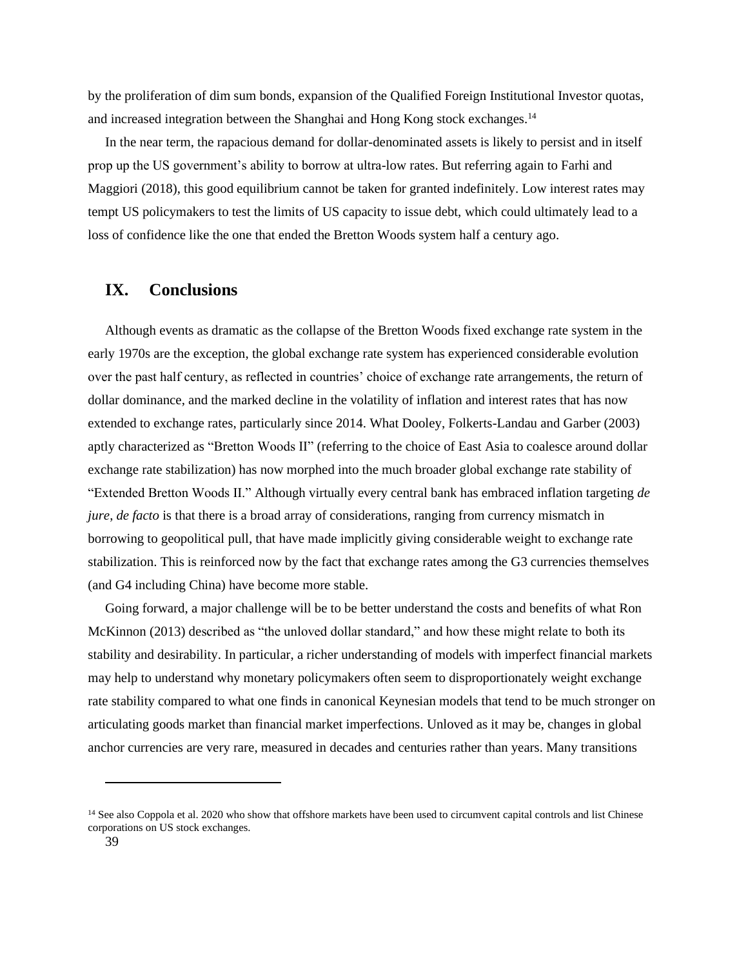by the proliferation of dim sum bonds, expansion of the Qualified Foreign Institutional Investor quotas, and increased integration between the Shanghai and Hong Kong stock exchanges.<sup>14</sup>

In the near term, the rapacious demand for dollar-denominated assets is likely to persist and in itself prop up the US government's ability to borrow at ultra-low rates. But referring again to Farhi and Maggiori (2018), this good equilibrium cannot be taken for granted indefinitely. Low interest rates may tempt US policymakers to test the limits of US capacity to issue debt, which could ultimately lead to a loss of confidence like the one that ended the Bretton Woods system half a century ago.

## **IX. Conclusions**

Although events as dramatic as the collapse of the Bretton Woods fixed exchange rate system in the early 1970s are the exception, the global exchange rate system has experienced considerable evolution over the past half century, as reflected in countries' choice of exchange rate arrangements, the return of dollar dominance, and the marked decline in the volatility of inflation and interest rates that has now extended to exchange rates, particularly since 2014. What Dooley, Folkerts-Landau and Garber (2003) aptly characterized as "Bretton Woods II" (referring to the choice of East Asia to coalesce around dollar exchange rate stabilization) has now morphed into the much broader global exchange rate stability of "Extended Bretton Woods II." Although virtually every central bank has embraced inflation targeting *de jure*, *de facto* is that there is a broad array of considerations, ranging from currency mismatch in borrowing to geopolitical pull, that have made implicitly giving considerable weight to exchange rate stabilization. This is reinforced now by the fact that exchange rates among the G3 currencies themselves (and G4 including China) have become more stable.

Going forward, a major challenge will be to be better understand the costs and benefits of what Ron McKinnon (2013) described as "the unloved dollar standard," and how these might relate to both its stability and desirability. In particular, a richer understanding of models with imperfect financial markets may help to understand why monetary policymakers often seem to disproportionately weight exchange rate stability compared to what one finds in canonical Keynesian models that tend to be much stronger on articulating goods market than financial market imperfections. Unloved as it may be, changes in global anchor currencies are very rare, measured in decades and centuries rather than years. Many transitions

<sup>&</sup>lt;sup>14</sup> See also Coppola et al. 2020 who show that offshore markets have been used to circumvent capital controls and list Chinese corporations on US stock exchanges.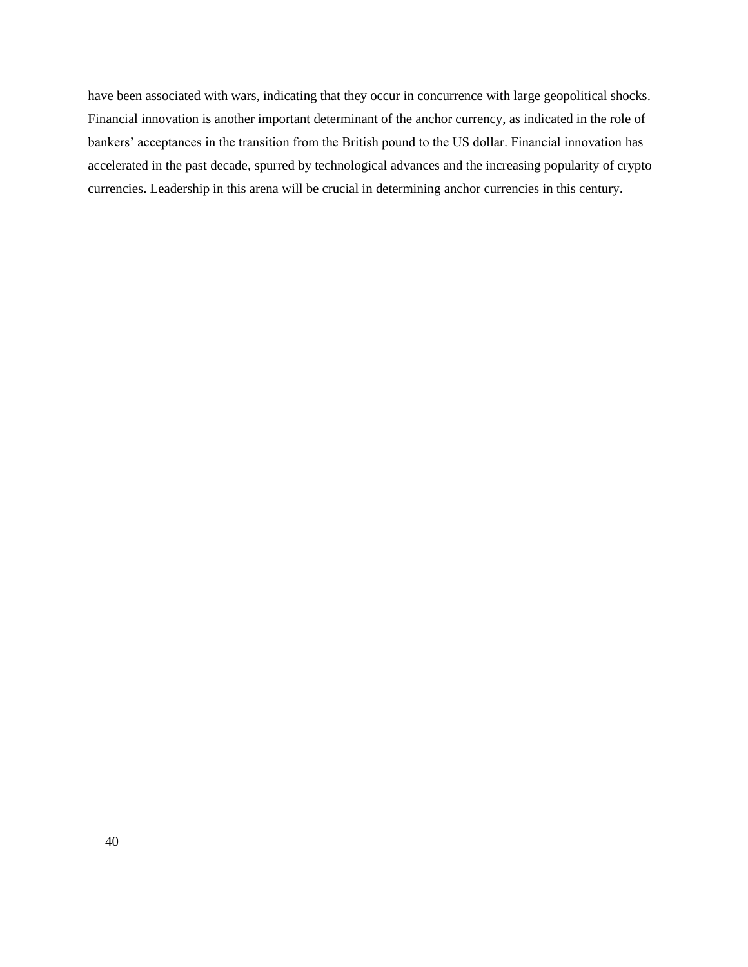have been associated with wars, indicating that they occur in concurrence with large geopolitical shocks. Financial innovation is another important determinant of the anchor currency, as indicated in the role of bankers' acceptances in the transition from the British pound to the US dollar. Financial innovation has accelerated in the past decade, spurred by technological advances and the increasing popularity of crypto currencies. Leadership in this arena will be crucial in determining anchor currencies in this century.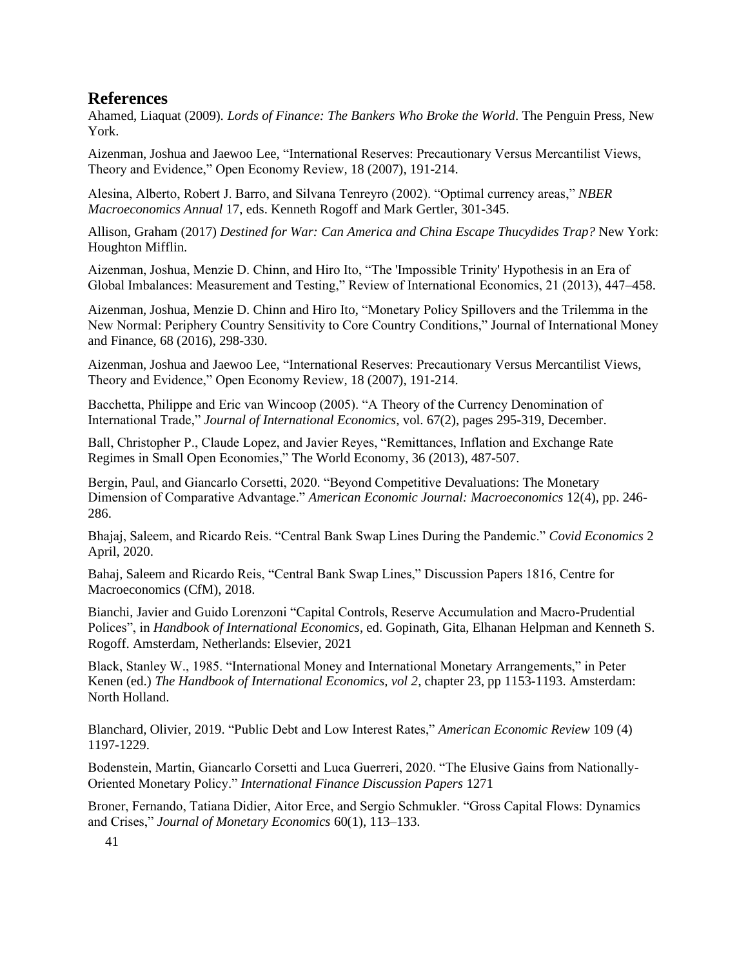# **References**

Ahamed, Liaquat (2009)*. Lords of Finance: The Bankers Who Broke the World*. The Penguin Press, New York.

Aizenman, Joshua and Jaewoo Lee, "International Reserves: Precautionary Versus Mercantilist Views, Theory and Evidence," Open Economy Review*,* 18 (2007), 191-214.

Alesina, Alberto, Robert J. Barro, and Silvana Tenreyro (2002). "Optimal currency areas," *NBER Macroeconomics Annual* 17, eds. Kenneth Rogoff and Mark Gertler, 301-345.

Allison, Graham (2017) *Destined for War: Can America and China Escape Thucydides Trap?* New York: Houghton Mifflin.

Aizenman, Joshua, Menzie D. Chinn, and Hiro Ito, "The 'Impossible Trinity' Hypothesis in an Era of Global Imbalances: Measurement and Testing," Review of International Economics, 21 (2013), 447–458.

Aizenman, Joshua, Menzie D. Chinn and Hiro Ito, "Monetary Policy Spillovers and the Trilemma in the New Normal: Periphery Country Sensitivity to Core Country Conditions," Journal of International Money and Finance, 68 (2016), 298-330.

Aizenman, Joshua and Jaewoo Lee, "International Reserves: Precautionary Versus Mercantilist Views, Theory and Evidence," Open Economy Review*,* 18 (2007), 191-214.

Bacchetta, Philippe and Eric van Wincoop (2005). "A Theory of the Currency Denomination of International Trade," *Journal of International Economics*, vol. 67(2), pages 295-319, December.

Ball, Christopher P., Claude Lopez, and Javier Reyes, "Remittances, Inflation and Exchange Rate Regimes in Small Open Economies," The World Economy, 36 (2013), 487-507.

Bergin, Paul, and Giancarlo Corsetti, 2020. "Beyond Competitive Devaluations: The Monetary Dimension of Comparative Advantage." *American Economic Journal: Macroeconomics* 12(4), pp. 246- 286.

Bhajaj, Saleem, and Ricardo Reis. "Central Bank Swap Lines During the Pandemic." *Covid Economics* 2 April, 2020.

Bahaj, Saleem and Ricardo Reis, "Central Bank Swap Lines," Discussion Papers 1816, Centre for Macroeconomics (CfM), 2018.

Bianchi, Javier and Guido Lorenzoni "Capital Controls, Reserve Accumulation and Macro-Prudential Polices", in *Handbook of International Economics*, ed. Gopinath, Gita, Elhanan Helpman and Kenneth S. Rogoff. Amsterdam, Netherlands: Elsevier, 2021

Black, Stanley W., 1985. "International Money and International Monetary Arrangements," in Peter Kenen (ed.) *The Handbook of International Economics, vol 2*, chapter 23, pp 1153-1193. Amsterdam: North Holland.

Blanchard, Olivier, 2019. "Public Debt and Low Interest Rates," *American Economic Review* 109 (4) 1197-1229.

Bodenstein, Martin, Giancarlo Corsetti and Luca Guerreri, 2020. "The Elusive Gains from Nationally-Oriented Monetary Policy." *International Finance Discussion Papers* 1271

Broner, Fernando, Tatiana Didier, Aitor Erce, and Sergio Schmukler. "Gross Capital Flows: Dynamics and Crises," *Journal of Monetary Economics* 60(1), 113–133.

41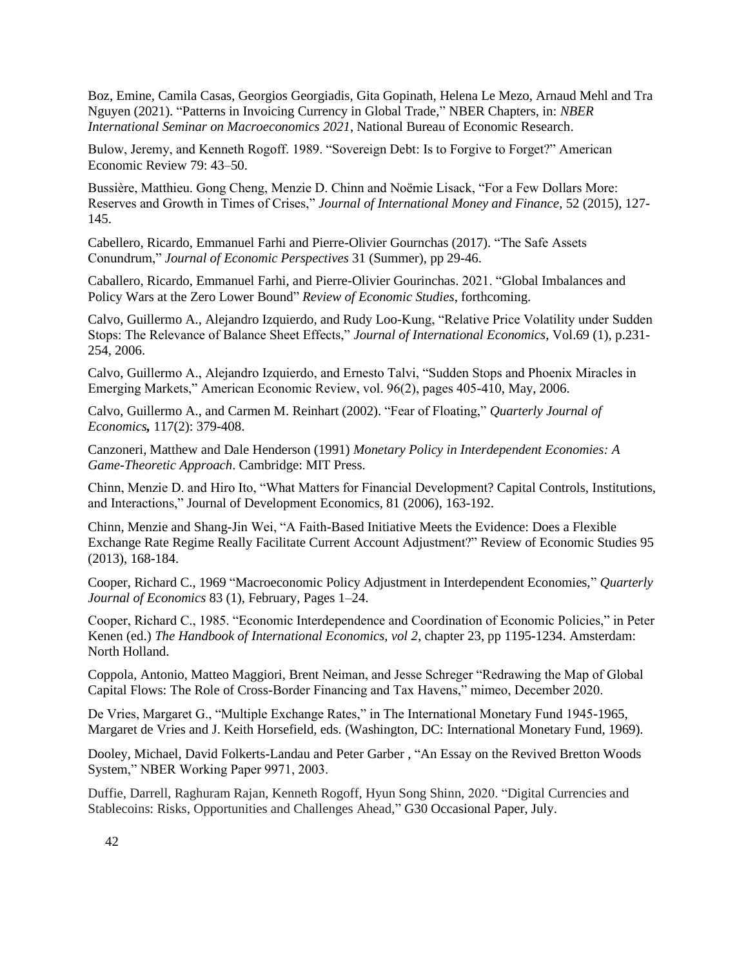Boz, Emine, Camila Casas, Georgios Georgiadis, Gita Gopinath, Helena Le Mezo, Arnaud Mehl and Tra Nguyen (2021). "Patterns in Invoicing Currency in Global Trade," NBER Chapters, in: *NBER International Seminar on Macroeconomics 2021*, National Bureau of Economic Research.

Bulow, Jeremy, and Kenneth Rogoff. 1989. "Sovereign Debt: Is to Forgive to Forget?" American Economic Review 79: 43–50.

Bussière, Matthieu. Gong Cheng, Menzie D. Chinn and Noëmie Lisack, "For a Few Dollars More: Reserves and Growth in Times of Crises," *Journal of International Money and Finance*, 52 (2015), 127- 145.

Cabellero, Ricardo, Emmanuel Farhi and Pierre-Olivier Gournchas (2017). "The Safe Assets Conundrum," *Journal of Economic Perspectives* 31 (Summer), pp 29-46.

Caballero, Ricardo, Emmanuel Farhi, and Pierre-Olivier Gourinchas. 2021. "Global Imbalances and Policy Wars at the Zero Lower Bound" *Review of Economic Studies*, forthcoming.

Calvo, Guillermo A., Alejandro Izquierdo, and Rudy Loo-Kung, "Relative Price Volatility under Sudden Stops: The Relevance of Balance Sheet Effects," *Journal of International Economics*, Vol.69 (1), p.231- 254, 2006.

Calvo, Guillermo A., Alejandro Izquierdo, and Ernesto Talvi, "Sudden Stops and Phoenix Miracles in Emerging Markets," American Economic Review, vol. 96(2), pages 405-410, May, 2006.

Calvo, Guillermo A., and Carmen M. Reinhart (2002). "Fear of Floating," *Quarterly Journal of Economics,* 117(2): 379-408.

Canzoneri, Matthew and Dale Henderson (1991) *Monetary Policy in Interdependent Economies: A Game-Theoretic Approach*. Cambridge: MIT Press.

Chinn, Menzie D. and Hiro Ito, "What Matters for Financial Development? Capital Controls, Institutions, and Interactions," Journal of Development Economics, 81 (2006), 163-192.

Chinn, Menzie and Shang-Jin Wei, "A Faith-Based Initiative Meets the Evidence: Does a Flexible Exchange Rate Regime Really Facilitate Current Account Adjustment?" Review of Economic Studies 95 (2013), 168-184.

Cooper, Richard C., 1969 "Macroeconomic Policy Adjustment in Interdependent Economies," *Quarterly Journal of Economics* 83 (1), February, Pages 1–24.

Cooper, Richard C., 1985. "Economic Interdependence and Coordination of Economic Policies," in Peter Kenen (ed.) *The Handbook of International Economics, vol 2*, chapter 23, pp 1195-1234. Amsterdam: North Holland.

Coppola, Antonio, Matteo Maggiori, Brent Neiman, and Jesse Schreger "Redrawing the Map of Global Capital Flows: The Role of Cross-Border Financing and Tax Havens," mimeo, December 2020.

De Vries, Margaret G., "Multiple Exchange Rates," in The International Monetary Fund 1945-1965, Margaret de Vries and J. Keith Horsefield, eds. (Washington, DC: International Monetary Fund, 1969).

Dooley, Michael, David Folkerts-Landau and Peter Garber , "An Essay on the Revived Bretton Woods System," NBER Working Paper 9971, 2003.

Duffie, Darrell, Raghuram Rajan, Kenneth Rogoff, Hyun Song Shinn, 2020. "Digital Currencies and Stablecoins: Risks, Opportunities and Challenges Ahead," G30 Occasional Paper, July.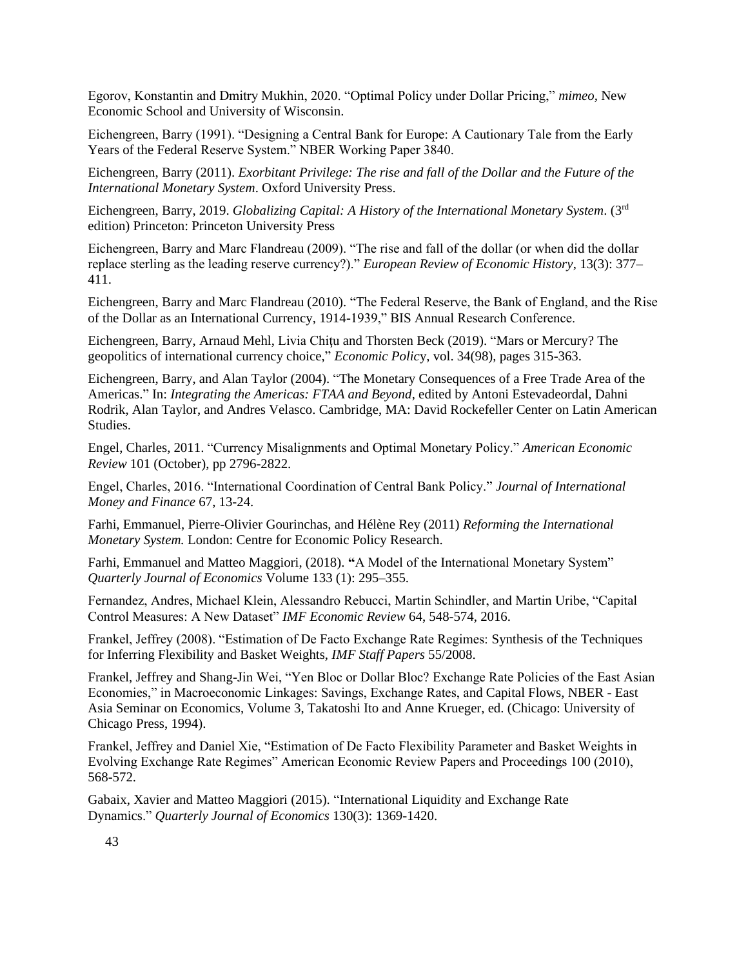Egorov, Konstantin and Dmitry Mukhin, 2020. "Optimal Policy under Dollar Pricing," *mimeo,* New Economic School and University of Wisconsin.

Eichengreen, Barry (1991). "Designing a Central Bank for Europe: A Cautionary Tale from the Early Years of the Federal Reserve System." NBER Working Paper 3840.

Eichengreen, Barry (2011). *Exorbitant Privilege: The rise and fall of the Dollar and the Future of the International Monetary System*. Oxford University Press.

Eichengreen, Barry, 2019. *Globalizing Capital: A History of the International Monetary System*. (3rd edition) Princeton: Princeton University Press

Eichengreen, Barry and Marc Flandreau (2009). "The rise and fall of the dollar (or when did the dollar replace sterling as the leading reserve currency?)." *European Review of Economic History*, 13(3): 377– 411.

Eichengreen, Barry and Marc Flandreau (2010). "The Federal Reserve, the Bank of England, and the Rise of the Dollar as an International Currency, 1914-1939," BIS Annual Research Conference.

Eichengreen, Barry, Arnaud Mehl, Livia Chiţu and Thorsten Beck (2019). "Mars or Mercury? The geopolitics of international currency choice," *Economic Polic*y, vol. 34(98), pages 315-363.

Eichengreen, Barry, and Alan Taylor (2004). "The Monetary Consequences of a Free Trade Area of the Americas." In: *Integrating the Americas: FTAA and Beyond*, edited by Antoni Estevadeordal, Dahni Rodrik, Alan Taylor, and Andres Velasco. Cambridge, MA: David Rockefeller Center on Latin American Studies.

Engel, Charles, 2011. "Currency Misalignments and Optimal Monetary Policy." *American Economic Review* 101 (October), pp 2796-2822.

Engel, Charles, 2016. "International Coordination of Central Bank Policy." *Journal of International Money and Finance* 67, 13-24.

Farhi, Emmanuel, Pierre-Olivier Gourinchas, and Hélène Rey (2011) *Reforming the International Monetary System.* London: Centre for Economic Policy Research.

Farhi, Emmanuel and Matteo Maggiori, (2018). **"**A Model of the International Monetary System" *Quarterly Journal of Economics* Volume 133 (1): 295–355.

Fernandez, Andres, Michael Klein, Alessandro Rebucci, Martin Schindler, and Martin Uribe, "Capital Control Measures: A New Dataset" *IMF Economic Review* 64, 548-574, 2016.

Frankel, Jeffrey (2008). "Estimation of De Facto Exchange Rate Regimes: Synthesis of the Techniques for Inferring Flexibility and Basket Weights, *IMF Staff Papers* 55/2008.

Frankel, Jeffrey and Shang-Jin Wei, "Yen Bloc or Dollar Bloc? Exchange Rate Policies of the East Asian Economies," in Macroeconomic Linkages: Savings, Exchange Rates, and Capital Flows, NBER - East Asia Seminar on Economics, Volume 3, Takatoshi Ito and Anne Krueger, ed. (Chicago: University of Chicago Press, 1994).

Frankel, Jeffrey and Daniel Xie, "Estimation of De Facto Flexibility Parameter and Basket Weights in Evolving Exchange Rate Regimes" American Economic Review Papers and Proceedings 100 (2010), 568-572.

Gabaix, Xavier and Matteo Maggiori (2015). "International Liquidity and Exchange Rate Dynamics." *Quarterly Journal of Economics* 130(3): 1369-1420.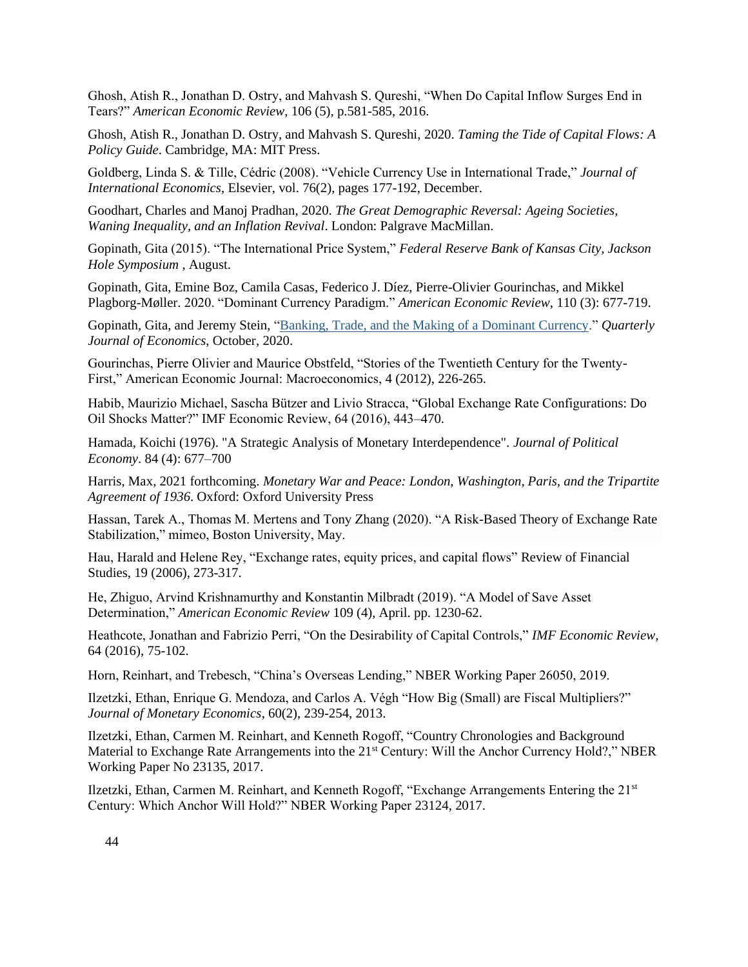Ghosh, Atish R., Jonathan D. Ostry, and Mahvash S. Qureshi, "When Do Capital Inflow Surges End in Tears?" *American Economic Review*, 106 (5), p.581-585, 2016.

Ghosh, Atish R., Jonathan D. Ostry, and Mahvash S. Qureshi, 2020. *Taming the Tide of Capital Flows: A Policy Guide*. Cambridge, MA: MIT Press.

Goldberg, Linda S. & Tille, Cédric (2008). "Vehicle Currency Use in International Trade," *Journal of International Economics*, Elsevier, vol. 76(2), pages 177-192, December.

Goodhart, Charles and Manoj Pradhan, 2020. *The Great Demographic Reversal: Ageing Societies, Waning Inequality, and an Inflation Revival*. London: Palgrave MacMillan.

Gopinath, Gita (2015). "The International Price System," *Federal Reserve Bank of Kansas City, Jackson Hole Symposium* , August.

Gopinath, Gita, Emine Boz, Camila Casas, Federico J. Díez, Pierre-Olivier Gourinchas, and Mikkel Plagborg-Møller. 2020. "Dominant Currency Paradigm." *American Economic Review*, 110 (3): 677-719.

Gopinath, Gita, and Jeremy Stein, ["Banking, Trade, and the Making of a Dominant Currency.](https://scholar.harvard.edu/gopinath/publications/banking-trade-and-making-dominant-currency-0)" *Quarterly Journal of Economics*, October, 2020.

Gourinchas, Pierre Olivier and Maurice Obstfeld, "Stories of the Twentieth Century for the Twenty-First," American Economic Journal: Macroeconomics, 4 (2012), 226-265.

Habib, Maurizio Michael, Sascha Bützer and Livio Stracca, "Global Exchange Rate Configurations: Do Oil Shocks Matter?" IMF Economic Review, 64 (2016), 443–470.

Hamada, Koichi (1976). "A Strategic Analysis of Monetary Interdependence". *Journal of Political Economy*. 84 (4): 677–700

Harris, Max, 2021 forthcoming. *Monetary War and Peace: London, Washington, Paris, and the Tripartite Agreement of 1936*. Oxford: Oxford University Press

Hassan, Tarek A., Thomas M. Mertens and Tony Zhang (2020). "A Risk-Based Theory of Exchange Rate Stabilization," mimeo, Boston University, May.

Hau, Harald and Helene Rey, "Exchange rates, equity prices, and capital flows" Review of Financial Studies, 19 (2006), 273-317.

He, Zhiguo, Arvind Krishnamurthy and Konstantin Milbradt (2019). "A Model of Save Asset Determination," *American Economic Review* 109 (4), April. pp. 1230-62.

Heathcote, Jonathan and Fabrizio Perri, "On the Desirability of Capital Controls," *IMF Economic Review*, 64 (2016), 75-102.

Horn, Reinhart, and Trebesch, "China's Overseas Lending," NBER Working Paper 26050, 2019.

Ilzetzki, Ethan, Enrique G. Mendoza, and Carlos A. Végh "How Big (Small) are Fiscal Multipliers?" *Journal of Monetary Economics*, 60(2), 239-254, 2013.

Ilzetzki, Ethan, Carmen M. Reinhart, and Kenneth Rogoff, "Country Chronologies and Background Material to Exchange Rate Arrangements into the 21<sup>st</sup> Century: Will the Anchor Currency Hold?," NBER Working Paper No 23135, 2017.

Ilzetzki, Ethan, Carmen M. Reinhart, and Kenneth Rogoff, "Exchange Arrangements Entering the  $21<sup>st</sup>$ Century: Which Anchor Will Hold?" NBER Working Paper 23124, 2017.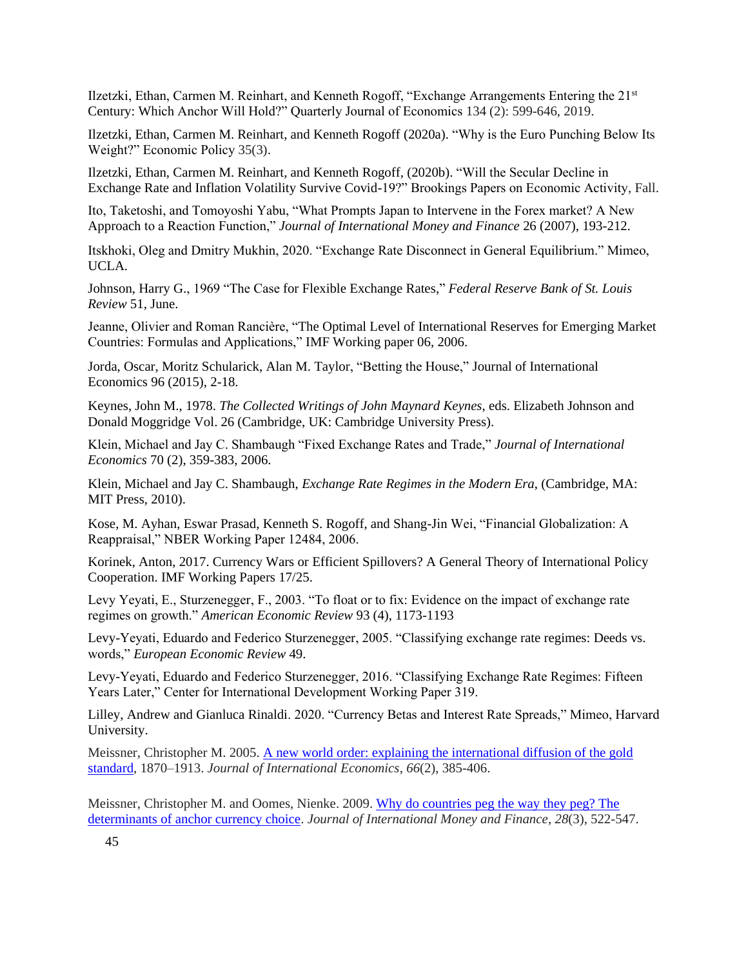Ilzetzki, Ethan, Carmen M. Reinhart, and Kenneth Rogoff, "Exchange Arrangements Entering the 21st Century: Which Anchor Will Hold?" Quarterly Journal of Economics 134 (2): 599-646, 2019.

Ilzetzki, Ethan, Carmen M. Reinhart, and Kenneth Rogoff (2020a). "Why is the Euro Punching Below Its Weight?" Economic Policy 35(3).

Ilzetzki, Ethan, Carmen M. Reinhart, and Kenneth Rogoff, (2020b). "Will the Secular Decline in Exchange Rate and Inflation Volatility Survive Covid-19?" Brookings Papers on Economic Activity, Fall.

Ito, Taketoshi, and Tomoyoshi Yabu, "What Prompts Japan to Intervene in the Forex market? A New Approach to a Reaction Function," *Journal of International Money and Finance* 26 (2007), 193-212.

Itskhoki, Oleg and Dmitry Mukhin, 2020. "Exchange Rate Disconnect in General Equilibrium." Mimeo, UCLA.

Johnson, Harry G., 1969 "The Case for Flexible Exchange Rates," *Federal Reserve Bank of St. Louis Review* 51, June.

Jeanne, Olivier and Roman Rancière, "The Optimal Level of International Reserves for Emerging Market Countries: Formulas and Applications," IMF Working paper 06, 2006.

Jorda, Oscar, Moritz [Schularick,](https://www.infona.pl/contributor/1@bwmeta1.element.elsevier-f1bbf007-c199-3429-b1d1-466a3043e67a/tab/publications) Alan M. [Taylor,](https://www.infona.pl/contributor/2@bwmeta1.element.elsevier-f1bbf007-c199-3429-b1d1-466a3043e67a/tab/publications) "Betting the House," Journal of International Economics 96 (2015), 2-18.

Keynes, John M., 1978. *The Collected Writings of John Maynard Keynes*, eds. Elizabeth Johnson and Donald Moggridge Vol. 26 (Cambridge, UK: Cambridge University Press).

Klein, Michael and Jay C. Shambaugh "Fixed Exchange Rates and Trade," *Journal of International Economics* 70 (2), 359-383, 2006.

Klein, Michael and Jay C. Shambaugh, *Exchange Rate Regimes in the Modern Era*, (Cambridge, MA: MIT Press, 2010).

Kose, M. Ayhan, Eswar Prasad, Kenneth S. Rogoff, and Shang-Jin Wei, "Financial Globalization: A Reappraisal," NBER Working Paper 12484, 2006.

Korinek, Anton, 2017. Currency Wars or Efficient Spillovers? A General Theory of International Policy Cooperation. IMF Working Papers 17/25.

Levy Yeyati, E., Sturzenegger, F., 2003. "To float or to fix: Evidence on the impact of exchange rate regimes on growth." *American Economic Review* 93 (4), 1173-1193

Levy-Yeyati, Eduardo and Federico Sturzenegger, 2005. "Classifying exchange rate regimes: Deeds vs. words," *European Economic Review* 49.

Levy-Yeyati, Eduardo and Federico Sturzenegger, 2016. "Classifying Exchange Rate Regimes: Fifteen Years Later," Center for International Development Working Paper 319.

Lilley, Andrew and Gianluca Rinaldi. 2020. "Currency Betas and Interest Rate Spreads," Mimeo, Harvard University.

Meissner, Christopher M. 2005. [A new world order: explaining the international diffusion of the gold](https://urldefense.proofpoint.com/v2/url?u=https-3A__www.sciencedirect.com_science_article_pii_S0022199604001187-3Fcasa-5Ftoken-3DWR7ekXDtMakAAAAA-3A6ywjYifUrJP5NsX-5FC44V04WrhfIwFE3R-2DgI2LcOmhPE0crdpg6TGWSO-2DHMaK18iVc-5FX74kka&d=DwMFAg&c=WO-RGvefibhHBZq3fL85hQ&r=noI31MYbU7l9sX97hFGamxsVkLlVesLCs9YTrk4Ed9s&m=c5RIwdmU2_e1gKq7EnsU7XHtpVbJciRAePBDf0Q1KmA&s=H5g0XTvd1sqBfjk-InoB3mZ9l17VhZXgIvqQTKdS4JU&e=)  [standard,](https://urldefense.proofpoint.com/v2/url?u=https-3A__www.sciencedirect.com_science_article_pii_S0022199604001187-3Fcasa-5Ftoken-3DWR7ekXDtMakAAAAA-3A6ywjYifUrJP5NsX-5FC44V04WrhfIwFE3R-2DgI2LcOmhPE0crdpg6TGWSO-2DHMaK18iVc-5FX74kka&d=DwMFAg&c=WO-RGvefibhHBZq3fL85hQ&r=noI31MYbU7l9sX97hFGamxsVkLlVesLCs9YTrk4Ed9s&m=c5RIwdmU2_e1gKq7EnsU7XHtpVbJciRAePBDf0Q1KmA&s=H5g0XTvd1sqBfjk-InoB3mZ9l17VhZXgIvqQTKdS4JU&e=) 1870–1913. *Journal of International Economics*, *66*(2), 385-406.

Meissner, Christopher M. and Oomes, Nienke. 2009. [Why do countries peg the way they peg? The](https://urldefense.proofpoint.com/v2/url?u=https-3A__www.sciencedirect.com_science_article_pii_S026156060800123X-3Fcasa-5Ftoken-3D8-2Dxnyv9ImYIAAAAA-3AJOFILCw4s3wWXkS9SqqTQwMX9aU8lssfb1RK24l8eM3ncAB23uvre5jt3QwfsIPUr8lVqzwI&d=DwMFAg&c=WO-RGvefibhHBZq3fL85hQ&r=noI31MYbU7l9sX97hFGamxsVkLlVesLCs9YTrk4Ed9s&m=c5RIwdmU2_e1gKq7EnsU7XHtpVbJciRAePBDf0Q1KmA&s=vTqX74G-yW9_VVgg6JlxWaSMIT_g-vUPvEzsjT4ruyM&e=)  [determinants of anchor currency choice.](https://urldefense.proofpoint.com/v2/url?u=https-3A__www.sciencedirect.com_science_article_pii_S026156060800123X-3Fcasa-5Ftoken-3D8-2Dxnyv9ImYIAAAAA-3AJOFILCw4s3wWXkS9SqqTQwMX9aU8lssfb1RK24l8eM3ncAB23uvre5jt3QwfsIPUr8lVqzwI&d=DwMFAg&c=WO-RGvefibhHBZq3fL85hQ&r=noI31MYbU7l9sX97hFGamxsVkLlVesLCs9YTrk4Ed9s&m=c5RIwdmU2_e1gKq7EnsU7XHtpVbJciRAePBDf0Q1KmA&s=vTqX74G-yW9_VVgg6JlxWaSMIT_g-vUPvEzsjT4ruyM&e=) *Journal of International Money and Finance*, *28*(3), 522-547.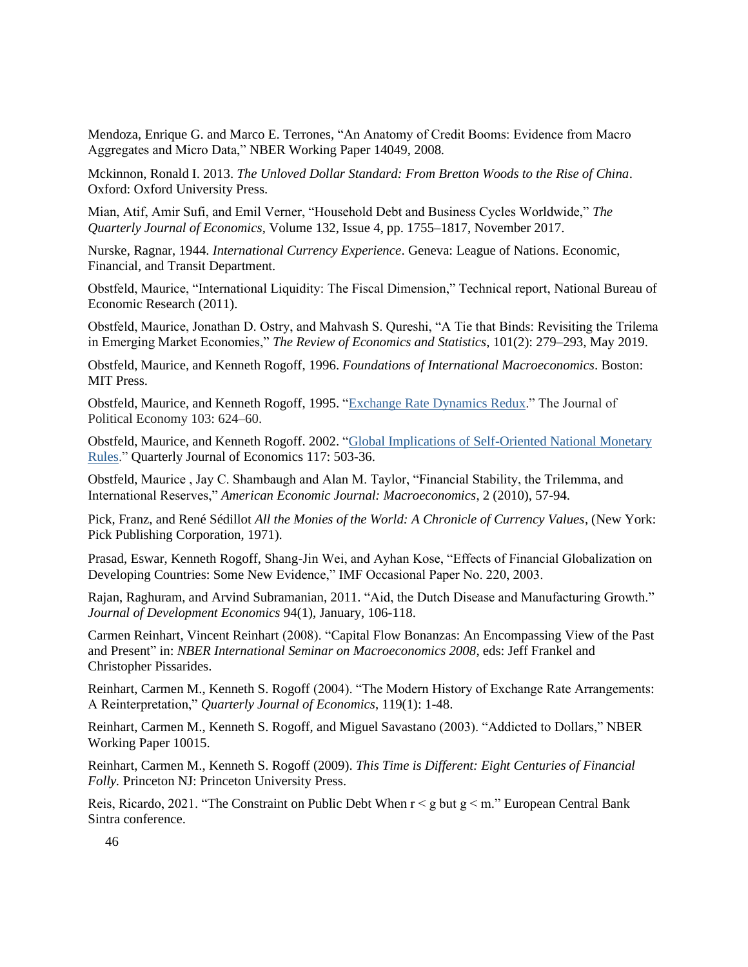Mendoza, Enrique G. and Marco E. Terrones, "An Anatomy of Credit Booms: Evidence from Macro Aggregates and Micro Data," NBER Working Paper 14049, 2008.

Mckinnon, Ronald I. 2013. *The Unloved Dollar Standard: From Bretton Woods to the Rise of China*. Oxford: Oxford University Press.

Mian, Atif, Amir Sufi, and Emil Verner, "Household Debt and Business Cycles Worldwide," *The Quarterly Journal of Economics*, Volume 132, Issue 4, pp. 1755–1817, November 2017.

Nurske, Ragnar, 1944. *International Currency Experience*. Geneva: League of Nations. Economic, Financial, and Transit Department.

Obstfeld, Maurice, "International Liquidity: The Fiscal Dimension," Technical report, National Bureau of Economic Research (2011).

Obstfeld, Maurice, Jonathan D. Ostry, and Mahvash S. Qureshi, "A Tie that Binds: Revisiting the Trilema in Emerging Market Economies," *The Review of Economics and Statistics*, 101(2): 279–293, May 2019.

Obstfeld, Maurice, and Kenneth Rogoff, 1996. *Foundations of International Macroeconomics*. Boston: MIT Press.

Obstfeld, Maurice, and Kenneth Rogoff, 1995. ["Exchange Rate Dynamics Redux.](https://scholar.harvard.edu/rogoff/publications/exchange-rate-dynamics-redux)" The Journal of Political Economy 103: 624–60.

Obstfeld, Maurice, and Kenneth Rogoff. 2002. ["Global Implications of Self-Oriented National Monetary](https://scholar.harvard.edu/rogoff/publications/global-implications-self-oriented-national-monetary-rules)  [Rules.](https://scholar.harvard.edu/rogoff/publications/global-implications-self-oriented-national-monetary-rules)" Quarterly Journal of Economics 117: 503-36.

Obstfeld, Maurice , Jay C. Shambaugh and Alan M. Taylor, "Financial Stability, the Trilemma, and International Reserves," *American Economic Journal: Macroeconomics*, 2 (2010), 57-94.

Pick, Franz, and René Sédillot *All the Monies of the World: A Chronicle of Currency Values*, (New York: Pick Publishing Corporation, 1971).

Prasad, Eswar, Kenneth Rogoff, Shang-Jin Wei, and Ayhan Kose, "Effects of Financial Globalization on Developing Countries: Some New Evidence," IMF Occasional Paper No. 220, 2003.

Rajan, Raghuram, and Arvind Subramanian, 2011. "Aid, the Dutch Disease and Manufacturing Growth." *Journal of Development Economics* 94(1), January, 106-118.

Carmen Reinhart, Vincent Reinhart (2008). "Capital Flow Bonanzas: An Encompassing View of the Past and Present" in: *NBER International Seminar on Macroeconomics 2008*, eds: Jeff Frankel and Christopher Pissarides.

Reinhart, Carmen M., Kenneth S. Rogoff (2004). "The Modern History of Exchange Rate Arrangements: A Reinterpretation," *Quarterly Journal of Economics*, 119(1): 1-48.

Reinhart, Carmen M., Kenneth S. Rogoff, and Miguel Savastano (2003). "Addicted to Dollars," NBER Working Paper 10015.

Reinhart, Carmen M., Kenneth S. Rogoff (2009). *This Time is Different: Eight Centuries of Financial Folly.* Princeton NJ: Princeton University Press.

Reis, Ricardo, 2021. "The Constraint on Public Debt When r < g but g < m." European Central Bank Sintra conference.

46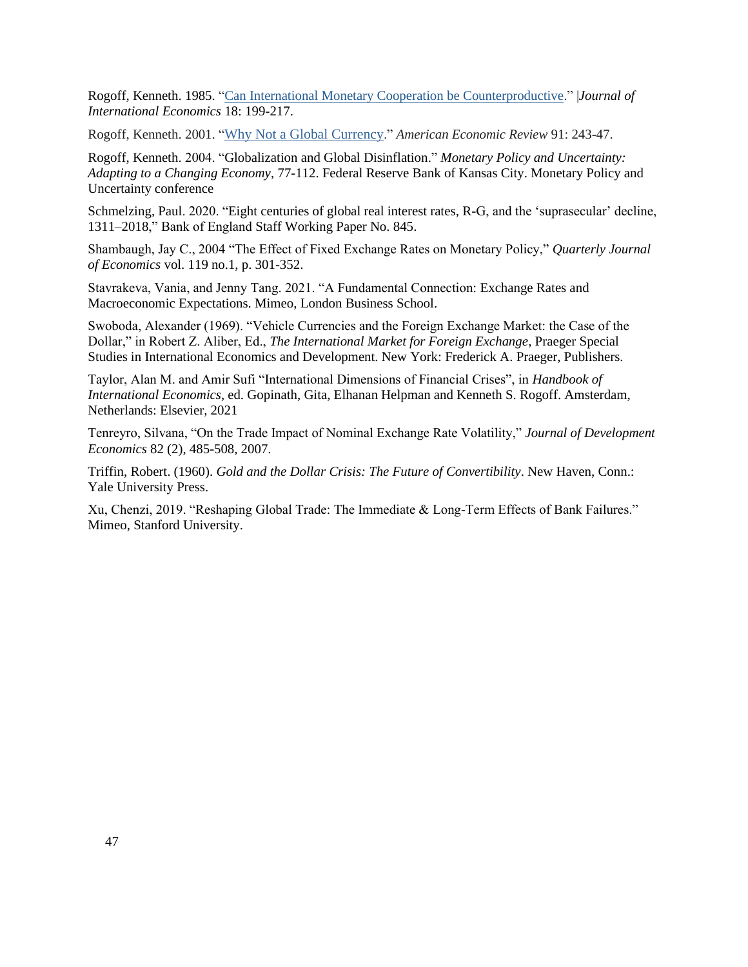Rogoff, Kenneth. 1985. ["Can International Monetary Cooperation be Counterproductive.](https://scholar.harvard.edu/rogoff/publications/can-international-monetary-cooperation-be-counterproductive)" |*Journal of International Economics* 18: 199-217.

Rogoff, Kenneth. 2001. "[Why Not a Global Currency](https://scholar.harvard.edu/rogoff/publications/why-not-global-currency)." *American Economic Review* 91: 243-47.

Rogoff, Kenneth. 2004. "Globalization and Global Disinflation." *Monetary Policy and Uncertainty: Adapting to a Changing Economy*, 77-112. Federal Reserve Bank of Kansas City. Monetary Policy and Uncertainty conference

Schmelzing, Paul. 2020. "Eight centuries of global real interest rates, R-G, and the 'suprasecular' decline, 1311–2018," Bank of England Staff Working Paper No. 845.

Shambaugh, Jay C., 2004 "The Effect of Fixed Exchange Rates on Monetary Policy," *Quarterly Journal of Economics* vol. 119 no.1, p. 301-352.

Stavrakeva, Vania, and Jenny Tang. 2021. "A Fundamental Connection: Exchange Rates and Macroeconomic Expectations. Mimeo, London Business School.

Swoboda, Alexander (1969). "Vehicle Currencies and the Foreign Exchange Market: the Case of the Dollar," in Robert Z. Aliber, Ed., *The International Market for Foreign Exchange*, Praeger Special Studies in International Economics and Development. New York: Frederick A. Praeger, Publishers.

Taylor, Alan M. and Amir Sufi "International Dimensions of Financial Crises", in *Handbook of International Economics*, ed. Gopinath, Gita, Elhanan Helpman and Kenneth S. Rogoff. Amsterdam, Netherlands: Elsevier, 2021

Tenreyro, Silvana, "On the Trade Impact of Nominal Exchange Rate Volatility," *Journal of Development Economics* 82 (2), 485-508, 2007.

Triffin, Robert. (1960). *Gold and the Dollar Crisis: The Future of Convertibility*. New Haven, Conn.: Yale University Press.

Xu, Chenzi, 2019. "Reshaping Global Trade: The Immediate & Long-Term Effects of Bank Failures." Mimeo, Stanford University.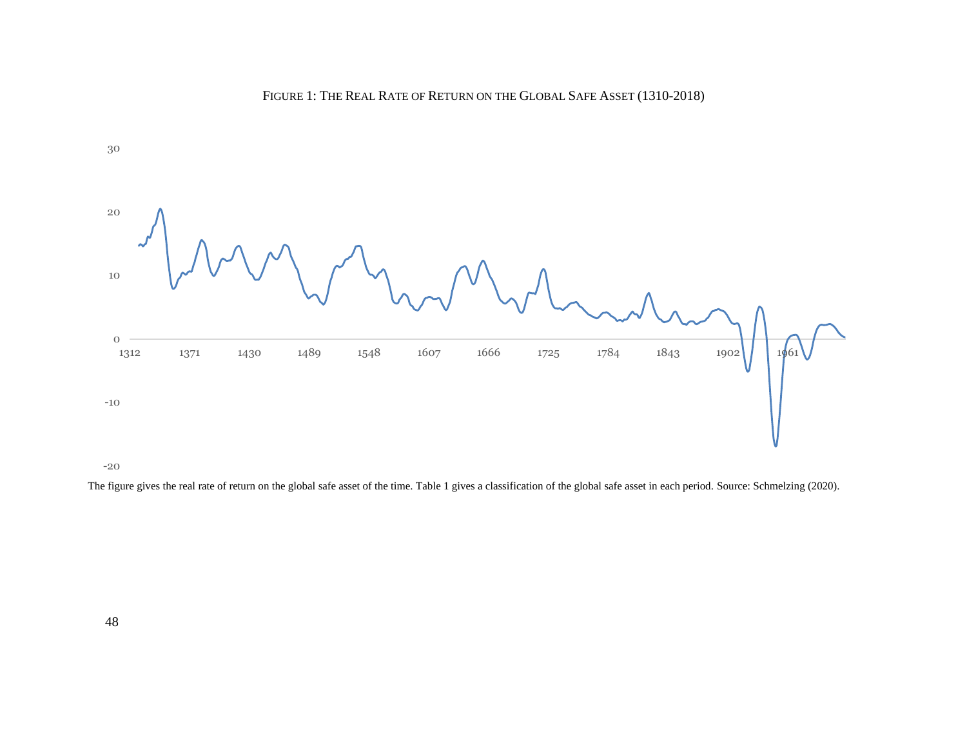



-20

The figure gives the real rate of return on the global safe asset of the time. Table 1 gives a classification of the global safe asset in each period. Source: Schmelzing (2020).

48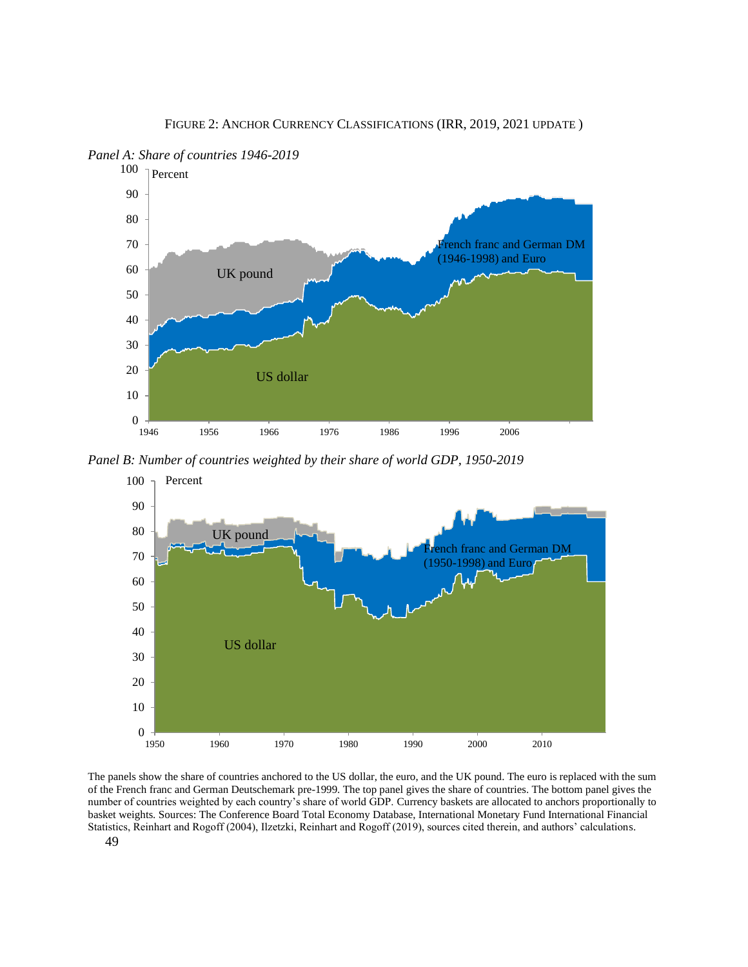

 $0 + 1946$ 10 20 30 40 50 60 70 80 90 100 1946 1956 1966 1976 1986 1996 2006 US dollar rench franc and German DM (1946-1998) and Euro UK pound Percent

*Panel A: Share of countries 1946-2019*

*Panel B: Number of countries weighted by their share of world GDP, 1950-2019*



The panels show the share of countries anchored to the US dollar, the euro, and the UK pound. The euro is replaced with the sum of the French franc and German Deutschemark pre-1999. The top panel gives the share of countries. The bottom panel gives the number of countries weighted by each country's share of world GDP. Currency baskets are allocated to anchors proportionally to basket weights. Sources: The Conference Board Total Economy Database, International Monetary Fund International Financial Statistics, Reinhart and Rogoff (2004), Ilzetzki, Reinhart and Rogoff (2019), sources cited therein, and authors' calculations.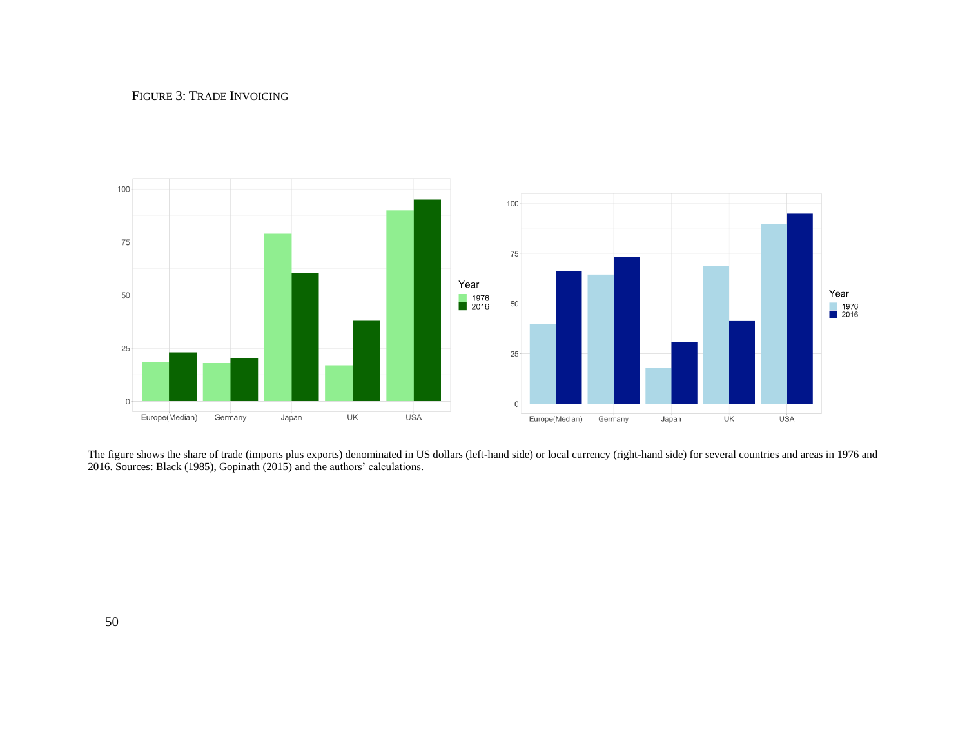### FIGURE 3: TRADE INVOICING



The figure shows the share of trade (imports plus exports) denominated in US dollars (left-hand side) or local currency (right-hand side) for several countries and areas in 1976 and 2016. Sources: Black (1985), Gopinath (2015) and the authors' calculations.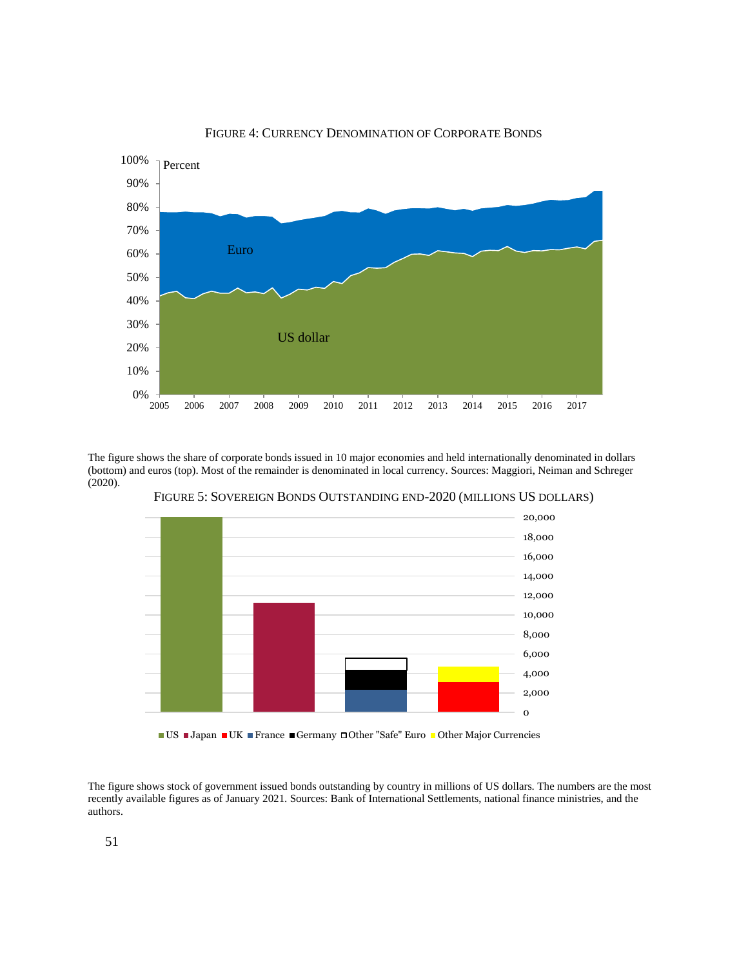

FIGURE 4: CURRENCY DENOMINATION OF CORPORATE BONDS

The figure shows the share of corporate bonds issued in 10 major economies and held internationally denominated in dollars (bottom) and euros (top). Most of the remainder is denominated in local currency. Sources: Maggiori, Neiman and Schreger (2020).



FIGURE 5: SOVEREIGN BONDS OUTSTANDING END-2020 (MILLIONS US DOLLARS)

■ US ■ Japan ■ UK ■ France ■ Germany □ Other "Safe" Euro ■ Other Major Currencies

The figure shows stock of government issued bonds outstanding by country in millions of US dollars. The numbers are the most recently available figures as of January 2021. Sources: Bank of International Settlements, national finance ministries, and the authors.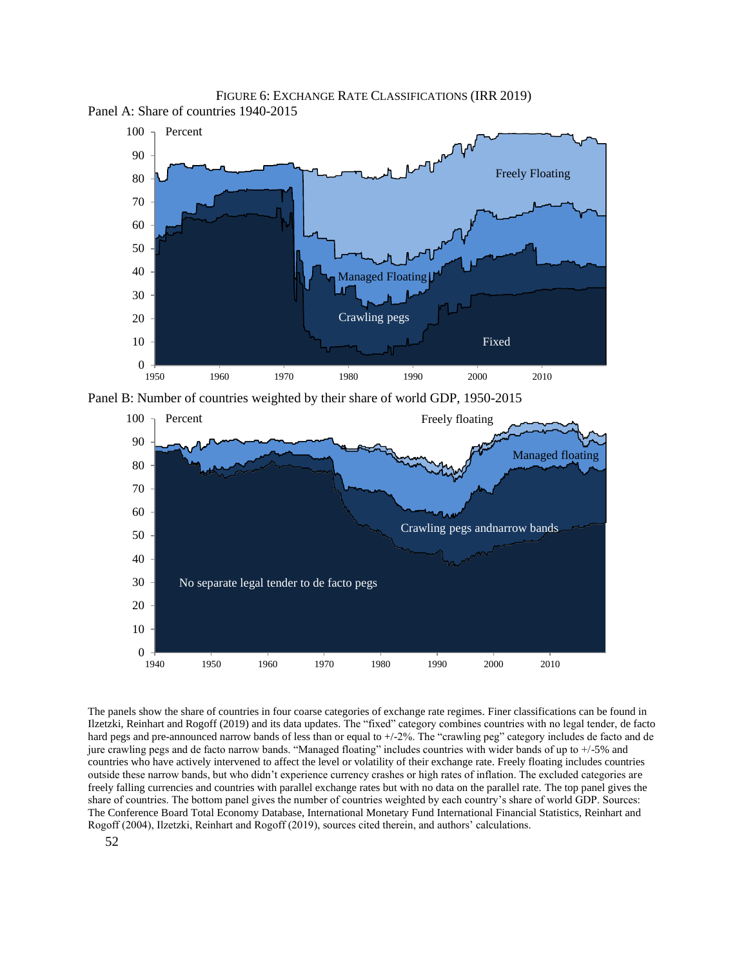

1950 1960 1970 1980 1990 2000 2010

Fixed

FIGURE 6: EXCHANGE RATE CLASSIFICATIONS (IRR 2019) Panel A: Share of countries 1940-2015

Panel B: Number of countries weighted by their share of world GDP, 1950-2015



The panels show the share of countries in four coarse categories of exchange rate regimes. Finer classifications can be found in Ilzetzki, Reinhart and Rogoff (2019) and its data updates. The "fixed" category combines countries with no legal tender, de facto hard pegs and pre-announced narrow bands of less than or equal to  $+/-2\%$ . The "crawling peg" category includes de facto and de jure crawling pegs and de facto narrow bands. "Managed floating" includes countries with wider bands of up to +/-5% and countries who have actively intervened to affect the level or volatility of their exchange rate. Freely floating includes countries outside these narrow bands, but who didn't experience currency crashes or high rates of inflation. The excluded categories are freely falling currencies and countries with parallel exchange rates but with no data on the parallel rate. The top panel gives the share of countries. The bottom panel gives the number of countries weighted by each country's share of world GDP. Sources: The Conference Board Total Economy Database, International Monetary Fund International Financial Statistics, Reinhart and Rogoff (2004), Ilzetzki, Reinhart and Rogoff (2019), sources cited therein, and authors' calculations.

 $0 + 1950$ 

10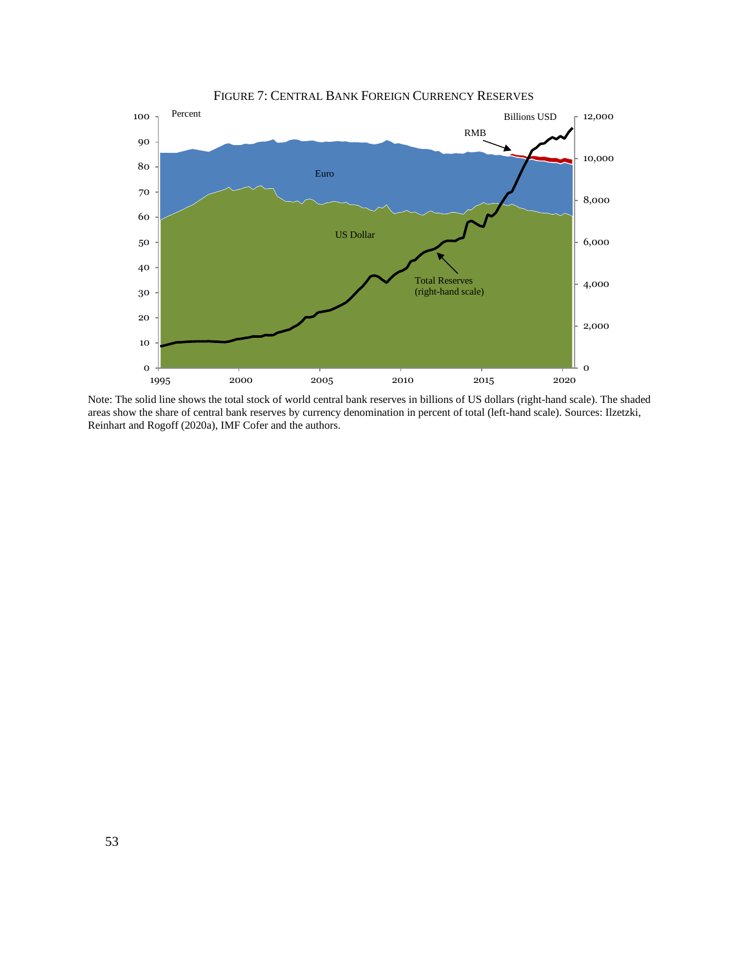

Note: The solid line shows the total stock of world central bank reserves in billions of US dollars (right-hand scale). The shaded areas show the share of central bank reserves by currency denomination in percent of total (left-hand scale). Sources: Ilzetzki, Reinhart and Rogoff (2020a), IMF Cofer and the authors.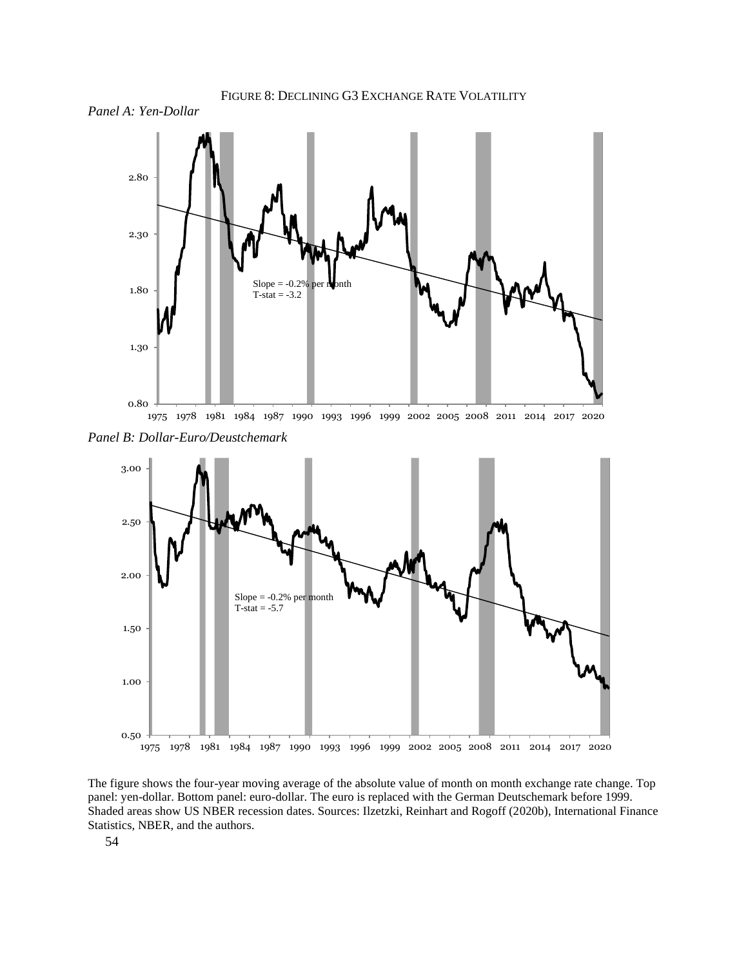

FIGURE 8: DECLINING G3 EXCHANGE RATE VOLATILITY

*Panel B: Dollar-Euro/Deustchemark*



The figure shows the four-year moving average of the absolute value of month on month exchange rate change. Top panel: yen-dollar. Bottom panel: euro-dollar. The euro is replaced with the German Deutschemark before 1999. Shaded areas show US NBER recession dates. Sources: Ilzetzki, Reinhart and Rogoff (2020b), International Finance Statistics, NBER, and the authors.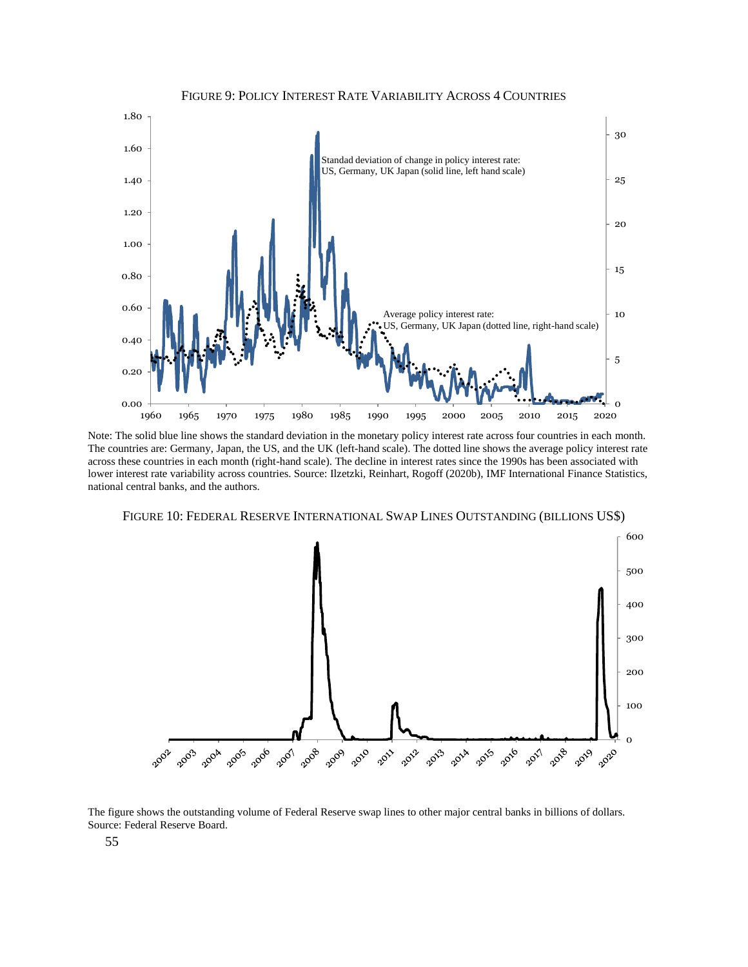

Note: The solid blue line shows the standard deviation in the monetary policy interest rate across four countries in each month. The countries are: Germany, Japan, the US, and the UK (left-hand scale). The dotted line shows the average policy interest rate across these countries in each month (right-hand scale). The decline in interest rates since the 1990s has been associated with lower interest rate variability across countries. Source: Ilzetzki, Reinhart, Rogoff (2020b), IMF International Finance Statistics, national central banks, and the authors.

FIGURE 10: FEDERAL RESERVE INTERNATIONAL SWAP LINES OUTSTANDING (BILLIONS US\$)



The figure shows the outstanding volume of Federal Reserve swap lines to other major central banks in billions of dollars. Source: Federal Reserve Board.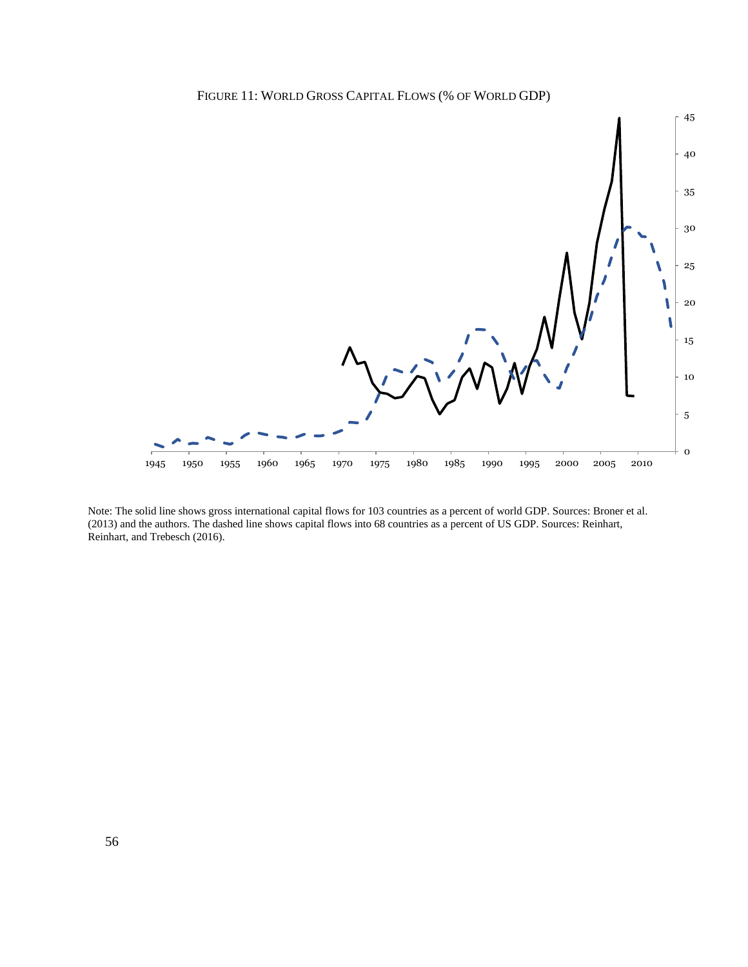



Note: The solid line shows gross international capital flows for 103 countries as a percent of world GDP. Sources: Broner et al. (2013) and the authors. The dashed line shows capital flows into 68 countries as a percent of US GDP. Sources: Reinhart, Reinhart, and Trebesch (2016).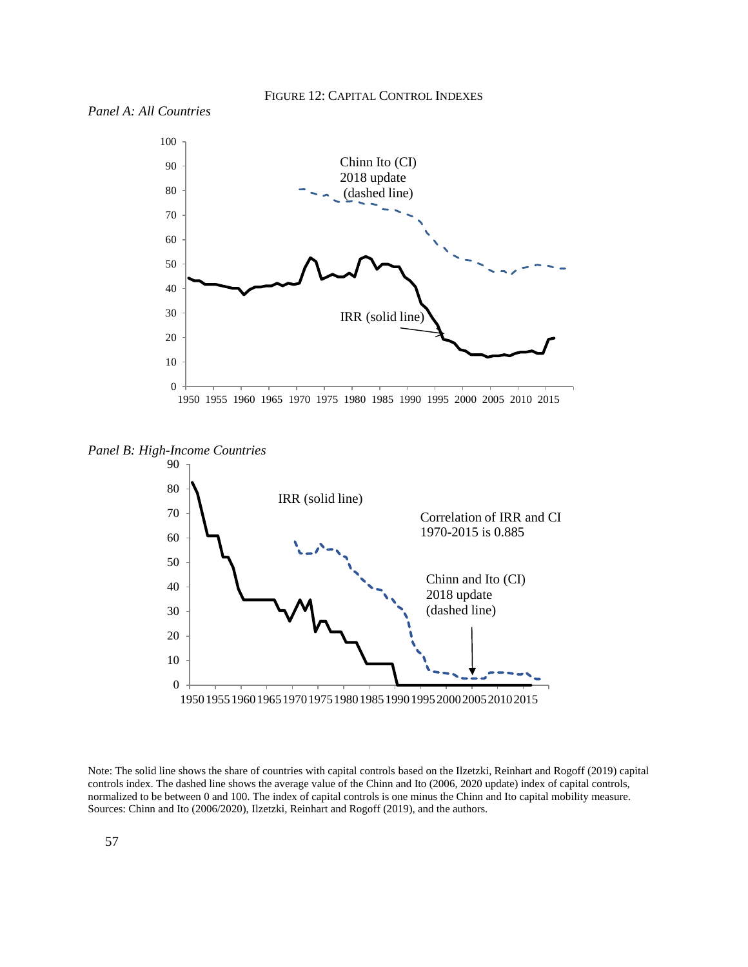

*Panel B: High-Income Countries*



Note: The solid line shows the share of countries with capital controls based on the Ilzetzki, Reinhart and Rogoff (2019) capital controls index. The dashed line shows the average value of the Chinn and Ito (2006, 2020 update) index of capital controls, normalized to be between 0 and 100. The index of capital controls is one minus the Chinn and Ito capital mobility measure. Sources: Chinn and Ito (2006/2020), Ilzetzki, Reinhart and Rogoff (2019), and the authors.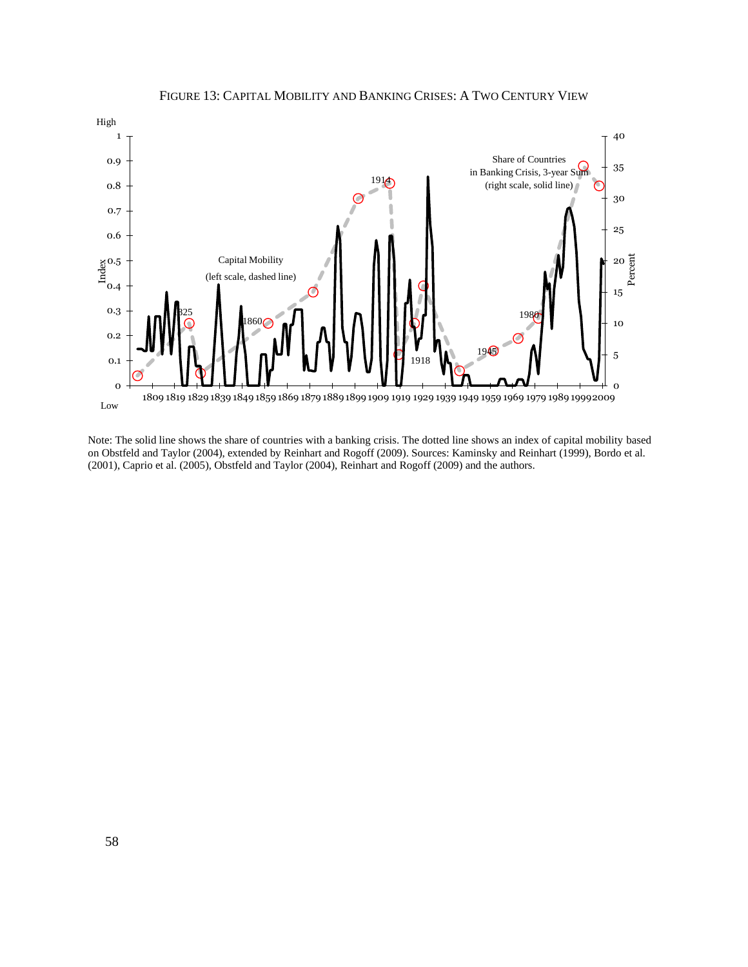

FIGURE 13: CAPITAL MOBILITY AND BANKING CRISES: A TWO CENTURY VIEW

Note: The solid line shows the share of countries with a banking crisis. The dotted line shows an index of capital mobility based on Obstfeld and Taylor (2004), extended by Reinhart and Rogoff (2009). Sources: Kaminsky and Reinhart (1999), Bordo et al. (2001), Caprio et al. (2005), Obstfeld and Taylor (2004), Reinhart and Rogoff (2009) and the authors.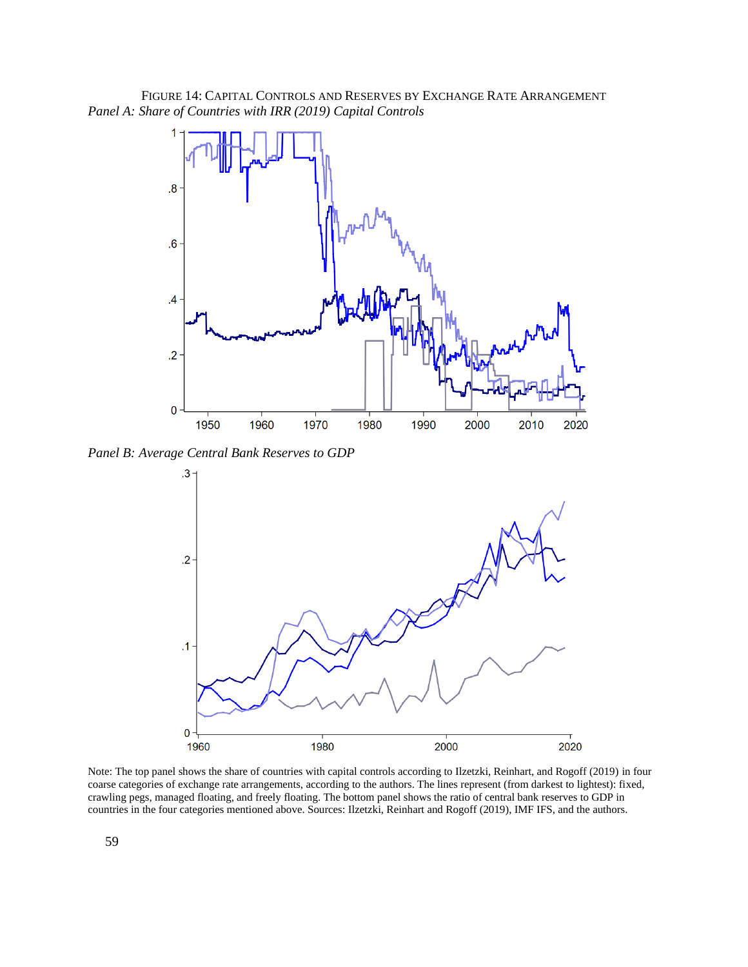FIGURE 14: CAPITAL CONTROLS AND RESERVES BY EXCHANGE RATE ARRANGEMENT *Panel A: Share of Countries with IRR (2019) Capital Controls*



*Panel B: Average Central Bank Reserves to GDP*



Note: The top panel shows the share of countries with capital controls according to Ilzetzki, Reinhart, and Rogoff (2019) in four coarse categories of exchange rate arrangements, according to the authors. The lines represent (from darkest to lightest): fixed, crawling pegs, managed floating, and freely floating. The bottom panel shows the ratio of central bank reserves to GDP in countries in the four categories mentioned above. Sources: Ilzetzki, Reinhart and Rogoff (2019), IMF IFS, and the authors.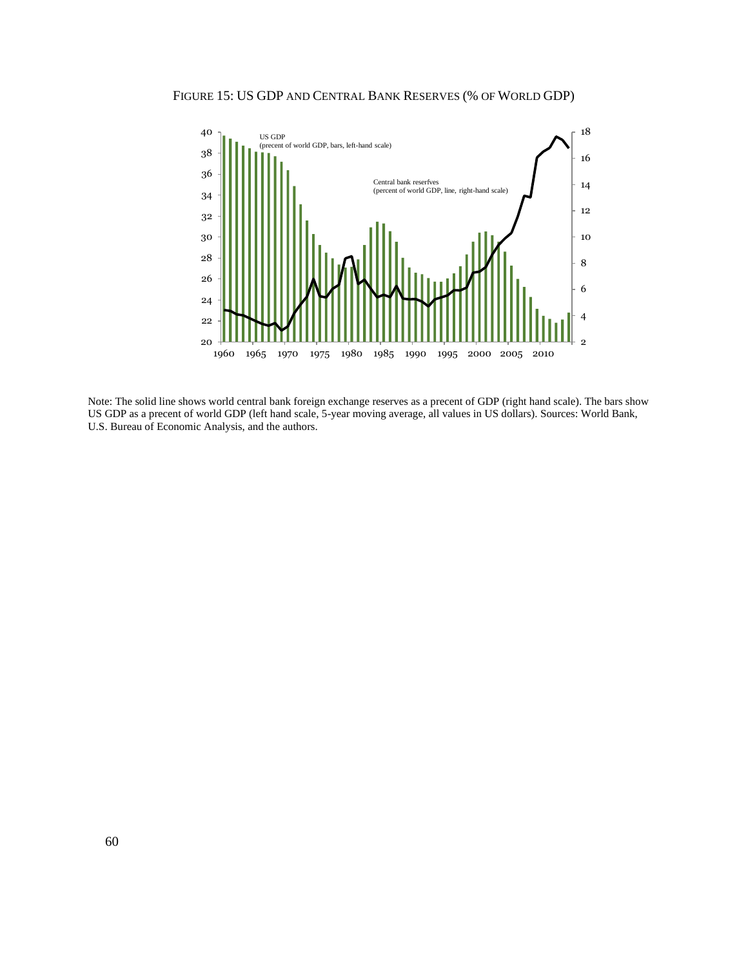



Note: The solid line shows world central bank foreign exchange reserves as a precent of GDP (right hand scale). The bars show US GDP as a precent of world GDP (left hand scale, 5-year moving average, all values in US dollars). Sources: World Bank, U.S. Bureau of Economic Analysis, and the authors.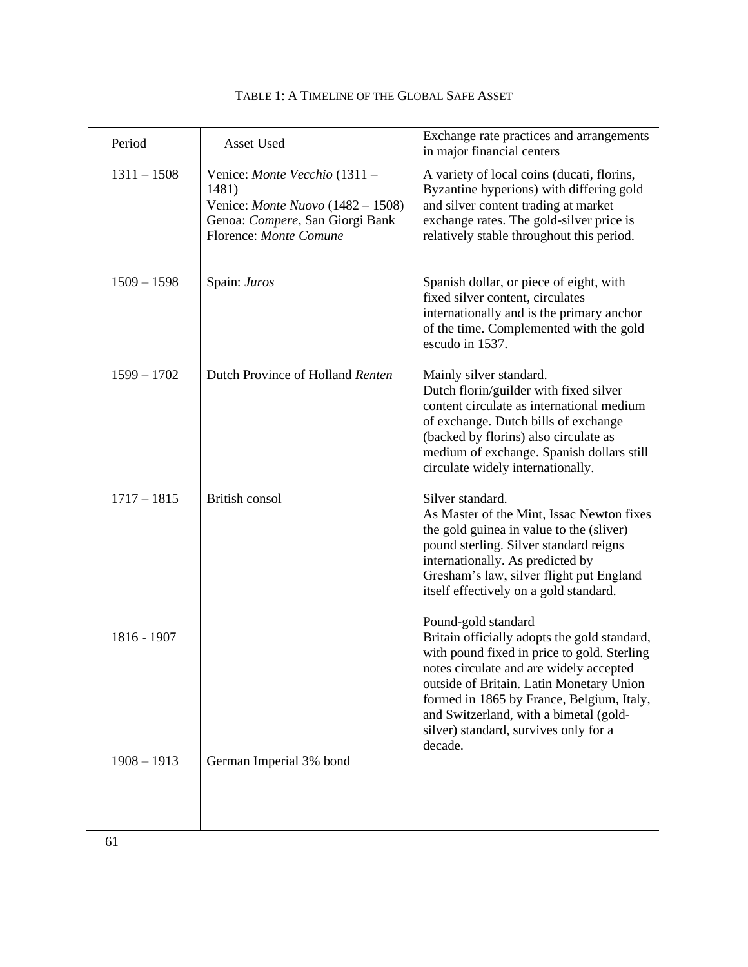| Period        | Asset Used                                                                                                                                 | Exchange rate practices and arrangements<br>in major financial centers                                                                                                                                                                                                                                                                               |
|---------------|--------------------------------------------------------------------------------------------------------------------------------------------|------------------------------------------------------------------------------------------------------------------------------------------------------------------------------------------------------------------------------------------------------------------------------------------------------------------------------------------------------|
| $1311 - 1508$ | Venice: Monte Vecchio (1311 -<br>1481)<br>Venice: Monte Nuovo $(1482 - 1508)$<br>Genoa: Compere, San Giorgi Bank<br>Florence: Monte Comune | A variety of local coins (ducati, florins,<br>Byzantine hyperions) with differing gold<br>and silver content trading at market<br>exchange rates. The gold-silver price is<br>relatively stable throughout this period.                                                                                                                              |
| $1509 - 1598$ | Spain: Juros                                                                                                                               | Spanish dollar, or piece of eight, with<br>fixed silver content, circulates<br>internationally and is the primary anchor<br>of the time. Complemented with the gold<br>escudo in 1537.                                                                                                                                                               |
| $1599 - 1702$ | Dutch Province of Holland Renten                                                                                                           | Mainly silver standard.<br>Dutch florin/guilder with fixed silver<br>content circulate as international medium<br>of exchange. Dutch bills of exchange<br>(backed by florins) also circulate as<br>medium of exchange. Spanish dollars still<br>circulate widely internationally.                                                                    |
| $1717 - 1815$ | British consol                                                                                                                             | Silver standard.<br>As Master of the Mint, Issac Newton fixes<br>the gold guinea in value to the (sliver)<br>pound sterling. Silver standard reigns<br>internationally. As predicted by<br>Gresham's law, silver flight put England<br>itself effectively on a gold standard.                                                                        |
| 1816 - 1907   |                                                                                                                                            | Pound-gold standard<br>Britain officially adopts the gold standard,<br>with pound fixed in price to gold. Sterling<br>notes circulate and are widely accepted<br>outside of Britain. Latin Monetary Union<br>formed in 1865 by France, Belgium, Italy,<br>and Switzerland, with a bimetal (gold-<br>silver) standard, survives only for a<br>decade. |
| $1908 - 1913$ | German Imperial 3% bond                                                                                                                    |                                                                                                                                                                                                                                                                                                                                                      |

| TABLE 1: A TIMELINE OF THE GLOBAL SAFE ASSET |  |
|----------------------------------------------|--|
|----------------------------------------------|--|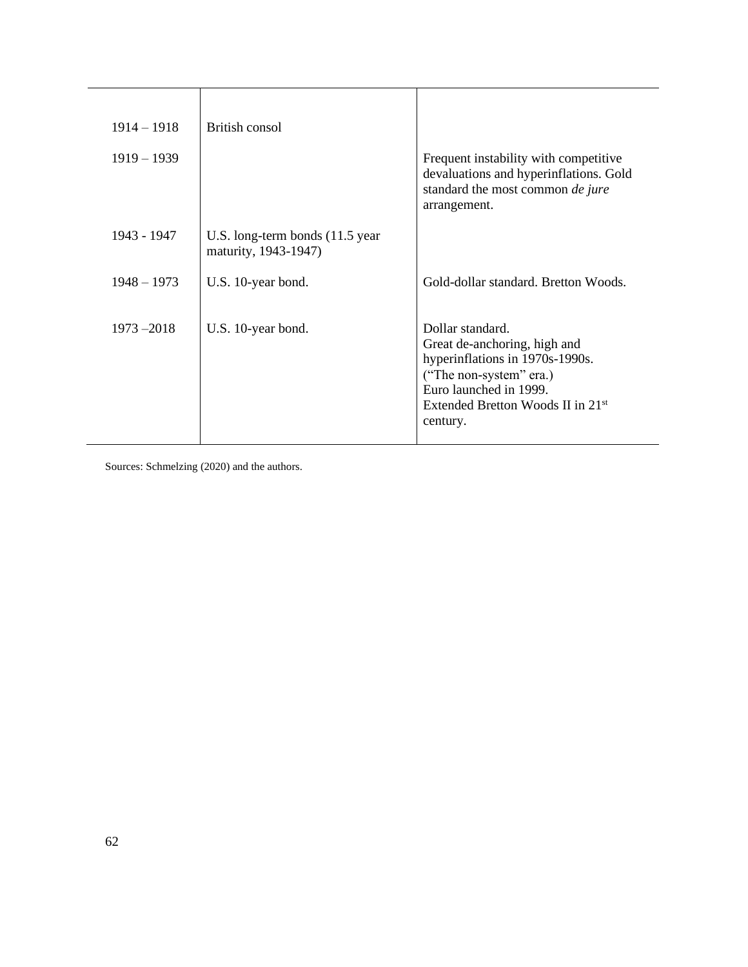| $1914 - 1918$ | British consol                                           |                                                                                                                                                                                                       |
|---------------|----------------------------------------------------------|-------------------------------------------------------------------------------------------------------------------------------------------------------------------------------------------------------|
| $1919 - 1939$ |                                                          | Frequent instability with competitive<br>devaluations and hyperinflations. Gold<br>standard the most common de jure<br>arrangement.                                                                   |
| 1943 - 1947   | U.S. long-term bonds (11.5 year)<br>maturity, 1943-1947) |                                                                                                                                                                                                       |
| $1948 - 1973$ | U.S. 10-year bond.                                       | Gold-dollar standard. Bretton Woods.                                                                                                                                                                  |
| $1973 - 2018$ | U.S. 10-year bond.                                       | Dollar standard.<br>Great de-anchoring, high and<br>hyperinflations in 1970s-1990s.<br>("The non-system" era.)<br>Euro launched in 1999.<br>Extended Bretton Woods II in 21 <sup>st</sup><br>century. |

Sources: Schmelzing (2020) and the authors.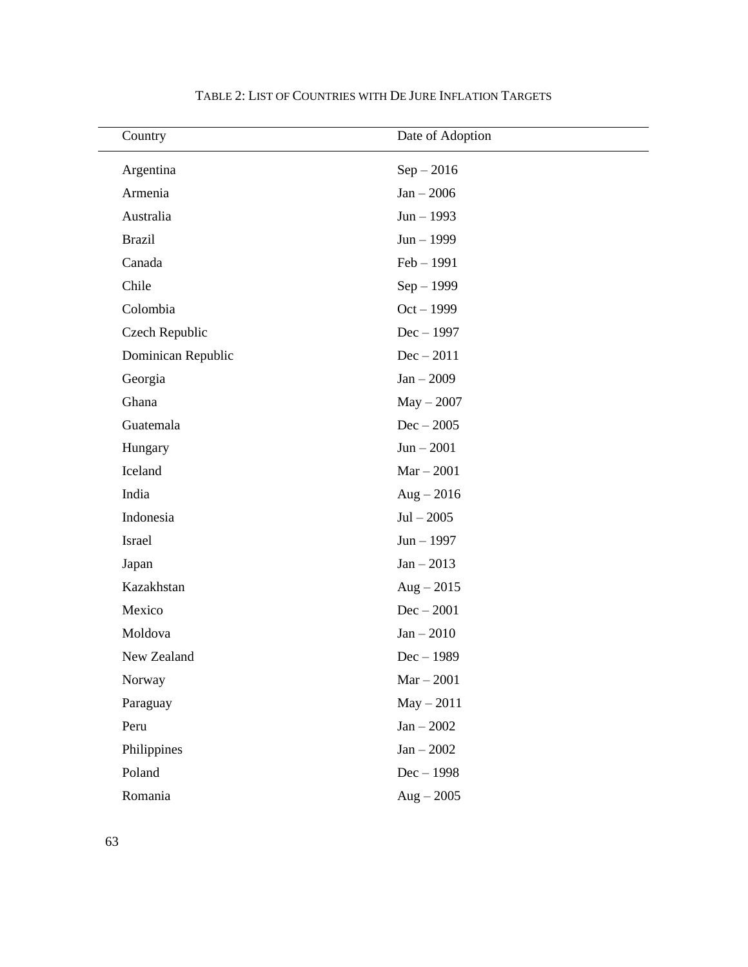| Country            | Date of Adoption |
|--------------------|------------------|
| Argentina          | $Sep - 2016$     |
| Armenia            | $Jan - 2006$     |
| Australia          | $Jun - 1993$     |
| <b>Brazil</b>      | $Jun - 1999$     |
| Canada             | $Feb - 1991$     |
| Chile              | $Sep-1999$       |
| Colombia           | $Oct - 1999$     |
| Czech Republic     | $Dec-1997$       |
| Dominican Republic | $Dec - 2011$     |
| Georgia            | $Jan - 2009$     |
| Ghana              | $May - 2007$     |
| Guatemala          | $Dec - 2005$     |
| Hungary            | $Jun - 2001$     |
| Iceland            | $Mar - 2001$     |
| India              | $Aug - 2016$     |
| Indonesia          | $Jul - 2005$     |
| Israel             | $Jun - 1997$     |
| Japan              | $Jan - 2013$     |
| Kazakhstan         | $Aug - 2015$     |
| Mexico             | $Dec - 2001$     |
| Moldova            | $Jan - 2010$     |
| New Zealand        | $Dec-1989$       |
| Norway             | $Mar - 2001$     |
| Paraguay           | $May - 2011$     |
| Peru               | $Jan - 2002$     |
| Philippines        | $Jan - 2002$     |
| Poland             | $Dec-1998$       |
| Romania            | $Aug - 2005$     |

TABLE 2: LIST OF COUNTRIES WITH DE JURE INFLATION TARGETS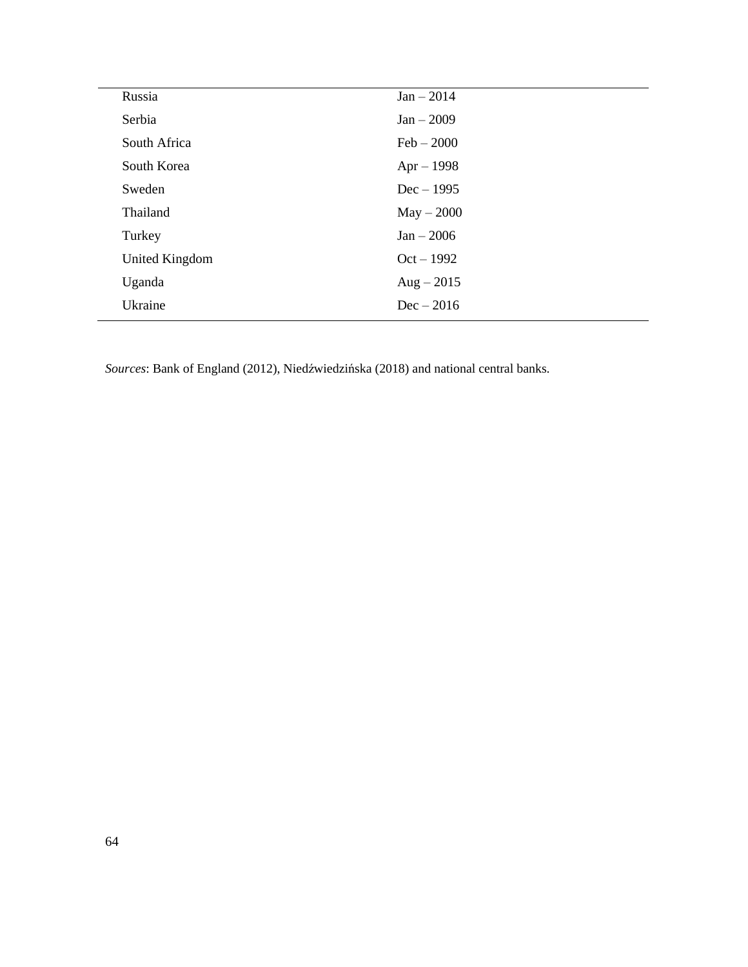| Russia         | $Jan - 2014$ |
|----------------|--------------|
| Serbia         | $Jan - 2009$ |
| South Africa   | $Feb - 2000$ |
| South Korea    | $Apr - 1998$ |
| Sweden         | $Dec-1995$   |
| Thailand       | $May - 2000$ |
| Turkey         | $Jan - 2006$ |
| United Kingdom | $Oct - 1992$ |
| Uganda         | $Aug - 2015$ |
| Ukraine        | $Dec - 2016$ |
|                |              |

*Sources*: Bank of England (2012), Niedźwiedzińska (2018) and national central banks.